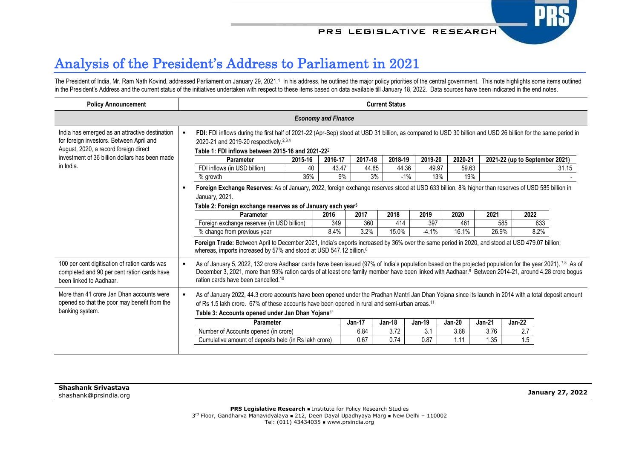## <span id="page-0-1"></span><span id="page-0-0"></span>PRS LEGISLATIVE RESEARCH



The President of India, Mr. Ram Nath Kovind, addressed Parliament on January 29, 2021.<sup>1</sup> In his address, he outlined the major policy priorities of the central government. This note highlights some items outlined in the President's Address and the current status of the initiatives undertaken with respect to these items based on data available till January 18, 2022. Data sources have been indicated in the end notes.

| <b>Policy Announcement</b>                                                                                                          |                                                                                                                                                                                                                                                |                                                                                                                                                                                                                                                                                                                                                                                  |         |         |          | <b>Current Status</b> |               |               |               |                                |       |
|-------------------------------------------------------------------------------------------------------------------------------------|------------------------------------------------------------------------------------------------------------------------------------------------------------------------------------------------------------------------------------------------|----------------------------------------------------------------------------------------------------------------------------------------------------------------------------------------------------------------------------------------------------------------------------------------------------------------------------------------------------------------------------------|---------|---------|----------|-----------------------|---------------|---------------|---------------|--------------------------------|-------|
|                                                                                                                                     | <b>Economy and Finance</b>                                                                                                                                                                                                                     |                                                                                                                                                                                                                                                                                                                                                                                  |         |         |          |                       |               |               |               |                                |       |
| India has emerged as an attractive destination<br>for foreign investors. Between April and<br>August, 2020, a record foreign direct | $\blacksquare$                                                                                                                                                                                                                                 | FDI: FDI inflows during the first half of 2021-22 (Apr-Sep) stood at USD 31 billion, as compared to USD 30 billion and USD 26 billion for the same period in<br>2020-21 and 2019-20 respectively. <sup>2,3,4</sup><br>Table 1: FDI inflows between 2015-16 and 2021-22 <sup>2</sup>                                                                                              |         |         |          |                       |               |               |               |                                |       |
| investment of 36 billion dollars has been made                                                                                      |                                                                                                                                                                                                                                                | <b>Parameter</b>                                                                                                                                                                                                                                                                                                                                                                 | 2015-16 | 2016-17 | 2017-18  | 2018-19               | 2019-20       | 2020-21       |               | 2021-22 (up to September 2021) |       |
| in India.                                                                                                                           |                                                                                                                                                                                                                                                | FDI inflows (in USD billion)                                                                                                                                                                                                                                                                                                                                                     | 40      | 43.47   | 44.85    | 44.36                 | 49.97         | 59.63         |               |                                | 31.15 |
|                                                                                                                                     |                                                                                                                                                                                                                                                | % growth                                                                                                                                                                                                                                                                                                                                                                         | 35%     | 9%      | 3%       |                       | $-1\%$<br>13% | 19%           |               |                                |       |
|                                                                                                                                     | Foreign Exchange Reserves: As of January, 2022, foreign exchange reserves stood at USD 633 billion, 8% higher than reserves of USD 585 billion in<br>January, 2021.<br>Table 2: Foreign exchange reserves as of January each year <sup>5</sup> |                                                                                                                                                                                                                                                                                                                                                                                  |         |         |          |                       |               |               |               |                                |       |
|                                                                                                                                     |                                                                                                                                                                                                                                                | Parameter                                                                                                                                                                                                                                                                                                                                                                        |         | 2016    | 2017     | 2018                  | 2019          | 2020          | 2021          | 2022                           |       |
|                                                                                                                                     |                                                                                                                                                                                                                                                | Foreign exchange reserves (in USD billion)                                                                                                                                                                                                                                                                                                                                       |         | 349     | 360      | 414                   | 397           | 461           |               | 585                            | 633   |
|                                                                                                                                     |                                                                                                                                                                                                                                                | % change from previous year                                                                                                                                                                                                                                                                                                                                                      |         | 8.4%    | 3.2%     | 15.0%                 | $-4.1%$       | 16.1%         | 26.9%         |                                | 8.2%  |
|                                                                                                                                     |                                                                                                                                                                                                                                                | Foreign Trade: Between April to December 2021, India's exports increased by 36% over the same period in 2020, and stood at USD 479.07 billion;<br>whereas, imports increased by 57% and stood at USD 547.12 billion. <sup>6</sup>                                                                                                                                                |         |         |          |                       |               |               |               |                                |       |
| 100 per cent digitisation of ration cards was<br>completed and 90 per cent ration cards have<br>been linked to Aadhaar.             | $\blacksquare$                                                                                                                                                                                                                                 | As of January 5, 2022, 132 crore Aadhaar cards have been issued (97% of India's population based on the projected population for the year 2021). 7,8 As of<br>December 3, 2021, more than 93% ration cards of at least one family member have been linked with Aadhaar. <sup>9</sup> Between 2014-21, around 4.28 crore bogus<br>ration cards have been cancelled. <sup>10</sup> |         |         |          |                       |               |               |               |                                |       |
| More than 41 crore Jan Dhan accounts were<br>opened so that the poor may benefit from the<br>banking system.                        | $\blacksquare$                                                                                                                                                                                                                                 | As of January 2022, 44.3 crore accounts have been opened under the Pradhan Mantri Jan Dhan Yojana since its launch in 2014 with a total deposit amount<br>of Rs 1.5 lakh crore. 67% of these accounts have been opened in rural and semi-urban areas. <sup>11</sup><br>Table 3: Accounts opened under Jan Dhan Yojana <sup>11</sup>                                              |         |         |          |                       |               |               |               |                                |       |
|                                                                                                                                     |                                                                                                                                                                                                                                                | Parameter                                                                                                                                                                                                                                                                                                                                                                        |         |         | $Jan-17$ | <b>Jan-18</b>         | <b>Jan-19</b> | <b>Jan-20</b> | <b>Jan-21</b> | <b>Jan-22</b>                  |       |
|                                                                                                                                     |                                                                                                                                                                                                                                                | Number of Accounts opened (in crore)                                                                                                                                                                                                                                                                                                                                             |         |         | 6.84     | 3.72                  | 3.1           | 3.68          | 3.76          | 2.7                            |       |
|                                                                                                                                     |                                                                                                                                                                                                                                                | Cumulative amount of deposits held (in Rs lakh crore)                                                                                                                                                                                                                                                                                                                            |         |         | 0.67     | 0.74                  | 0.87          | 1.11          | 1.35          | 1.5                            |       |
|                                                                                                                                     |                                                                                                                                                                                                                                                |                                                                                                                                                                                                                                                                                                                                                                                  |         |         |          |                       |               |               |               |                                |       |

| --<br>'Shash<br>rivastava<br>nank | $- -$  |
|-----------------------------------|--------|
| $\cdots$                          | 2022   |
| ∙hank@prsindia.or                 | Januar |
| shash                             |        |
| $\sim$ red                        |        |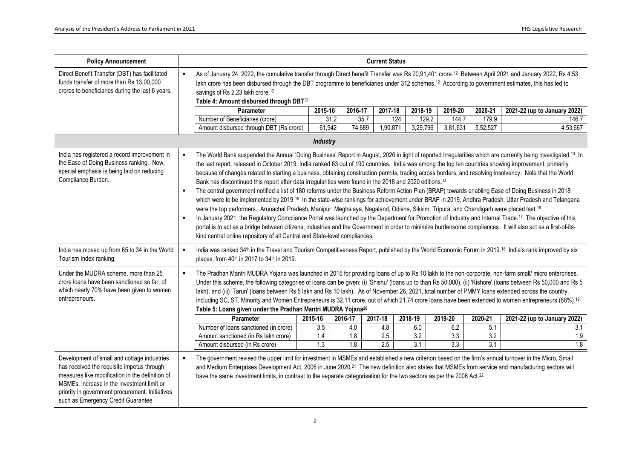<span id="page-1-1"></span><span id="page-1-0"></span>

| <b>Policy Announcement</b>                                                                                                                                                                                                                                                          |                                                    |                                                                                                                                                                                                                                                                                                                                                                                                                                                                                                                                                                                                                                                                                                                                                                                                                                                                                                                                                                                                                                                                                                                                                                                                                                                                                                                                                                                                                                                                                                                        |                                                                                                                                                                                                                                                     |            | <b>Current Status</b> |                         |                         |            |                              |  |
|-------------------------------------------------------------------------------------------------------------------------------------------------------------------------------------------------------------------------------------------------------------------------------------|----------------------------------------------------|------------------------------------------------------------------------------------------------------------------------------------------------------------------------------------------------------------------------------------------------------------------------------------------------------------------------------------------------------------------------------------------------------------------------------------------------------------------------------------------------------------------------------------------------------------------------------------------------------------------------------------------------------------------------------------------------------------------------------------------------------------------------------------------------------------------------------------------------------------------------------------------------------------------------------------------------------------------------------------------------------------------------------------------------------------------------------------------------------------------------------------------------------------------------------------------------------------------------------------------------------------------------------------------------------------------------------------------------------------------------------------------------------------------------------------------------------------------------------------------------------------------------|-----------------------------------------------------------------------------------------------------------------------------------------------------------------------------------------------------------------------------------------------------|------------|-----------------------|-------------------------|-------------------------|------------|------------------------------|--|
| Direct Benefit Transfer (DBT) has facilitated<br>funds transfer of more than Rs 13,00,000<br>crores to beneficiaries during the last 6 years.                                                                                                                                       | $\blacksquare$                                     | As of January 24, 2022, the cumulative transfer through Direct benefit Transfer was Rs 20,91,401 crore. <sup>12</sup> Between April 2021 and January 2022, Rs 4.53<br>lakh crore has been disbursed through the DBT programme to beneficiaries under 312 schemes. <sup>12</sup> According to government estimates, this has led to<br>savings of Rs 2.23 lakh crore. <sup>12</sup><br>Table 4: Amount disbursed through DBT <sup>12</sup>                                                                                                                                                                                                                                                                                                                                                                                                                                                                                                                                                                                                                                                                                                                                                                                                                                                                                                                                                                                                                                                                              |                                                                                                                                                                                                                                                     |            |                       |                         |                         |            |                              |  |
|                                                                                                                                                                                                                                                                                     |                                                    | Parameter                                                                                                                                                                                                                                                                                                                                                                                                                                                                                                                                                                                                                                                                                                                                                                                                                                                                                                                                                                                                                                                                                                                                                                                                                                                                                                                                                                                                                                                                                                              | 2015-16                                                                                                                                                                                                                                             | 2016-17    | 2017-18               | 2018-19                 | 2019-20                 | 2020-21    | 2021-22 (up to January 2022) |  |
|                                                                                                                                                                                                                                                                                     |                                                    | Number of Beneficiaries (crore)                                                                                                                                                                                                                                                                                                                                                                                                                                                                                                                                                                                                                                                                                                                                                                                                                                                                                                                                                                                                                                                                                                                                                                                                                                                                                                                                                                                                                                                                                        |                                                                                                                                                                                                                                                     | 31.2       | 35.7                  | 124                     | 129.2<br>144.7          | 179.9      | 146.7                        |  |
|                                                                                                                                                                                                                                                                                     |                                                    | Amount disbursed through DBT (Rs crore)                                                                                                                                                                                                                                                                                                                                                                                                                                                                                                                                                                                                                                                                                                                                                                                                                                                                                                                                                                                                                                                                                                                                                                                                                                                                                                                                                                                                                                                                                | 61,942                                                                                                                                                                                                                                              | 74,689     | 1,90,871              | 3,29,796                | 3,81,631                | 5,52,527   | 4,53,667                     |  |
|                                                                                                                                                                                                                                                                                     |                                                    |                                                                                                                                                                                                                                                                                                                                                                                                                                                                                                                                                                                                                                                                                                                                                                                                                                                                                                                                                                                                                                                                                                                                                                                                                                                                                                                                                                                                                                                                                                                        | <b>Industry</b>                                                                                                                                                                                                                                     |            |                       |                         |                         |            |                              |  |
| India has registered a record improvement in<br>the Ease of Doing Business ranking. Now,<br>special emphasis is being laid on reducing<br>Compliance Burden.                                                                                                                        | $\blacksquare$<br>$\blacksquare$<br>$\blacksquare$ | The World Bank suspended the Annual 'Doing Business' Report in August, 2020 in light of reported irregularities which are currently being investigated. <sup>13</sup> In<br>the last report, released in October 2019, India ranked 63 out of 190 countries. India was among the top ten countries showing improvement, primarily<br>because of changes related to starting a business, obtaining construction permits, trading across borders, and resolving insolvency. Note that the World<br>Bank has discontinued this report after data irregularities were found in the 2018 and 2020 editions. <sup>14</sup><br>The central government notified a list of 180 reforms under the Business Reform Action Plan (BRAP) towards enabling Ease of Doing Business in 2018<br>which were to be implemented by 2019. <sup>15</sup> In the state-wise rankings for achievement under BRAP in 2019, Andhra Pradesh, Uttar Pradesh and Telangana<br>were the top performers. Arunachal Pradesh, Manipur, Meghalaya, Nagaland, Odisha, Sikkim, Tripura, and Chandigarh were placed last. <sup>16</sup><br>In January 2021, the Regulatory Compliance Portal was launched by the Department for Promotion of Industry and Internal Trade. <sup>17</sup> The objective of this<br>portal is to act as a bridge between citizens, industries and the Government in order to minimize burdensome compliances. It will also act as a first-of-its-<br>kind central online repository of all Central and State-level compliances. |                                                                                                                                                                                                                                                     |            |                       |                         |                         |            |                              |  |
| India has moved up from 65 to 34 in the World<br>Tourism Index ranking.                                                                                                                                                                                                             | $\blacksquare$                                     |                                                                                                                                                                                                                                                                                                                                                                                                                                                                                                                                                                                                                                                                                                                                                                                                                                                                                                                                                                                                                                                                                                                                                                                                                                                                                                                                                                                                                                                                                                                        | India was ranked 34 <sup>th</sup> in the Travel and Tourism Competitiveness Report, published by the World Economic Forum in 2019. <sup>18</sup> India's rank improved by six<br>places, from 40 <sup>th</sup> in 2017 to 34 <sup>th</sup> in 2019. |            |                       |                         |                         |            |                              |  |
| Under the MUDRA scheme, more than 25<br>crore loans have been sanctioned so far, of<br>which nearly 70% have been given to women<br>entrepreneurs.                                                                                                                                  | $\blacksquare$                                     | The Pradhan Mantri MUDRA Yojana was launched in 2015 for providing loans of up to Rs 10 lakh to the non-corporate, non-farm small/ micro enterprises.<br>Under this scheme, the following categories of loans can be given: (i) 'Shishu' (loans up to than Rs 50,000), (ii) 'Kishore' (loans between Rs 50,000 and Rs 5<br>lakh), and (iii) 'Tarun' (loans between Rs 5 lakh and Rs 10 lakh). As of November 26, 2021, total number of PMMY loans extended across the country,<br>including SC, ST, Minority and Women Entrepreneurs is 32.11 crore, out of which 21.74 crore loans have been extended to women entrepreneurs (68%). <sup>19</sup><br>Table 5: Loans given under the Pradhan Mantri MUDRA Yojana <sup>20</sup>                                                                                                                                                                                                                                                                                                                                                                                                                                                                                                                                                                                                                                                                                                                                                                                         |                                                                                                                                                                                                                                                     |            |                       |                         |                         |            |                              |  |
|                                                                                                                                                                                                                                                                                     |                                                    | Parameter                                                                                                                                                                                                                                                                                                                                                                                                                                                                                                                                                                                                                                                                                                                                                                                                                                                                                                                                                                                                                                                                                                                                                                                                                                                                                                                                                                                                                                                                                                              | 2015-16                                                                                                                                                                                                                                             | 2016-17    | 2017-18               | 2018-19                 | 2019-20                 | 2020-21    | 2021-22 (up to January 2022) |  |
|                                                                                                                                                                                                                                                                                     |                                                    | Number of loans sanctioned (in crore)                                                                                                                                                                                                                                                                                                                                                                                                                                                                                                                                                                                                                                                                                                                                                                                                                                                                                                                                                                                                                                                                                                                                                                                                                                                                                                                                                                                                                                                                                  | 3.5                                                                                                                                                                                                                                                 | 4.0        | 4.8                   | 6.0                     | 6.2                     | 5.1        | 3.1                          |  |
|                                                                                                                                                                                                                                                                                     |                                                    | Amount sanctioned (in Rs lakh crore)                                                                                                                                                                                                                                                                                                                                                                                                                                                                                                                                                                                                                                                                                                                                                                                                                                                                                                                                                                                                                                                                                                                                                                                                                                                                                                                                                                                                                                                                                   | 1.4<br>1.3                                                                                                                                                                                                                                          | 1.8<br>1.8 | 2.5<br>2.5            | 3.2<br>$\overline{3.1}$ | 3.3<br>$\overline{3.3}$ | 3.2<br>3.1 | 1.9<br>$\overline{1.8}$      |  |
| Development of small and cottage industries<br>has received the requisite impetus through<br>measures like modification in the definition of<br>MSMEs, increase in the investment limit or<br>priority in government procurement. Initiatives<br>such as Emergency Credit Guarantee | $\blacksquare$                                     | Amount disbursed (in Rs crore)<br>The government revised the upper limit for investment in MSMEs and established a new criterion based on the firm's annual turnover in the Micro, Small<br>and Medium Enterprises Development Act, 2006 in June 2020. <sup>21</sup> The new definition also states that MSMEs from service and manufacturing sectors will<br>have the same investment limits, in contrast to the separate categorisation for the two sectors as per the 2006 Act. <sup>22</sup>                                                                                                                                                                                                                                                                                                                                                                                                                                                                                                                                                                                                                                                                                                                                                                                                                                                                                                                                                                                                                       |                                                                                                                                                                                                                                                     |            |                       |                         |                         |            |                              |  |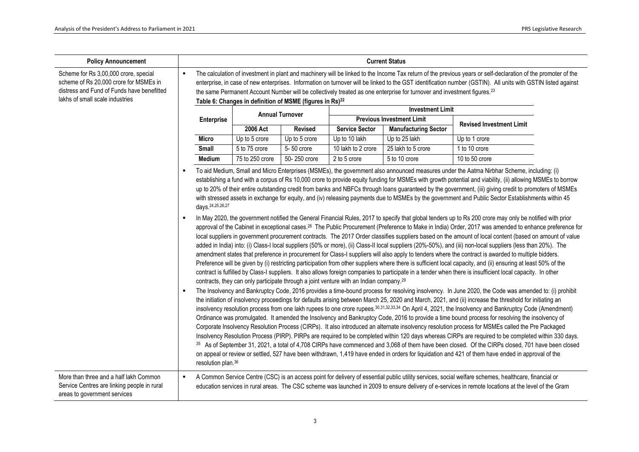| <b>Policy Announcement</b>                                                                                                    |                                                                                                                                                                                                                                                                                                                                                                                                                                                                                        |                                                                                                                                                                                                                                                                                                                                                                                                                                                                                                                                                                                                                                                                  |                |                                                                                                    | <b>Current Status</b>            |                                                                                                                                                                                                                                                                                                                                                                                                                                                                                                                                                                                                                                                                                                                                                                                                                                                                                                                                                                                                                                                                                                                                                                                                                                                                                                                                                                                                                                                                                                                                                                                                                                                                                                                                                                                                                                                                                                                                                                                                                                                                                                                                                                                                                                                       |  |  |  |  |
|-------------------------------------------------------------------------------------------------------------------------------|----------------------------------------------------------------------------------------------------------------------------------------------------------------------------------------------------------------------------------------------------------------------------------------------------------------------------------------------------------------------------------------------------------------------------------------------------------------------------------------|------------------------------------------------------------------------------------------------------------------------------------------------------------------------------------------------------------------------------------------------------------------------------------------------------------------------------------------------------------------------------------------------------------------------------------------------------------------------------------------------------------------------------------------------------------------------------------------------------------------------------------------------------------------|----------------|----------------------------------------------------------------------------------------------------|----------------------------------|-------------------------------------------------------------------------------------------------------------------------------------------------------------------------------------------------------------------------------------------------------------------------------------------------------------------------------------------------------------------------------------------------------------------------------------------------------------------------------------------------------------------------------------------------------------------------------------------------------------------------------------------------------------------------------------------------------------------------------------------------------------------------------------------------------------------------------------------------------------------------------------------------------------------------------------------------------------------------------------------------------------------------------------------------------------------------------------------------------------------------------------------------------------------------------------------------------------------------------------------------------------------------------------------------------------------------------------------------------------------------------------------------------------------------------------------------------------------------------------------------------------------------------------------------------------------------------------------------------------------------------------------------------------------------------------------------------------------------------------------------------------------------------------------------------------------------------------------------------------------------------------------------------------------------------------------------------------------------------------------------------------------------------------------------------------------------------------------------------------------------------------------------------------------------------------------------------------------------------------------------------|--|--|--|--|
| Scheme for Rs 3,00,000 crore, special<br>scheme of Rs 20,000 crore for MSMEs in<br>distress and Fund of Funds have benefitted | The calculation of investment in plant and machinery will be linked to the Income Tax return of the previous years or self-declaration of the promoter of the<br>$\blacksquare$<br>enterprise, in case of new enterprises. Information on turnover will be linked to the GST identification number (GSTIN). All units with GSTIN listed against<br>the same Permanent Account Number will be collectively treated as one enterprise for turnover and investment figures. <sup>23</sup> |                                                                                                                                                                                                                                                                                                                                                                                                                                                                                                                                                                                                                                                                  |                |                                                                                                    |                                  |                                                                                                                                                                                                                                                                                                                                                                                                                                                                                                                                                                                                                                                                                                                                                                                                                                                                                                                                                                                                                                                                                                                                                                                                                                                                                                                                                                                                                                                                                                                                                                                                                                                                                                                                                                                                                                                                                                                                                                                                                                                                                                                                                                                                                                                       |  |  |  |  |
| lakhs of small scale industries                                                                                               |                                                                                                                                                                                                                                                                                                                                                                                                                                                                                        | Table 6: Changes in definition of MSME (figures in Rs) <sup>22</sup>                                                                                                                                                                                                                                                                                                                                                                                                                                                                                                                                                                                             |                |                                                                                                    |                                  |                                                                                                                                                                                                                                                                                                                                                                                                                                                                                                                                                                                                                                                                                                                                                                                                                                                                                                                                                                                                                                                                                                                                                                                                                                                                                                                                                                                                                                                                                                                                                                                                                                                                                                                                                                                                                                                                                                                                                                                                                                                                                                                                                                                                                                                       |  |  |  |  |
|                                                                                                                               |                                                                                                                                                                                                                                                                                                                                                                                                                                                                                        |                                                                                                                                                                                                                                                                                                                                                                                                                                                                                                                                                                                                                                                                  |                |                                                                                                    | <b>Investment Limit</b>          |                                                                                                                                                                                                                                                                                                                                                                                                                                                                                                                                                                                                                                                                                                                                                                                                                                                                                                                                                                                                                                                                                                                                                                                                                                                                                                                                                                                                                                                                                                                                                                                                                                                                                                                                                                                                                                                                                                                                                                                                                                                                                                                                                                                                                                                       |  |  |  |  |
|                                                                                                                               | <b>Enterprise</b>                                                                                                                                                                                                                                                                                                                                                                                                                                                                      | <b>Annual Turnover</b>                                                                                                                                                                                                                                                                                                                                                                                                                                                                                                                                                                                                                                           |                |                                                                                                    | <b>Previous Investment Limit</b> |                                                                                                                                                                                                                                                                                                                                                                                                                                                                                                                                                                                                                                                                                                                                                                                                                                                                                                                                                                                                                                                                                                                                                                                                                                                                                                                                                                                                                                                                                                                                                                                                                                                                                                                                                                                                                                                                                                                                                                                                                                                                                                                                                                                                                                                       |  |  |  |  |
|                                                                                                                               |                                                                                                                                                                                                                                                                                                                                                                                                                                                                                        | 2006 Act                                                                                                                                                                                                                                                                                                                                                                                                                                                                                                                                                                                                                                                         | <b>Revised</b> | <b>Service Sector</b>                                                                              | <b>Manufacturing Sector</b>      | <b>Revised Investment Limit</b>                                                                                                                                                                                                                                                                                                                                                                                                                                                                                                                                                                                                                                                                                                                                                                                                                                                                                                                                                                                                                                                                                                                                                                                                                                                                                                                                                                                                                                                                                                                                                                                                                                                                                                                                                                                                                                                                                                                                                                                                                                                                                                                                                                                                                       |  |  |  |  |
|                                                                                                                               | Micro                                                                                                                                                                                                                                                                                                                                                                                                                                                                                  | Up to 5 crore                                                                                                                                                                                                                                                                                                                                                                                                                                                                                                                                                                                                                                                    | Up to 5 crore  | Up to 10 lakh                                                                                      | Up to 25 lakh                    | Up to 1 crore                                                                                                                                                                                                                                                                                                                                                                                                                                                                                                                                                                                                                                                                                                                                                                                                                                                                                                                                                                                                                                                                                                                                                                                                                                                                                                                                                                                                                                                                                                                                                                                                                                                                                                                                                                                                                                                                                                                                                                                                                                                                                                                                                                                                                                         |  |  |  |  |
|                                                                                                                               | Small                                                                                                                                                                                                                                                                                                                                                                                                                                                                                  | 5 to 75 crore                                                                                                                                                                                                                                                                                                                                                                                                                                                                                                                                                                                                                                                    | 5-50 crore     | 10 lakh to 2 crore                                                                                 | 25 lakh to 5 crore               | 1 to 10 crore                                                                                                                                                                                                                                                                                                                                                                                                                                                                                                                                                                                                                                                                                                                                                                                                                                                                                                                                                                                                                                                                                                                                                                                                                                                                                                                                                                                                                                                                                                                                                                                                                                                                                                                                                                                                                                                                                                                                                                                                                                                                                                                                                                                                                                         |  |  |  |  |
|                                                                                                                               | Medium                                                                                                                                                                                                                                                                                                                                                                                                                                                                                 | 75 to 250 crore                                                                                                                                                                                                                                                                                                                                                                                                                                                                                                                                                                                                                                                  | 50-250 crore   | 2 to 5 crore                                                                                       | 5 to 10 crore                    | 10 to 50 crore                                                                                                                                                                                                                                                                                                                                                                                                                                                                                                                                                                                                                                                                                                                                                                                                                                                                                                                                                                                                                                                                                                                                                                                                                                                                                                                                                                                                                                                                                                                                                                                                                                                                                                                                                                                                                                                                                                                                                                                                                                                                                                                                                                                                                                        |  |  |  |  |
|                                                                                                                               |                                                                                                                                                                                                                                                                                                                                                                                                                                                                                        | establishing a fund with a corpus of Rs 10,000 crore to provide equity funding for MSMEs with growth potential and viability, (ii) allowing MSMEs to borrow<br>up to 20% of their entire outstanding credit from banks and NBFCs through loans guaranteed by the government, (iii) giving credit to promoters of MSMEs<br>with stressed assets in exchange for equity, and (iv) releasing payments due to MSMEs by the government and Public Sector Establishments within 45<br>days. 24, 25, 26, 27<br>In May 2020, the government notified the General Financial Rules, 2017 to specify that global tenders up to Rs 200 crore may only be notified with prior |                |                                                                                                    |                                  |                                                                                                                                                                                                                                                                                                                                                                                                                                                                                                                                                                                                                                                                                                                                                                                                                                                                                                                                                                                                                                                                                                                                                                                                                                                                                                                                                                                                                                                                                                                                                                                                                                                                                                                                                                                                                                                                                                                                                                                                                                                                                                                                                                                                                                                       |  |  |  |  |
|                                                                                                                               | $\blacksquare$<br>$\blacksquare$<br>resolution plan. <sup>36</sup>                                                                                                                                                                                                                                                                                                                                                                                                                     |                                                                                                                                                                                                                                                                                                                                                                                                                                                                                                                                                                                                                                                                  |                | contracts, they can only participate through a joint venture with an Indian company. <sup>29</sup> |                                  | approval of the Cabinet in exceptional cases. <sup>28</sup> The Public Procurement (Preference to Make in India) Order, 2017 was amended to enhance preference for<br>local suppliers in government procurement contracts. The 2017 Order classifies suppliers based on the amount of local content (based on amount of value<br>added in India) into: (i) Class-I local suppliers (50% or more), (ii) Class-II local suppliers (20%-50%), and (iii) non-local suppliers (less than 20%). The<br>amendment states that preference in procurement for Class-I suppliers will also apply to tenders where the contract is awarded to multiple bidders.<br>Preference will be given by (i) restricting participation from other suppliers where there is sufficient local capacity, and (ii) ensuring at least 50% of the<br>contract is fulfilled by Class-I suppliers. It also allows foreign companies to participate in a tender when there is insufficient local capacity. In other<br>The Insolvency and Bankruptcy Code, 2016 provides a time-bound process for resolving insolvency. In June 2020, the Code was amended to: (i) prohibit<br>the initiation of insolvency proceedings for defaults arising between March 25, 2020 and March, 2021, and (ii) increase the threshold for initiating an<br>insolvency resolution process from one lakh rupees to one crore rupees. <sup>30,31,32,33,34</sup> On April 4, 2021, the Insolvency and Bankruptcy Code (Amendment)<br>Ordinance was promulgated. It amended the Insolvency and Bankruptcy Code, 2016 to provide a time bound process for resolving the insolvency of<br>Corporate Insolvency Resolution Process (CIRPs). It also introduced an alternate insolvency resolution process for MSMEs called the Pre Packaged<br>Insolvency Resolution Process (PIRP). PIRPs are required to be completed within 120 days whereas CIRPs are required to be completed within 330 days.<br>35 As of September 31, 2021, a total of 4,708 CIRPs have commenced and 3,068 of them have been closed. Of the CIRPs closed, 701 have been closed<br>on appeal or review or settled, 527 have been withdrawn, 1,419 have ended in orders for liquidation and 421 of them have ended in approval of the |  |  |  |  |
| More than three and a half lakh Common<br>Service Centres are linking people in rural<br>areas to government services         | ٠                                                                                                                                                                                                                                                                                                                                                                                                                                                                                      |                                                                                                                                                                                                                                                                                                                                                                                                                                                                                                                                                                                                                                                                  |                |                                                                                                    |                                  | A Common Service Centre (CSC) is an access point for delivery of essential public utility services, social welfare schemes, healthcare, financial or<br>education services in rural areas. The CSC scheme was launched in 2009 to ensure delivery of e-services in remote locations at the level of the Gram                                                                                                                                                                                                                                                                                                                                                                                                                                                                                                                                                                                                                                                                                                                                                                                                                                                                                                                                                                                                                                                                                                                                                                                                                                                                                                                                                                                                                                                                                                                                                                                                                                                                                                                                                                                                                                                                                                                                          |  |  |  |  |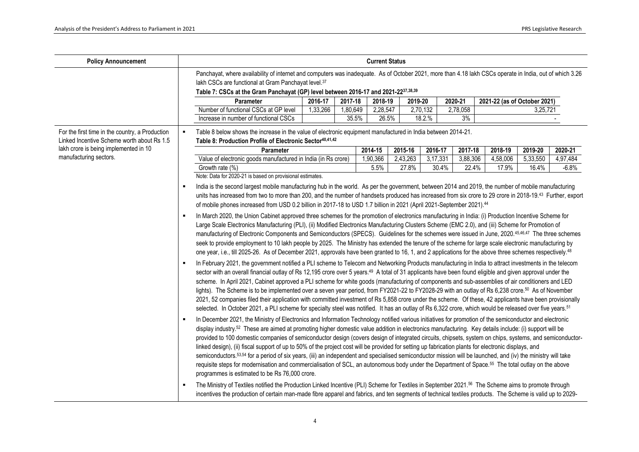<span id="page-3-0"></span>

| <b>Policy Announcement</b>                                                                    | <b>Current Status</b>                                                                            |                                                                                                                                                                                                                                                                                                                                                                                                                                                                                                                                                                                                                                                                                                                                                                                                                                                                                                                                                                                                                                                                                                                                                                                                                                                                                                                                                                                                                                                                                                                                                                                                                                                                                                                                                                                                                                                                                                                                                                                                                                                                                                                                                                                                                 |          |          |          |          |          |          |             |                                                                                                                                                                     |          |          |
|-----------------------------------------------------------------------------------------------|--------------------------------------------------------------------------------------------------|-----------------------------------------------------------------------------------------------------------------------------------------------------------------------------------------------------------------------------------------------------------------------------------------------------------------------------------------------------------------------------------------------------------------------------------------------------------------------------------------------------------------------------------------------------------------------------------------------------------------------------------------------------------------------------------------------------------------------------------------------------------------------------------------------------------------------------------------------------------------------------------------------------------------------------------------------------------------------------------------------------------------------------------------------------------------------------------------------------------------------------------------------------------------------------------------------------------------------------------------------------------------------------------------------------------------------------------------------------------------------------------------------------------------------------------------------------------------------------------------------------------------------------------------------------------------------------------------------------------------------------------------------------------------------------------------------------------------------------------------------------------------------------------------------------------------------------------------------------------------------------------------------------------------------------------------------------------------------------------------------------------------------------------------------------------------------------------------------------------------------------------------------------------------------------------------------------------------|----------|----------|----------|----------|----------|----------|-------------|---------------------------------------------------------------------------------------------------------------------------------------------------------------------|----------|----------|
|                                                                                               |                                                                                                  | Panchayat, where availability of internet and computers was inadequate. As of October 2021, more than 4.18 lakh CSCs operate in India, out of which 3.26<br>lakh CSCs are functional at Gram Panchayat level.37<br>Table 7: CSCs at the Gram Panchayat (GP) level between 2016-17 and 2021-2237,38,39                                                                                                                                                                                                                                                                                                                                                                                                                                                                                                                                                                                                                                                                                                                                                                                                                                                                                                                                                                                                                                                                                                                                                                                                                                                                                                                                                                                                                                                                                                                                                                                                                                                                                                                                                                                                                                                                                                           |          |          |          |          |          |          |             |                                                                                                                                                                     |          |          |
|                                                                                               | 2016-17<br>2017-18<br>2020-21<br>2021-22 (as of October 2021)<br>Parameter<br>2018-19<br>2019-20 |                                                                                                                                                                                                                                                                                                                                                                                                                                                                                                                                                                                                                                                                                                                                                                                                                                                                                                                                                                                                                                                                                                                                                                                                                                                                                                                                                                                                                                                                                                                                                                                                                                                                                                                                                                                                                                                                                                                                                                                                                                                                                                                                                                                                                 |          |          |          |          |          |          |             |                                                                                                                                                                     |          |          |
|                                                                                               |                                                                                                  | Number of functional CSCs at GP level                                                                                                                                                                                                                                                                                                                                                                                                                                                                                                                                                                                                                                                                                                                                                                                                                                                                                                                                                                                                                                                                                                                                                                                                                                                                                                                                                                                                                                                                                                                                                                                                                                                                                                                                                                                                                                                                                                                                                                                                                                                                                                                                                                           | 1,33,266 | 1,80,649 |          | 2,28,547 |          | 2,70,132 | 2,78,058    |                                                                                                                                                                     | 3,25,721 |          |
|                                                                                               |                                                                                                  | Increase in number of functional CSCs                                                                                                                                                                                                                                                                                                                                                                                                                                                                                                                                                                                                                                                                                                                                                                                                                                                                                                                                                                                                                                                                                                                                                                                                                                                                                                                                                                                                                                                                                                                                                                                                                                                                                                                                                                                                                                                                                                                                                                                                                                                                                                                                                                           |          | 35.5%    |          | 26.5%    |          | 18.2%    | 3%          |                                                                                                                                                                     |          |          |
| For the first time in the country, a Production<br>Linked Incentive Scheme worth about Rs 1.5 | $\blacksquare$                                                                                   | Table 8 below shows the increase in the value of electronic equipment manufactured in India between 2014-21.<br>Table 8: Production Profile of Electronic Sector <sup>40,41,42</sup>                                                                                                                                                                                                                                                                                                                                                                                                                                                                                                                                                                                                                                                                                                                                                                                                                                                                                                                                                                                                                                                                                                                                                                                                                                                                                                                                                                                                                                                                                                                                                                                                                                                                                                                                                                                                                                                                                                                                                                                                                            |          |          |          |          |          |          |             |                                                                                                                                                                     |          |          |
| lakh crore is being implemented in 10                                                         |                                                                                                  | Parameter                                                                                                                                                                                                                                                                                                                                                                                                                                                                                                                                                                                                                                                                                                                                                                                                                                                                                                                                                                                                                                                                                                                                                                                                                                                                                                                                                                                                                                                                                                                                                                                                                                                                                                                                                                                                                                                                                                                                                                                                                                                                                                                                                                                                       |          |          | 2014-15  |          | 2015-16  | 2016-17  | $2017 - 18$ | 2018-19                                                                                                                                                             | 2019-20  | 2020-21  |
| manufacturing sectors.                                                                        |                                                                                                  | Value of electronic goods manufactured in India (in Rs crore)                                                                                                                                                                                                                                                                                                                                                                                                                                                                                                                                                                                                                                                                                                                                                                                                                                                                                                                                                                                                                                                                                                                                                                                                                                                                                                                                                                                                                                                                                                                                                                                                                                                                                                                                                                                                                                                                                                                                                                                                                                                                                                                                                   |          |          | 1,90,366 |          | 2,43,263 | 3,17,331 | 3,88,306    | 4,58,006                                                                                                                                                            | 5,33,550 | 4,97,484 |
|                                                                                               |                                                                                                  | Growth rate (%)<br>Note: Data for 2020-21 is based on provisional estimates.                                                                                                                                                                                                                                                                                                                                                                                                                                                                                                                                                                                                                                                                                                                                                                                                                                                                                                                                                                                                                                                                                                                                                                                                                                                                                                                                                                                                                                                                                                                                                                                                                                                                                                                                                                                                                                                                                                                                                                                                                                                                                                                                    |          |          | 5.5%     |          | 27.8%    | 30.4%    | 22.4%       | 17.9%                                                                                                                                                               | 16.4%    | $-6.8%$  |
|                                                                                               | $\blacksquare$<br>$\blacksquare$                                                                 | India is the second largest mobile manufacturing hub in the world. As per the government, between 2014 and 2019, the number of mobile manufacturing<br>units has increased from two to more than 200, and the number of handsets produced has increased from six crore to 29 crore in 2018-19.43 Further, export<br>of mobile phones increased from USD 0.2 billion in 2017-18 to USD 1.7 billion in 2021 (April 2021-September 2021). <sup>44</sup><br>In March 2020, the Union Cabinet approved three schemes for the promotion of electronics manufacturing in India: (i) Production Incentive Scheme for<br>Large Scale Electronics Manufacturing (PLI), (ii) Modified Electronics Manufacturing Clusters Scheme (EMC 2.0), and (iii) Scheme for Promotion of<br>manufacturing of Electronic Components and Semiconductors (SPECS). Guidelines for the schemes were issued in June, 2020.45,46,47 The three schemes<br>seek to provide employment to 10 lakh people by 2025. The Ministry has extended the tenure of the scheme for large scale electronic manufacturing by                                                                                                                                                                                                                                                                                                                                                                                                                                                                                                                                                                                                                                                                                                                                                                                                                                                                                                                                                                                                                                                                                                                                 |          |          |          |          |          |          |             | one year, i.e., till 2025-26. As of December 2021, approvals have been granted to 16, 1, and 2 applications for the above three schemes respectively. <sup>48</sup> |          |          |
|                                                                                               | $\blacksquare$<br>$\blacksquare$<br>$\blacksquare$                                               | In February 2021, the government notified a PLI scheme to Telecom and Networking Products manufacturing in India to attract investments in the telecom<br>sector with an overall financial outlay of Rs 12,195 crore over 5 years. <sup>49</sup> A total of 31 applicants have been found eligible and given approval under the<br>scheme. In April 2021, Cabinet approved a PLI scheme for white goods (manufacturing of components and sub-assemblies of air conditioners and LED<br>lights). The Scheme is to be implemented over a seven year period, from FY2021-22 to FY2028-29 with an outlay of Rs 6,238 crore. <sup>50</sup> As of November<br>2021, 52 companies filed their application with committed investment of Rs 5,858 crore under the scheme. Of these, 42 applicants have been provisionally<br>selected. In October 2021, a PLI scheme for specialty steel was notified. It has an outlay of Rs 6,322 crore, which would be released over five years. <sup>51</sup><br>In December 2021, the Ministry of Electronics and Information Technology notified various initiatives for promotion of the semiconductor and electronic<br>display industry. <sup>52</sup> These are aimed at promoting higher domestic value addition in electronics manufacturing. Key details include: (i) support will be<br>provided to 100 domestic companies of semiconductor design (covers design of integrated circuits, chipsets, system on chips, systems, and semiconductor-<br>linked design), (ii) fiscal support of up to 50% of the project cost will be provided for setting up fabrication plants for electronic displays, and<br>semiconductors. <sup>53,54</sup> for a period of six years, (iii) an independent and specialised semiconductor mission will be launched, and (iv) the ministry will take<br>requisite steps for modernisation and commercialisation of SCL, an autonomous body under the Department of Space. <sup>55</sup> The total outlay on the above<br>programmes is estimated to be Rs 76,000 crore.<br>The Ministry of Textiles notified the Production Linked Incentive (PLI) Scheme for Textiles in September 2021. <sup>56</sup> The Scheme aims to promote through |          |          |          |          |          |          |             |                                                                                                                                                                     |          |          |
|                                                                                               |                                                                                                  | incentives the production of certain man-made fibre apparel and fabrics, and ten segments of technical textiles products. The Scheme is valid up to 2029-                                                                                                                                                                                                                                                                                                                                                                                                                                                                                                                                                                                                                                                                                                                                                                                                                                                                                                                                                                                                                                                                                                                                                                                                                                                                                                                                                                                                                                                                                                                                                                                                                                                                                                                                                                                                                                                                                                                                                                                                                                                       |          |          |          |          |          |          |             |                                                                                                                                                                     |          |          |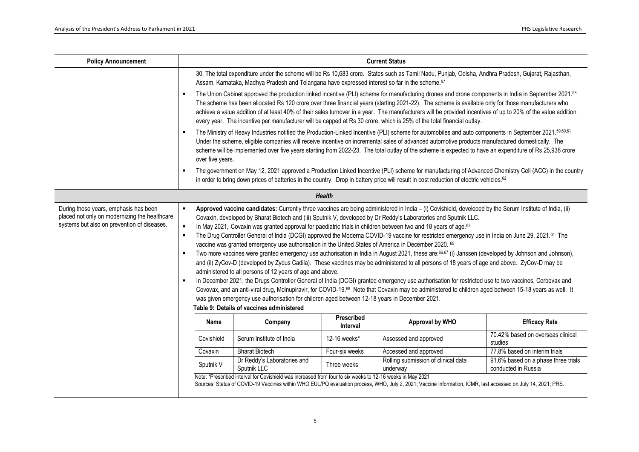| <b>Policy Announcement</b>                                                                                                            |                                                                                                                                                                                                                                                                                                                                                                                                                                                                                                                                                                                                                                                                                                                                                                                                                                                                                                                                                                                                                                                                                                                                 |                                                                                                                                                                                                                                                                                                                                                                                                                                                                                                                                                                                                                                                                                                                                                                                                                                                                                                                                                                                                                                                                                                                                                                                                                                                                                                                                                                                                                                                                                   |                               | <b>Current Status</b>               |                                                            |  |  |  |  |  |
|---------------------------------------------------------------------------------------------------------------------------------------|---------------------------------------------------------------------------------------------------------------------------------------------------------------------------------------------------------------------------------------------------------------------------------------------------------------------------------------------------------------------------------------------------------------------------------------------------------------------------------------------------------------------------------------------------------------------------------------------------------------------------------------------------------------------------------------------------------------------------------------------------------------------------------------------------------------------------------------------------------------------------------------------------------------------------------------------------------------------------------------------------------------------------------------------------------------------------------------------------------------------------------|-----------------------------------------------------------------------------------------------------------------------------------------------------------------------------------------------------------------------------------------------------------------------------------------------------------------------------------------------------------------------------------------------------------------------------------------------------------------------------------------------------------------------------------------------------------------------------------------------------------------------------------------------------------------------------------------------------------------------------------------------------------------------------------------------------------------------------------------------------------------------------------------------------------------------------------------------------------------------------------------------------------------------------------------------------------------------------------------------------------------------------------------------------------------------------------------------------------------------------------------------------------------------------------------------------------------------------------------------------------------------------------------------------------------------------------------------------------------------------------|-------------------------------|-------------------------------------|------------------------------------------------------------|--|--|--|--|--|
|                                                                                                                                       |                                                                                                                                                                                                                                                                                                                                                                                                                                                                                                                                                                                                                                                                                                                                                                                                                                                                                                                                                                                                                                                                                                                                 | 30. The total expenditure under the scheme will be Rs 10,683 crore. States such as Tamil Nadu, Punjab, Odisha, Andhra Pradesh, Gujarat, Rajasthan,<br>Assam, Karnataka, Madhya Pradesh and Telangana have expressed interest so far in the scheme. <sup>57</sup>                                                                                                                                                                                                                                                                                                                                                                                                                                                                                                                                                                                                                                                                                                                                                                                                                                                                                                                                                                                                                                                                                                                                                                                                                  |                               |                                     |                                                            |  |  |  |  |  |
|                                                                                                                                       | The Union Cabinet approved the production linked incentive (PLI) scheme for manufacturing drones and drone components in India in September 2021. <sup>58</sup><br>$\blacksquare$<br>The scheme has been allocated Rs 120 crore over three financial years (starting 2021-22). The scheme is available only for those manufacturers who<br>achieve a value addition of at least 40% of their sales turnover in a year. The manufacturers will be provided incentives of up to 20% of the value addition<br>every year. The incentive per manufacturer will be capped at Rs 30 crore, which is 25% of the total financial outlay.<br>The Ministry of Heavy Industries notified the Production-Linked Incentive (PLI) scheme for automobiles and auto components in September 2021.59,60,61<br>٠<br>Under the scheme, eligible companies will receive incentive on incremental sales of advanced automotive products manufactured domestically. The<br>scheme will be implemented over five years starting from 2022-23. The total outlay of the scheme is expected to have an expenditure of Rs 25,938 crore<br>over five years. |                                                                                                                                                                                                                                                                                                                                                                                                                                                                                                                                                                                                                                                                                                                                                                                                                                                                                                                                                                                                                                                                                                                                                                                                                                                                                                                                                                                                                                                                                   |                               |                                     |                                                            |  |  |  |  |  |
|                                                                                                                                       |                                                                                                                                                                                                                                                                                                                                                                                                                                                                                                                                                                                                                                                                                                                                                                                                                                                                                                                                                                                                                                                                                                                                 |                                                                                                                                                                                                                                                                                                                                                                                                                                                                                                                                                                                                                                                                                                                                                                                                                                                                                                                                                                                                                                                                                                                                                                                                                                                                                                                                                                                                                                                                                   |                               |                                     |                                                            |  |  |  |  |  |
|                                                                                                                                       | The government on May 12, 2021 approved a Production Linked Incentive (PLI) scheme for manufacturing of Advanced Chemistry Cell (ACC) in the country<br>$\blacksquare$<br>in order to bring down prices of batteries in the country. Drop in battery price will result in cost reduction of electric vehicles. <sup>62</sup>                                                                                                                                                                                                                                                                                                                                                                                                                                                                                                                                                                                                                                                                                                                                                                                                    |                                                                                                                                                                                                                                                                                                                                                                                                                                                                                                                                                                                                                                                                                                                                                                                                                                                                                                                                                                                                                                                                                                                                                                                                                                                                                                                                                                                                                                                                                   |                               |                                     |                                                            |  |  |  |  |  |
|                                                                                                                                       |                                                                                                                                                                                                                                                                                                                                                                                                                                                                                                                                                                                                                                                                                                                                                                                                                                                                                                                                                                                                                                                                                                                                 |                                                                                                                                                                                                                                                                                                                                                                                                                                                                                                                                                                                                                                                                                                                                                                                                                                                                                                                                                                                                                                                                                                                                                                                                                                                                                                                                                                                                                                                                                   | <b>Health</b>                 |                                     |                                                            |  |  |  |  |  |
| During these years, emphasis has been<br>placed not only on modernizing the healthcare<br>systems but also on prevention of diseases. | $\blacksquare$<br>$\blacksquare$<br>$\blacksquare$<br>$\blacksquare$<br>$\blacksquare$<br>Table 9: Details of vaccines administered                                                                                                                                                                                                                                                                                                                                                                                                                                                                                                                                                                                                                                                                                                                                                                                                                                                                                                                                                                                             | Approved vaccine candidates: Currently three vaccines are being administered in India - (i) Covishield, developed by the Serum Institute of India, (ii)<br>Covaxin, developed by Bharat Biotech and (iii) Sputnik V, developed by Dr Reddy's Laboratories and Sputnik LLC.<br>In May 2021, Covaxin was granted approval for paediatric trials in children between two and 18 years of age. <sup>63</sup><br>The Drug Controller General of India (DCGI) approved the Moderna COVID-19 vaccine for restricted emergency use in India on June 29, 2021. <sup>64</sup> The<br>vaccine was granted emergency use authorisation in the United States of America in December 2020. 65<br>Two more vaccines were granted emergency use authorisation in India in August 2021, these are: 66,67 (i) Janssen (developed by Johnson and Johnson),<br>and (ii) ZyCov-D (developed by Zydus Cadila). These vaccines may be administered to all persons of 18 years of age and above. ZyCov-D may be<br>administered to all persons of 12 years of age and above.<br>In December 2021, the Drugs Controller General of India (DCGI) granted emergency use authorisation for restricted use to two vaccines, Corbevax and<br>Covovax, and an anti-viral drug, Molnupiravir, for COVID-19. <sup>68</sup> Note that Covaxin may be administered to children aged between 15-18 years as well. It<br>was given emergency use authorisation for children aged between 12-18 years in December 2021. |                               |                                     |                                                            |  |  |  |  |  |
|                                                                                                                                       | Name                                                                                                                                                                                                                                                                                                                                                                                                                                                                                                                                                                                                                                                                                                                                                                                                                                                                                                                                                                                                                                                                                                                            | Company                                                                                                                                                                                                                                                                                                                                                                                                                                                                                                                                                                                                                                                                                                                                                                                                                                                                                                                                                                                                                                                                                                                                                                                                                                                                                                                                                                                                                                                                           | <b>Prescribed</b><br>Interval | Approval by WHO                     | <b>Efficacy Rate</b>                                       |  |  |  |  |  |
|                                                                                                                                       | Covishield                                                                                                                                                                                                                                                                                                                                                                                                                                                                                                                                                                                                                                                                                                                                                                                                                                                                                                                                                                                                                                                                                                                      | Serum Institute of India                                                                                                                                                                                                                                                                                                                                                                                                                                                                                                                                                                                                                                                                                                                                                                                                                                                                                                                                                                                                                                                                                                                                                                                                                                                                                                                                                                                                                                                          | 12-16 weeks*                  | Assessed and approved               | 70.42% based on overseas clinical<br>studies               |  |  |  |  |  |
|                                                                                                                                       | Covaxin                                                                                                                                                                                                                                                                                                                                                                                                                                                                                                                                                                                                                                                                                                                                                                                                                                                                                                                                                                                                                                                                                                                         | <b>Bharat Biotech</b>                                                                                                                                                                                                                                                                                                                                                                                                                                                                                                                                                                                                                                                                                                                                                                                                                                                                                                                                                                                                                                                                                                                                                                                                                                                                                                                                                                                                                                                             | Four-six weeks                | Accessed and approved               | 77.8% based on interim trials                              |  |  |  |  |  |
|                                                                                                                                       | Sputnik V                                                                                                                                                                                                                                                                                                                                                                                                                                                                                                                                                                                                                                                                                                                                                                                                                                                                                                                                                                                                                                                                                                                       | Dr Reddy's Laboratories and                                                                                                                                                                                                                                                                                                                                                                                                                                                                                                                                                                                                                                                                                                                                                                                                                                                                                                                                                                                                                                                                                                                                                                                                                                                                                                                                                                                                                                                       | Three weeks                   | Rolling submission of clinical data | 91.6% based on a phase three trials<br>conducted in Russia |  |  |  |  |  |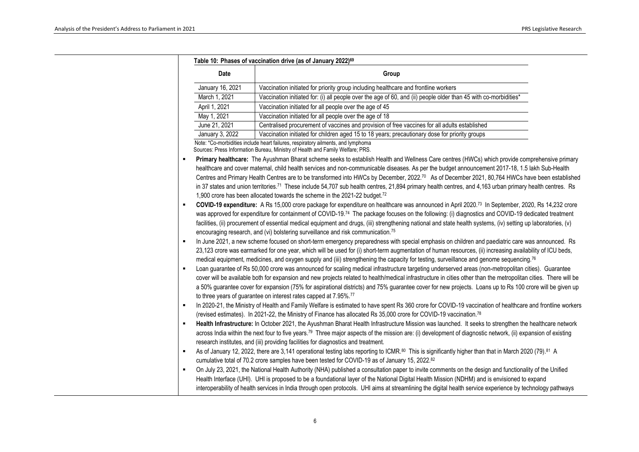<span id="page-5-0"></span>

| Table 10: Phases of vaccination drive (as of January 2022) <sup>69</sup> |                                                                                                                                                                                                                                                                                                                                                                                                                                                                                                                                                                                                                                                                                                                      |  |  |  |  |  |  |  |
|--------------------------------------------------------------------------|----------------------------------------------------------------------------------------------------------------------------------------------------------------------------------------------------------------------------------------------------------------------------------------------------------------------------------------------------------------------------------------------------------------------------------------------------------------------------------------------------------------------------------------------------------------------------------------------------------------------------------------------------------------------------------------------------------------------|--|--|--|--|--|--|--|
| Date                                                                     | Group                                                                                                                                                                                                                                                                                                                                                                                                                                                                                                                                                                                                                                                                                                                |  |  |  |  |  |  |  |
| January 16, 2021                                                         | Vaccination initiated for priority group including healthcare and frontline workers                                                                                                                                                                                                                                                                                                                                                                                                                                                                                                                                                                                                                                  |  |  |  |  |  |  |  |
| March 1, 2021                                                            | Vaccination initiated for: (i) all people over the age of 60, and (ii) people older than 45 with co-morbidities*                                                                                                                                                                                                                                                                                                                                                                                                                                                                                                                                                                                                     |  |  |  |  |  |  |  |
| April 1, 2021                                                            | Vaccination initiated for all people over the age of 45                                                                                                                                                                                                                                                                                                                                                                                                                                                                                                                                                                                                                                                              |  |  |  |  |  |  |  |
| May 1, 2021                                                              | Vaccination initiated for all people over the age of 18                                                                                                                                                                                                                                                                                                                                                                                                                                                                                                                                                                                                                                                              |  |  |  |  |  |  |  |
| June 21, 2021                                                            | Centralised procurement of vaccines and provision of free vaccines for all adults established                                                                                                                                                                                                                                                                                                                                                                                                                                                                                                                                                                                                                        |  |  |  |  |  |  |  |
| January 3, 2022                                                          | Vaccination initiated for children aged 15 to 18 years; precautionary dose for priority groups                                                                                                                                                                                                                                                                                                                                                                                                                                                                                                                                                                                                                       |  |  |  |  |  |  |  |
|                                                                          | Note: *Co-morbidities include heart failures, respiratory ailments, and lymphoma<br>Sources: Press Information Bureau, Ministry of Health and Family Welfare; PRS.                                                                                                                                                                                                                                                                                                                                                                                                                                                                                                                                                   |  |  |  |  |  |  |  |
| $\blacksquare$                                                           | Primary healthcare: The Ayushman Bharat scheme seeks to establish Health and Wellness Care centres (HWCs) which provide comprehensive primary<br>healthcare and cover maternal, child health services and non-communicable diseases. As per the budget announcement 2017-18, 1.5 lakh Sub-Health<br>Centres and Primary Health Centres are to be transformed into HWCs by December, 2022.70 As of December 2021, 80,764 HWCs have been established<br>in 37 states and union territories. <sup>71</sup> These include 54,707 sub health centres, 21,894 primary health centres, and 4,163 urban primary health centres. Rs<br>1,900 crore has been allocated towards the scheme in the 2021-22 budget. <sup>72</sup> |  |  |  |  |  |  |  |
| $\blacksquare$                                                           | COVID-19 expenditure: A Rs 15,000 crore package for expenditure on healthcare was announced in April 2020. <sup>73</sup> In September, 2020, Rs 14,232 crore<br>was approved for expenditure for containment of COVID-19.74 The package focuses on the following: (i) diagnostics and COVID-19 dedicated treatment<br>facilities, (ii) procurement of essential medical equipment and drugs, (iii) strengthening national and state health systems, (iv) setting up laboratories, (v)<br>encouraging research, and (vi) bolstering surveillance and risk communication. <sup>75</sup>                                                                                                                                |  |  |  |  |  |  |  |
| $\blacksquare$                                                           | In June 2021, a new scheme focused on short-term emergency preparedness with special emphasis on children and paediatric care was announced. Rs<br>23,123 crore was earmarked for one year, which will be used for (i) short-term augmentation of human resources, (ii) increasing availability of ICU beds,<br>medical equipment, medicines, and oxygen supply and (iii) strengthening the capacity for testing, surveillance and genome sequencing. <sup>76</sup>                                                                                                                                                                                                                                                  |  |  |  |  |  |  |  |
| $\blacksquare$                                                           | Loan guarantee of Rs 50,000 crore was announced for scaling medical infrastructure targeting underserved areas (non-metropolitan cities). Guarantee<br>cover will be available both for expansion and new projects related to health/medical infrastructure in cities other than the metropolitan cities. There will be<br>a 50% guarantee cover for expansion (75% for aspirational districts) and 75% guarantee cover for new projects. Loans up to Rs 100 crore will be given up<br>to three years of guarantee on interest rates capped at 7.95%. <sup>77</sup>                                                                                                                                                  |  |  |  |  |  |  |  |
| $\blacksquare$                                                           | In 2020-21, the Ministry of Health and Family Welfare is estimated to have spent Rs 360 crore for COVID-19 vaccination of healthcare and frontline workers<br>(revised estimates). In 2021-22, the Ministry of Finance has allocated Rs 35,000 crore for COVID-19 vaccination.78                                                                                                                                                                                                                                                                                                                                                                                                                                     |  |  |  |  |  |  |  |
| $\blacksquare$                                                           | Health Infrastructure: In October 2021, the Ayushman Bharat Health Infrastructure Mission was launched. It seeks to strengthen the healthcare network<br>across India within the next four to five years. <sup>79</sup> Three major aspects of the mission are: (i) development of diagnostic network, (ii) expansion of existing<br>research institutes, and (iii) providing facilities for diagnostics and treatment.                                                                                                                                                                                                                                                                                              |  |  |  |  |  |  |  |
| $\blacksquare$                                                           | As of January 12, 2022, there are 3,141 operational testing labs reporting to ICMR. <sup>80</sup> This is significantly higher than that in March 2020 (79). <sup>81</sup> A<br>cumulative total of 70.2 crore samples have been tested for COVID-19 as of January 15, 2022. <sup>82</sup>                                                                                                                                                                                                                                                                                                                                                                                                                           |  |  |  |  |  |  |  |
| $\blacksquare$                                                           | On July 23, 2021, the National Health Authority (NHA) published a consultation paper to invite comments on the design and functionality of the Unified<br>Health Interface (UHI). UHI is proposed to be a foundational layer of the National Digital Health Mission (NDHM) and is envisioned to expand<br>interoperability of health services in India through open protocols. UHI aims at streamlining the digital health service experience by technology pathways                                                                                                                                                                                                                                                 |  |  |  |  |  |  |  |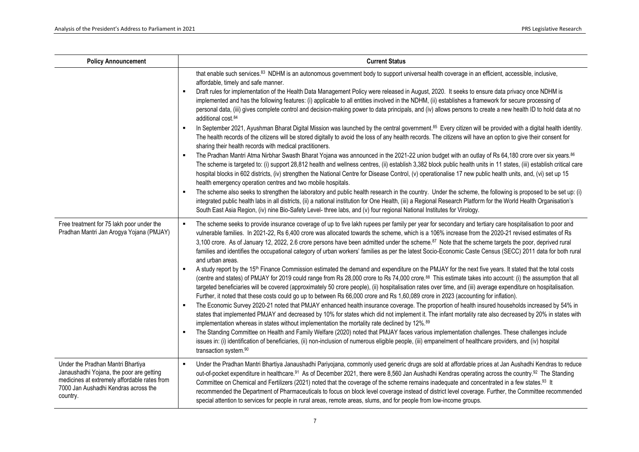| <b>Policy Announcement</b>                                                                                                    | <b>Current Status</b>                                                                                                                                                                                                                                                                                                                                                                                                                                                                                                                                                                                                                                                                                                                                                                     |
|-------------------------------------------------------------------------------------------------------------------------------|-------------------------------------------------------------------------------------------------------------------------------------------------------------------------------------------------------------------------------------------------------------------------------------------------------------------------------------------------------------------------------------------------------------------------------------------------------------------------------------------------------------------------------------------------------------------------------------------------------------------------------------------------------------------------------------------------------------------------------------------------------------------------------------------|
|                                                                                                                               | that enable such services. <sup>83</sup> NDHM is an autonomous government body to support universal health coverage in an efficient, accessible, inclusive,<br>affordable, timely and safe manner.<br>Draft rules for implementation of the Health Data Management Policy were released in August, 2020. It seeks to ensure data privacy once NDHM is<br>implemented and has the following features: (i) applicable to all entities involved in the NDHM, (ii) establishes a framework for secure processing of<br>personal data, (iii) gives complete control and decision-making power to data principals, and (iv) allows persons to create a new health ID to hold data at no<br>additional cost. <sup>84</sup>                                                                       |
|                                                                                                                               | In September 2021, Ayushman Bharat Digital Mission was launched by the central government. <sup>85</sup> Every citizen will be provided with a digital health identity.<br>$\blacksquare$<br>The health records of the citizens will be stored digitally to avoid the loss of any health records. The citizens will have an option to give their consent for<br>sharing their health records with medical practitioners.<br>The Pradhan Mantri Atma Nirbhar Swasth Bharat Yojana was announced in the 2021-22 union budget with an outlay of Rs 64,180 crore over six years. 86<br>$\blacksquare$                                                                                                                                                                                         |
|                                                                                                                               | The scheme is targeted to: (i) support 28,812 health and wellness centres, (ii) establish 3,382 block public health units in 11 states, (iii) establish critical care<br>hospital blocks in 602 districts, (iv) strengthen the National Centre for Disease Control, (v) operationalise 17 new public health units, and, (vi) set up 15<br>health emergency operation centres and two mobile hospitals.                                                                                                                                                                                                                                                                                                                                                                                    |
|                                                                                                                               | The scheme also seeks to strengthen the laboratory and public health research in the country. Under the scheme, the following is proposed to be set up: (i)<br>٠<br>integrated public health labs in all districts, (ii) a national institution for One Health, (iii) a Regional Research Platform for the World Health Organisation's<br>South East Asia Region, (iv) nine Bio-Safety Level- three labs, and (v) four regional National Institutes for Virology.                                                                                                                                                                                                                                                                                                                         |
| Free treatment for 75 lakh poor under the<br>Pradhan Mantri Jan Arogya Yojana (PMJAY)                                         | The scheme seeks to provide insurance coverage of up to five lakh rupees per family per year for secondary and tertiary care hospitalisation to poor and<br>٠<br>vulnerable families. In 2021-22, Rs 6,400 crore was allocated towards the scheme, which is a 106% increase from the 2020-21 revised estimates of Rs<br>3,100 crore. As of January 12, 2022, 2.6 crore persons have been admitted under the scheme. <sup>87</sup> Note that the scheme targets the poor, deprived rural<br>families and identifies the occupational category of urban workers' families as per the latest Socio-Economic Caste Census (SECC) 2011 data for both rural<br>and urban areas.                                                                                                                 |
|                                                                                                                               | A study report by the 15 <sup>th</sup> Finance Commission estimated the demand and expenditure on the PMJAY for the next five years. It stated that the total costs<br>$\blacksquare$<br>(centre and states) of PMJAY for 2019 could range from Rs 28,000 crore to Rs 74,000 crore.88 This estimate takes into account: (i) the assumption that all<br>targeted beneficiaries will be covered (approximately 50 crore people), (ii) hospitalisation rates over time, and (iii) average expenditure on hospitalisation.<br>Further, it noted that these costs could go up to between Rs 66,000 crore and Rs 1,60,089 crore in 2023 (accounting for inflation).                                                                                                                             |
|                                                                                                                               | The Economic Survey 2020-21 noted that PMJAY enhanced health insurance coverage. The proportion of health insured households increased by 54% in<br>٠<br>states that implemented PMJAY and decreased by 10% for states which did not implement it. The infant mortality rate also decreased by 20% in states with<br>implementation whereas in states without implementation the mortality rate declined by 12%. <sup>89</sup><br>The Standing Committee on Health and Family Welfare (2020) noted that PMJAY faces various implementation challenges. These challenges include<br>٠<br>issues in: (i) identification of beneficiaries, (ii) non-inclusion of numerous eligible people, (iii) empanelment of healthcare providers, and (iv) hospital<br>transaction system. <sup>90</sup> |
| Under the Pradhan Mantri Bhartiya<br>Janaushadhi Yojana, the poor are getting<br>medicines at extremely affordable rates from | Under the Pradhan Mantri Bhartiya Janaushadhi Pariyojana, commonly used generic drugs are sold at affordable prices at Jan Aushadhi Kendras to reduce<br>$\blacksquare$<br>out-of-pocket expenditure in healthcare. <sup>91</sup> As of December 2021, there were 8,560 Jan Aushadhi Kendras operating across the country. <sup>92</sup> The Standing<br>Committee on Chemical and Fertilizers (2021) noted that the coverage of the scheme remains inadequate and concentrated in a few states. <sup>93</sup> It                                                                                                                                                                                                                                                                         |
| 7000 Jan Aushadhi Kendras across the<br>country.                                                                              | recommended the Department of Pharmaceuticals to focus on block level coverage instead of district level coverage. Further, the Committee recommended<br>special attention to services for people in rural areas, remote areas, slums, and for people from low-income groups.                                                                                                                                                                                                                                                                                                                                                                                                                                                                                                             |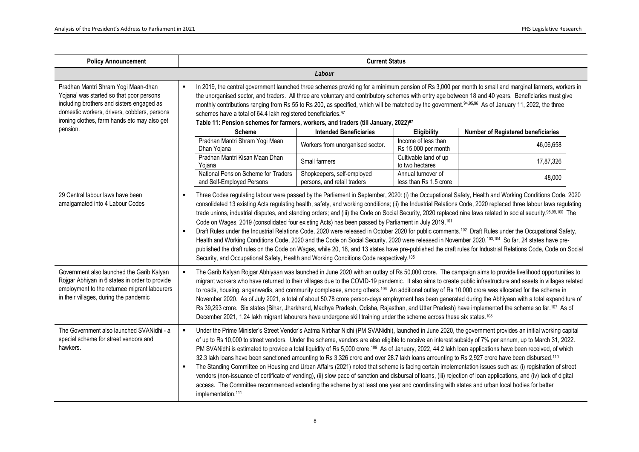<span id="page-7-0"></span>

| <b>Policy Announcement</b>                                                                                                                                                                                                   | <b>Current Status</b>            |                                                                                                                                                                                                                                                                                                                                                                                                                                                                                                                                                                                                                                                                                                                                                                                                                                                                                                                                                                                                                                                                                                                                                                                                                                          |                                                                                                                                                                                                                                                                                                                                                                                                                                                                                                                                                                                                                                                                                                                                                                                                                                                                                                                                             |                                              |                                                                                                                                                                                                                                                                                                                                                                                                                                                                                                                                                                                                                                                                                                                                                                                                                                                                                                                                                                                             |  |  |  |  |  |  |
|------------------------------------------------------------------------------------------------------------------------------------------------------------------------------------------------------------------------------|----------------------------------|------------------------------------------------------------------------------------------------------------------------------------------------------------------------------------------------------------------------------------------------------------------------------------------------------------------------------------------------------------------------------------------------------------------------------------------------------------------------------------------------------------------------------------------------------------------------------------------------------------------------------------------------------------------------------------------------------------------------------------------------------------------------------------------------------------------------------------------------------------------------------------------------------------------------------------------------------------------------------------------------------------------------------------------------------------------------------------------------------------------------------------------------------------------------------------------------------------------------------------------|---------------------------------------------------------------------------------------------------------------------------------------------------------------------------------------------------------------------------------------------------------------------------------------------------------------------------------------------------------------------------------------------------------------------------------------------------------------------------------------------------------------------------------------------------------------------------------------------------------------------------------------------------------------------------------------------------------------------------------------------------------------------------------------------------------------------------------------------------------------------------------------------------------------------------------------------|----------------------------------------------|---------------------------------------------------------------------------------------------------------------------------------------------------------------------------------------------------------------------------------------------------------------------------------------------------------------------------------------------------------------------------------------------------------------------------------------------------------------------------------------------------------------------------------------------------------------------------------------------------------------------------------------------------------------------------------------------------------------------------------------------------------------------------------------------------------------------------------------------------------------------------------------------------------------------------------------------------------------------------------------------|--|--|--|--|--|--|
|                                                                                                                                                                                                                              |                                  | Labour                                                                                                                                                                                                                                                                                                                                                                                                                                                                                                                                                                                                                                                                                                                                                                                                                                                                                                                                                                                                                                                                                                                                                                                                                                   |                                                                                                                                                                                                                                                                                                                                                                                                                                                                                                                                                                                                                                                                                                                                                                                                                                                                                                                                             |                                              |                                                                                                                                                                                                                                                                                                                                                                                                                                                                                                                                                                                                                                                                                                                                                                                                                                                                                                                                                                                             |  |  |  |  |  |  |
| Pradhan Mantri Shram Yogi Maan-dhan<br>Yojana' was started so that poor persons<br>including brothers and sisters engaged as<br>domestic workers, drivers, cobblers, persons<br>ironing clothes, farm hands etc may also get | ٠                                | In 2019, the central government launched three schemes providing for a minimum pension of Rs 3,000 per month to small and marginal farmers, workers in<br>the unorganised sector, and traders. All three are voluntary and contributory schemes with entry age between 18 and 40 years. Beneficiaries must give<br>monthly contributions ranging from Rs 55 to Rs 200, as specified, which will be matched by the government. <sup>94,95,96</sup> As of January 11, 2022, the three<br>schemes have a total of 64.4 lakh registered beneficiaries. <sup>97</sup><br>Table 11: Pension schemes for farmers, workers, and traders (till January, 2022) <sup>97</sup>                                                                                                                                                                                                                                                                                                                                                                                                                                                                                                                                                                       |                                                                                                                                                                                                                                                                                                                                                                                                                                                                                                                                                                                                                                                                                                                                                                                                                                                                                                                                             |                                              |                                                                                                                                                                                                                                                                                                                                                                                                                                                                                                                                                                                                                                                                                                                                                                                                                                                                                                                                                                                             |  |  |  |  |  |  |
| pension.                                                                                                                                                                                                                     |                                  | <b>Scheme</b>                                                                                                                                                                                                                                                                                                                                                                                                                                                                                                                                                                                                                                                                                                                                                                                                                                                                                                                                                                                                                                                                                                                                                                                                                            | <b>Intended Beneficiaries</b>                                                                                                                                                                                                                                                                                                                                                                                                                                                                                                                                                                                                                                                                                                                                                                                                                                                                                                               | Eligibility                                  | <b>Number of Registered beneficiaries</b>                                                                                                                                                                                                                                                                                                                                                                                                                                                                                                                                                                                                                                                                                                                                                                                                                                                                                                                                                   |  |  |  |  |  |  |
|                                                                                                                                                                                                                              |                                  | Pradhan Mantri Shram Yogi Maan<br>Dhan Yojana                                                                                                                                                                                                                                                                                                                                                                                                                                                                                                                                                                                                                                                                                                                                                                                                                                                                                                                                                                                                                                                                                                                                                                                            | Workers from unorganised sector.                                                                                                                                                                                                                                                                                                                                                                                                                                                                                                                                                                                                                                                                                                                                                                                                                                                                                                            | Income of less than<br>Rs 15,000 per month   | 46,06,658                                                                                                                                                                                                                                                                                                                                                                                                                                                                                                                                                                                                                                                                                                                                                                                                                                                                                                                                                                                   |  |  |  |  |  |  |
|                                                                                                                                                                                                                              |                                  | Pradhan Mantri Kisan Maan Dhan<br>Yojana                                                                                                                                                                                                                                                                                                                                                                                                                                                                                                                                                                                                                                                                                                                                                                                                                                                                                                                                                                                                                                                                                                                                                                                                 | Small farmers                                                                                                                                                                                                                                                                                                                                                                                                                                                                                                                                                                                                                                                                                                                                                                                                                                                                                                                               | Cultivable land of up<br>to two hectares     | 17,87,326                                                                                                                                                                                                                                                                                                                                                                                                                                                                                                                                                                                                                                                                                                                                                                                                                                                                                                                                                                                   |  |  |  |  |  |  |
|                                                                                                                                                                                                                              |                                  | National Pension Scheme for Traders<br>and Self-Employed Persons                                                                                                                                                                                                                                                                                                                                                                                                                                                                                                                                                                                                                                                                                                                                                                                                                                                                                                                                                                                                                                                                                                                                                                         | Shopkeepers, self-employed<br>persons, and retail traders                                                                                                                                                                                                                                                                                                                                                                                                                                                                                                                                                                                                                                                                                                                                                                                                                                                                                   | Annual turnover of<br>less than Rs 1.5 crore | 48,000                                                                                                                                                                                                                                                                                                                                                                                                                                                                                                                                                                                                                                                                                                                                                                                                                                                                                                                                                                                      |  |  |  |  |  |  |
| 29 Central labour laws have been<br>amalgamated into 4 Labour Codes                                                                                                                                                          | $\blacksquare$                   | Three Codes regulating labour were passed by the Parliament in September, 2020: (i) the Occupational Safety, Health and Working Conditions Code, 2020<br>consolidated 13 existing Acts regulating health, safety, and working conditions; (ii) the Industrial Relations Code, 2020 replaced three labour laws regulating<br>trade unions, industrial disputes, and standing orders; and (iii) the Code on Social Security, 2020 replaced nine laws related to social security. <sup>98,99,100</sup> The<br>Code on Wages, 2019 (consolidated four existing Acts) has been passed by Parliament in July 2019. <sup>101</sup><br>Draft Rules under the Industrial Relations Code, 2020 were released in October 2020 for public comments. <sup>102</sup> Draft Rules under the Occupational Safety,<br>Health and Working Conditions Code, 2020 and the Code on Social Security, 2020 were released in November 2020. <sup>103,104</sup> So far, 24 states have pre-<br>published the draft rules on the Code on Wages, while 20, 18, and 13 states have pre-published the draft rules for Industrial Relations Code, Code on Social<br>Security, and Occupational Safety, Health and Working Conditions Code respectively. <sup>105</sup> |                                                                                                                                                                                                                                                                                                                                                                                                                                                                                                                                                                                                                                                                                                                                                                                                                                                                                                                                             |                                              |                                                                                                                                                                                                                                                                                                                                                                                                                                                                                                                                                                                                                                                                                                                                                                                                                                                                                                                                                                                             |  |  |  |  |  |  |
| Government also launched the Garib Kalyan<br>Rojgar Abhiyan in 6 states in order to provide<br>employment to the returnee migrant labourers<br>in their villages, during the pandemic                                        | $\blacksquare$                   |                                                                                                                                                                                                                                                                                                                                                                                                                                                                                                                                                                                                                                                                                                                                                                                                                                                                                                                                                                                                                                                                                                                                                                                                                                          | The Garib Kalyan Rojgar Abhiyaan was launched in June 2020 with an outlay of Rs 50,000 crore. The campaign aims to provide livelihood opportunities to<br>migrant workers who have returned to their villages due to the COVID-19 pandemic. It also aims to create public infrastructure and assets in villages related<br>to roads, housing, anganwadis, and community complexes, among others. <sup>106</sup> An additional outlay of Rs 10,000 crore was allocated for the scheme in<br>November 2020. As of July 2021, a total of about 50.78 crore person-days employment has been generated during the Abhiyaan with a total expenditure of<br>Rs 39,293 crore. Six states (Bihar, Jharkhand, Madhya Pradesh, Odisha, Rajasthan, and Uttar Pradesh) have implemented the scheme so far.107 As of<br>December 2021, 1.24 lakh migrant labourers have undergone skill training under the scheme across these six states. <sup>108</sup> |                                              |                                                                                                                                                                                                                                                                                                                                                                                                                                                                                                                                                                                                                                                                                                                                                                                                                                                                                                                                                                                             |  |  |  |  |  |  |
| The Government also launched SVANidhi - a<br>special scheme for street vendors and<br>hawkers.                                                                                                                               | $\blacksquare$<br>$\blacksquare$ | access. The Committee recommended extending the scheme by at least one year and coordinating with states and urban local bodies for better<br>implementation. <sup>111</sup>                                                                                                                                                                                                                                                                                                                                                                                                                                                                                                                                                                                                                                                                                                                                                                                                                                                                                                                                                                                                                                                             |                                                                                                                                                                                                                                                                                                                                                                                                                                                                                                                                                                                                                                                                                                                                                                                                                                                                                                                                             |                                              | Under the Prime Minister's Street Vendor's Aatma Nirbhar Nidhi (PM SVANidhi), launched in June 2020, the government provides an initial working capital<br>of up to Rs 10,000 to street vendors. Under the scheme, vendors are also eligible to receive an interest subsidy of 7% per annum, up to March 31, 2022.<br>PM SVANidhi is estimated to provide a total liquidity of Rs 5,000 crore. <sup>109</sup> As of January, 2022, 44.2 lakh loan applications have been received, of which<br>32.3 lakh loans have been sanctioned amounting to Rs 3,326 crore and over 28.7 lakh loans amounting to Rs 2,927 crore have been disbursed. <sup>110</sup><br>The Standing Committee on Housing and Urban Affairs (2021) noted that scheme is facing certain implementation issues such as: (i) registration of street<br>vendors (non-issuance of certificate of vending), (ii) slow pace of sanction and disbursal of loans, (iii) rejection of loan applications, and (iv) lack of digital |  |  |  |  |  |  |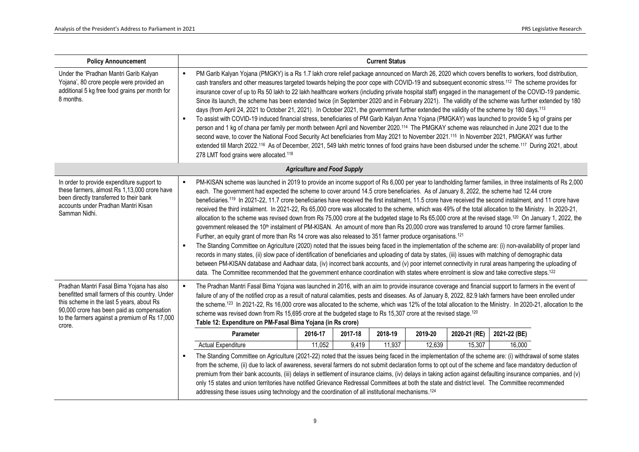<span id="page-8-0"></span>

| <b>Policy Announcement</b>                                                                                                                                                                                                                         |                                                                                                                                                                                                                                                                                                                                                                                                                                                                                                                                                                                                                                                                                                                  |                                                                                                                                                                                                                                                                                                                                                                                                                                                                                                                                                                                                                                                                                                                                                                                                                                                                                                                                                                                                                                                                                                                                                                                                                                                                                                                                                                                                                                                                                                                                                                                                                                                                                                                                                                 |         |         | <b>Current Status</b> |         |              |              |  |  |
|----------------------------------------------------------------------------------------------------------------------------------------------------------------------------------------------------------------------------------------------------|------------------------------------------------------------------------------------------------------------------------------------------------------------------------------------------------------------------------------------------------------------------------------------------------------------------------------------------------------------------------------------------------------------------------------------------------------------------------------------------------------------------------------------------------------------------------------------------------------------------------------------------------------------------------------------------------------------------|-----------------------------------------------------------------------------------------------------------------------------------------------------------------------------------------------------------------------------------------------------------------------------------------------------------------------------------------------------------------------------------------------------------------------------------------------------------------------------------------------------------------------------------------------------------------------------------------------------------------------------------------------------------------------------------------------------------------------------------------------------------------------------------------------------------------------------------------------------------------------------------------------------------------------------------------------------------------------------------------------------------------------------------------------------------------------------------------------------------------------------------------------------------------------------------------------------------------------------------------------------------------------------------------------------------------------------------------------------------------------------------------------------------------------------------------------------------------------------------------------------------------------------------------------------------------------------------------------------------------------------------------------------------------------------------------------------------------------------------------------------------------|---------|---------|-----------------------|---------|--------------|--------------|--|--|
| Under the 'Pradhan Mantri Garib Kalyan<br>Yojana', 80 crore people were provided an<br>additional 5 kg free food grains per month for<br>8 months.                                                                                                 | $\blacksquare$                                                                                                                                                                                                                                                                                                                                                                                                                                                                                                                                                                                                                                                                                                   | PM Garib Kalyan Yojana (PMGKY) is a Rs 1.7 lakh crore relief package announced on March 26, 2020 which covers benefits to workers, food distribution,<br>cash transfers and other measures targeted towards helping the poor cope with COVID-19 and subsequent economic stress. <sup>112</sup> The scheme provides for<br>insurance cover of up to Rs 50 lakh to 22 lakh healthcare workers (including private hospital staff) engaged in the management of the COVID-19 pandemic.<br>Since its launch, the scheme has been extended twice (in September 2020 and in February 2021). The validity of the scheme was further extended by 180<br>days (from April 24, 2021 to October 21, 2021). In October 2021, the government further extended the validity of the scheme by 180 days. <sup>113</sup><br>To assist with COVID-19 induced financial stress, beneficiaries of PM Garib Kalyan Anna Yojana (PMGKAY) was launched to provide 5 kg of grains per<br>person and 1 kg of chana per family per month between April and November 2020.114 The PMGKAY scheme was relaunched in June 2021 due to the<br>second wave, to cover the National Food Security Act beneficiaries from May 2021 to November 2021. <sup>115</sup> In November 2021, PMGKAY was further<br>extended till March 2022. <sup>116</sup> As of December, 2021, 549 lakh metric tonnes of food grains have been disbursed under the scheme. <sup>117</sup> During 2021, about<br>278 LMT food grains were allocated. <sup>118</sup>                                                                                                                                                                                                                                                      |         |         |                       |         |              |              |  |  |
| <b>Agriculture and Food Supply</b>                                                                                                                                                                                                                 |                                                                                                                                                                                                                                                                                                                                                                                                                                                                                                                                                                                                                                                                                                                  |                                                                                                                                                                                                                                                                                                                                                                                                                                                                                                                                                                                                                                                                                                                                                                                                                                                                                                                                                                                                                                                                                                                                                                                                                                                                                                                                                                                                                                                                                                                                                                                                                                                                                                                                                                 |         |         |                       |         |              |              |  |  |
| In order to provide expenditure support to<br>these farmers, almost Rs 1,13,000 crore have<br>been directly transferred to their bank<br>accounts under Pradhan Mantri Kisan<br>Samman Nidhi.                                                      | $\blacksquare$<br>$\blacksquare$                                                                                                                                                                                                                                                                                                                                                                                                                                                                                                                                                                                                                                                                                 | PM-KISAN scheme was launched in 2019 to provide an income support of Rs 6,000 per year to landholding farmer families, in three instalments of Rs 2,000<br>each. The government had expected the scheme to cover around 14.5 crore beneficiaries. As of January 8, 2022, the scheme had 12.44 crore<br>beneficiaries. <sup>119</sup> In 2021-22, 11.7 crore beneficiaries have received the first instalment, 11.5 crore have received the second instalment, and 11 crore have<br>received the third instalment. In 2021-22, Rs 65,000 crore was allocated to the scheme, which was 49% of the total allocation to the Ministry. In 2020-21,<br>allocation to the scheme was revised down from Rs 75,000 crore at the budgeted stage to Rs 65,000 crore at the revised stage. <sup>120</sup> On January 1, 2022, the<br>government released the 10 <sup>th</sup> instalment of PM-KISAN. An amount of more than Rs 20,000 crore was transferred to around 10 crore farmer families.<br>Further, an equity grant of more than Rs 14 crore was also released to 351 farmer produce organisations. <sup>121</sup><br>The Standing Committee on Agriculture (2020) noted that the issues being faced in the implementation of the scheme are: (i) non-availability of proper land<br>records in many states, (ii) slow pace of identification of beneficiaries and uploading of data by states, (iii) issues with matching of demographic data<br>between PM-KISAN database and Aadhaar data, (iv) incorrect bank accounts, and (v) poor internet connectivity in rural areas hampering the uploading of<br>data. The Committee recommended that the government enhance coordination with states where enrolment is slow and take corrective steps. <sup>122</sup> |         |         |                       |         |              |              |  |  |
| Pradhan Mantri Fasal Bima Yojana has also<br>benefitted small farmers of this country. Under<br>this scheme in the last 5 years, about Rs<br>90,000 crore has been paid as compensation<br>to the farmers against a premium of Rs 17,000<br>crore. | $\blacksquare$<br>The Pradhan Mantri Fasal Bima Yojana was launched in 2016, with an aim to provide insurance coverage and financial support to farmers in the event of<br>failure of any of the notified crop as a result of natural calamities, pests and diseases. As of January 8, 2022, 82.9 lakh farmers have been enrolled under<br>the scheme. <sup>123</sup> In 2021-22, Rs 16,000 crore was allocated to the scheme, which was 12% of the total allocation to the Ministry. In 2020-21, allocation to the<br>scheme was revised down from Rs 15,695 crore at the budgeted stage to Rs 15,307 crore at the revised stage. <sup>120</sup><br>Table 12: Expenditure on PM-Fasal Bima Yojana (in Rs crore) |                                                                                                                                                                                                                                                                                                                                                                                                                                                                                                                                                                                                                                                                                                                                                                                                                                                                                                                                                                                                                                                                                                                                                                                                                                                                                                                                                                                                                                                                                                                                                                                                                                                                                                                                                                 |         |         |                       |         |              |              |  |  |
|                                                                                                                                                                                                                                                    |                                                                                                                                                                                                                                                                                                                                                                                                                                                                                                                                                                                                                                                                                                                  | Parameter                                                                                                                                                                                                                                                                                                                                                                                                                                                                                                                                                                                                                                                                                                                                                                                                                                                                                                                                                                                                                                                                                                                                                                                                                                                                                                                                                                                                                                                                                                                                                                                                                                                                                                                                                       | 2016-17 | 2017-18 | 2018-19               | 2019-20 | 2020-21 (RE) | 2021-22 (BE) |  |  |
|                                                                                                                                                                                                                                                    |                                                                                                                                                                                                                                                                                                                                                                                                                                                                                                                                                                                                                                                                                                                  | <b>Actual Expenditure</b>                                                                                                                                                                                                                                                                                                                                                                                                                                                                                                                                                                                                                                                                                                                                                                                                                                                                                                                                                                                                                                                                                                                                                                                                                                                                                                                                                                                                                                                                                                                                                                                                                                                                                                                                       | 11,052  | 9,419   | 11,937                | 12,639  | 15,307       | 16,000       |  |  |
|                                                                                                                                                                                                                                                    |                                                                                                                                                                                                                                                                                                                                                                                                                                                                                                                                                                                                                                                                                                                  | The Standing Committee on Agriculture (2021-22) noted that the issues being faced in the implementation of the scheme are: (i) withdrawal of some states<br>from the scheme, (ii) due to lack of awareness, several farmers do not submit declaration forms to opt out of the scheme and face mandatory deduction of<br>premium from their bank accounts, (iii) delays in settlement of insurance claims, (iv) delays in taking action against defaulting insurance companies, and (v)<br>only 15 states and union territories have notified Grievance Redressal Committees at both the state and district level. The Committee recommended<br>addressing these issues using technology and the coordination of all institutional mechanisms. <sup>124</sup>                                                                                                                                                                                                                                                                                                                                                                                                                                                                                                                                                                                                                                                                                                                                                                                                                                                                                                                                                                                                    |         |         |                       |         |              |              |  |  |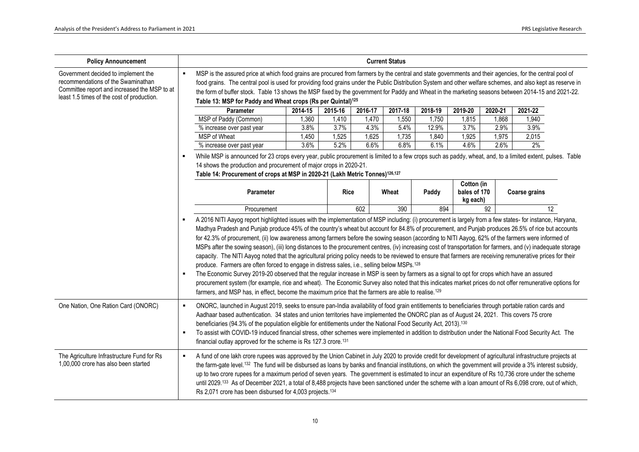| <b>Policy Announcement</b>                                                                                                                                              |                                                                                                                                                                                                                                                                                                                                                                                                                                                                                                                                                                            |                                                                                                                                                                                                                                                                                                                                                                                                                                                                                                                                                                                                                                                                                                                                                                                                                                                                                                                                                                                                                                                                                                                                                                                                                                                                                                                                               |             |         |         | <b>Current Status</b> |                                        |         |                      |                 |
|-------------------------------------------------------------------------------------------------------------------------------------------------------------------------|----------------------------------------------------------------------------------------------------------------------------------------------------------------------------------------------------------------------------------------------------------------------------------------------------------------------------------------------------------------------------------------------------------------------------------------------------------------------------------------------------------------------------------------------------------------------------|-----------------------------------------------------------------------------------------------------------------------------------------------------------------------------------------------------------------------------------------------------------------------------------------------------------------------------------------------------------------------------------------------------------------------------------------------------------------------------------------------------------------------------------------------------------------------------------------------------------------------------------------------------------------------------------------------------------------------------------------------------------------------------------------------------------------------------------------------------------------------------------------------------------------------------------------------------------------------------------------------------------------------------------------------------------------------------------------------------------------------------------------------------------------------------------------------------------------------------------------------------------------------------------------------------------------------------------------------|-------------|---------|---------|-----------------------|----------------------------------------|---------|----------------------|-----------------|
| Government decided to implement the<br>recommendations of the Swaminathan<br>Committee report and increased the MSP to at<br>least 1.5 times of the cost of production. | MSP is the assured price at which food grains are procured from farmers by the central and state governments and their agencies, for the central pool of<br>$\blacksquare$<br>food grains. The central pool is used for providing food grains under the Public Distribution System and other welfare schemes, and also kept as reserve in<br>the form of buffer stock. Table 13 shows the MSP fixed by the government for Paddy and Wheat in the marketing seasons between 2014-15 and 2021-22.<br>Table 13: MSP for Paddy and Wheat crops (Rs per Quintal) <sup>125</sup> |                                                                                                                                                                                                                                                                                                                                                                                                                                                                                                                                                                                                                                                                                                                                                                                                                                                                                                                                                                                                                                                                                                                                                                                                                                                                                                                                               |             |         |         |                       |                                        |         |                      |                 |
|                                                                                                                                                                         |                                                                                                                                                                                                                                                                                                                                                                                                                                                                                                                                                                            | Parameter                                                                                                                                                                                                                                                                                                                                                                                                                                                                                                                                                                                                                                                                                                                                                                                                                                                                                                                                                                                                                                                                                                                                                                                                                                                                                                                                     | 2014-15     | 2015-16 | 2016-17 | 2017-18               | 2018-19                                | 2019-20 | 2020-21              | 2021-22         |
|                                                                                                                                                                         |                                                                                                                                                                                                                                                                                                                                                                                                                                                                                                                                                                            | MSP of Paddy (Common)                                                                                                                                                                                                                                                                                                                                                                                                                                                                                                                                                                                                                                                                                                                                                                                                                                                                                                                                                                                                                                                                                                                                                                                                                                                                                                                         | 1,360       | 1,410   | 1,470   | 1,550                 | 1,750                                  | 1,815   | 1,868                | 1,940           |
|                                                                                                                                                                         |                                                                                                                                                                                                                                                                                                                                                                                                                                                                                                                                                                            | % increase over past year                                                                                                                                                                                                                                                                                                                                                                                                                                                                                                                                                                                                                                                                                                                                                                                                                                                                                                                                                                                                                                                                                                                                                                                                                                                                                                                     | 3.8%        | 3.7%    | 4.3%    | 5.4%                  | 12.9%                                  | 3.7%    | 2.9%                 | 3.9%            |
|                                                                                                                                                                         |                                                                                                                                                                                                                                                                                                                                                                                                                                                                                                                                                                            | MSP of Wheat                                                                                                                                                                                                                                                                                                                                                                                                                                                                                                                                                                                                                                                                                                                                                                                                                                                                                                                                                                                                                                                                                                                                                                                                                                                                                                                                  | 1,450       | 1,525   | 1,625   | 1,735                 | 1,840                                  | 1,925   | 1,975                | 2,015           |
|                                                                                                                                                                         |                                                                                                                                                                                                                                                                                                                                                                                                                                                                                                                                                                            | % increase over past year                                                                                                                                                                                                                                                                                                                                                                                                                                                                                                                                                                                                                                                                                                                                                                                                                                                                                                                                                                                                                                                                                                                                                                                                                                                                                                                     | 3.6%        | 5.2%    | 6.6%    | 6.8%                  | 6.1%                                   | 4.6%    | 2.6%                 | 2%              |
|                                                                                                                                                                         |                                                                                                                                                                                                                                                                                                                                                                                                                                                                                                                                                                            | While MSP is announced for 23 crops every year, public procurement is limited to a few crops such as paddy, wheat, and, to a limited extent, pulses. Table<br>14 shows the production and procurement of major crops in 2020-21.<br>Table 14: Procurement of crops at MSP in 2020-21 (Lakh Metric Tonnes) <sup>126,127</sup>                                                                                                                                                                                                                                                                                                                                                                                                                                                                                                                                                                                                                                                                                                                                                                                                                                                                                                                                                                                                                  |             |         |         |                       |                                        |         |                      |                 |
|                                                                                                                                                                         |                                                                                                                                                                                                                                                                                                                                                                                                                                                                                                                                                                            | Parameter                                                                                                                                                                                                                                                                                                                                                                                                                                                                                                                                                                                                                                                                                                                                                                                                                                                                                                                                                                                                                                                                                                                                                                                                                                                                                                                                     | <b>Rice</b> |         | Wheat   | Paddy                 | Cotton (in<br>bales of 170<br>kg each) |         | <b>Coarse grains</b> |                 |
|                                                                                                                                                                         |                                                                                                                                                                                                                                                                                                                                                                                                                                                                                                                                                                            | Procurement                                                                                                                                                                                                                                                                                                                                                                                                                                                                                                                                                                                                                                                                                                                                                                                                                                                                                                                                                                                                                                                                                                                                                                                                                                                                                                                                   |             |         | 602     | 390                   | 894                                    |         | 92                   | $\overline{12}$ |
|                                                                                                                                                                         |                                                                                                                                                                                                                                                                                                                                                                                                                                                                                                                                                                            | A 2016 NITI Aayog report highlighted issues with the implementation of MSP including: (i) procurement is largely from a few states- for instance, Haryana,<br>Madhya Pradesh and Punjab produce 45% of the country's wheat but account for 84.8% of procurement, and Punjab produces 26.5% of rice but accounts<br>for 42.3% of procurement, (ii) low awareness among farmers before the sowing season (according to NITI Aayog, 62% of the farmers were informed of<br>MSPs after the sowing season), (iii) long distances to the procurement centres, (iv) increasing cost of transportation for farmers, and (v) inadequate storage<br>capacity. The NITI Aayog noted that the agricultural pricing policy needs to be reviewed to ensure that farmers are receiving remunerative prices for their<br>produce. Farmers are often forced to engage in distress sales, i.e., selling below MSPs. <sup>128</sup><br>The Economic Survey 2019-20 observed that the regular increase in MSP is seen by farmers as a signal to opt for crops which have an assured<br>procurement system (for example, rice and wheat). The Economic Survey also noted that this indicates market prices do not offer remunerative options for<br>farmers, and MSP has, in effect, become the maximum price that the farmers are able to realise. <sup>129</sup> |             |         |         |                       |                                        |         |                      |                 |
| One Nation, One Ration Card (ONORC)                                                                                                                                     | $\blacksquare$<br>٠                                                                                                                                                                                                                                                                                                                                                                                                                                                                                                                                                        | ONORC, launched in August 2019, seeks to ensure pan-India availability of food grain entitlements to beneficiaries through portable ration cards and<br>Aadhaar based authentication. 34 states and union territories have implemented the ONORC plan as of August 24, 2021. This covers 75 crore<br>beneficiaries (94.3% of the population eligible for entitlements under the National Food Security Act, 2013). <sup>130</sup><br>To assist with COVID-19 induced financial stress, other schemes were implemented in addition to distribution under the National Food Security Act. The<br>financial outlay approved for the scheme is Rs 127.3 crore. <sup>131</sup>                                                                                                                                                                                                                                                                                                                                                                                                                                                                                                                                                                                                                                                                     |             |         |         |                       |                                        |         |                      |                 |
| The Agriculture Infrastructure Fund for Rs<br>1,00,000 crore has also been started                                                                                      | $\blacksquare$                                                                                                                                                                                                                                                                                                                                                                                                                                                                                                                                                             | A fund of one lakh crore rupees was approved by the Union Cabinet in July 2020 to provide credit for development of agricultural infrastructure projects at<br>the farm-gate level. <sup>132</sup> The fund will be disbursed as loans by banks and financial institutions, on which the government will provide a 3% interest subsidy,<br>up to two crore rupees for a maximum period of seven years. The government is estimated to incur an expenditure of Rs 10,736 crore under the scheme<br>until 2029. <sup>133</sup> As of December 2021, a total of 8,488 projects have been sanctioned under the scheme with a loan amount of Rs 6,098 crore, out of which,<br>Rs 2,071 crore has been disbursed for 4,003 projects. <sup>134</sup>                                                                                                                                                                                                                                                                                                                                                                                                                                                                                                                                                                                                 |             |         |         |                       |                                        |         |                      |                 |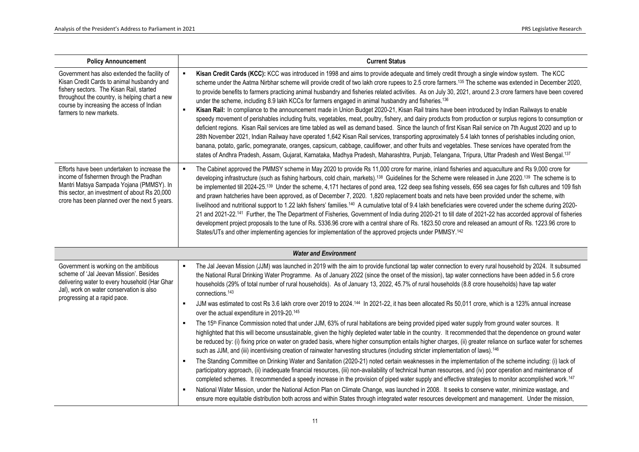<span id="page-10-0"></span>

| <b>Policy Announcement</b>                                                                                                                                                                                                                                       | <b>Current Status</b>                                                                                                                                                                                                                                                                                                                                                                                                                                                                                                                                                                                                                                                                                                                                                                                                                                                                                                                                                                                                                                                                                                                                                                                                                                                                                                                                                                                                                                                                                                                                                                        |
|------------------------------------------------------------------------------------------------------------------------------------------------------------------------------------------------------------------------------------------------------------------|----------------------------------------------------------------------------------------------------------------------------------------------------------------------------------------------------------------------------------------------------------------------------------------------------------------------------------------------------------------------------------------------------------------------------------------------------------------------------------------------------------------------------------------------------------------------------------------------------------------------------------------------------------------------------------------------------------------------------------------------------------------------------------------------------------------------------------------------------------------------------------------------------------------------------------------------------------------------------------------------------------------------------------------------------------------------------------------------------------------------------------------------------------------------------------------------------------------------------------------------------------------------------------------------------------------------------------------------------------------------------------------------------------------------------------------------------------------------------------------------------------------------------------------------------------------------------------------------|
| Government has also extended the facility of<br>Kisan Credit Cards to animal husbandry and<br>fishery sectors. The Kisan Rail, started<br>throughout the country, is helping chart a new<br>course by increasing the access of Indian<br>farmers to new markets. | $\blacksquare$<br>Kisan Credit Cards (KCC): KCC was introduced in 1998 and aims to provide adequate and timely credit through a single window system. The KCC<br>scheme under the Aatma Nirbhar scheme will provide credit of two lakh crore rupees to 2.5 crore farmers. <sup>135</sup> The scheme was extended in December 2020,<br>to provide benefits to farmers practicing animal husbandry and fisheries related activities. As on July 30, 2021, around 2.3 crore farmers have been covered<br>under the scheme, including 8.9 lakh KCCs for farmers engaged in animal husbandry and fisheries. <sup>136</sup><br>$\blacksquare$<br>Kisan Rail: In compliance to the announcement made in Union Budget 2020-21, Kisan Rail trains have been introduced by Indian Railways to enable<br>speedy movement of perishables including fruits, vegetables, meat, poultry, fishery, and dairy products from production or surplus regions to consumption or<br>deficient regions. Kisan Rail services are time tabled as well as demand based. Since the launch of first Kisan Rail service on 7th August 2020 and up to<br>28th November 2021, Indian Railway have operated 1,642 Kisan Rail services, transporting approximately 5.4 lakh tonnes of perishables including onion,<br>banana, potato, garlic, pomegranate, oranges, capsicum, cabbage, cauliflower, and other fruits and vegetables. These services have operated from the<br>states of Andhra Pradesh, Assam, Gujarat, Karnataka, Madhya Pradesh, Maharashtra, Punjab, Telangana, Tripura, Uttar Pradesh and West Bengal.137 |
| Efforts have been undertaken to increase the<br>income of fishermen through the Pradhan<br>Mantri Matsya Sampada Yojana (PMMSY). In<br>this sector, an investment of about Rs 20,000<br>crore has been planned over the next 5 years.                            | $\blacksquare$<br>The Cabinet approved the PMMSY scheme in May 2020 to provide Rs 11,000 crore for marine, inland fisheries and aquaculture and Rs 9,000 crore for<br>developing infrastructure (such as fishing harbours, cold chain, markets). <sup>138</sup> Guidelines for the Scheme were released in June 2020. <sup>139</sup> The scheme is to<br>be implemented till 2024-25. <sup>139</sup> Under the scheme, 4,171 hectares of pond area, 122 deep sea fishing vessels, 656 sea cages for fish cultures and 109 fish<br>and prawn hatcheries have been approved, as of December 7, 2020. 1,820 replacement boats and nets have been provided under the scheme, with<br>livelihood and nutritional support to 1.22 lakh fishers' families. <sup>140</sup> A cumulative total of 9.4 lakh beneficiaries were covered under the scheme during 2020-<br>21 and 2021-22. <sup>141</sup> Further, the The Department of Fisheries, Government of India during 2020-21 to till date of 2021-22 has accorded approval of fisheries<br>development project proposals to the tune of Rs. 5336.96 crore with a central share of Rs. 1823.50 crore and released an amount of Rs. 1223.96 crore to<br>States/UTs and other implementing agencies for implementation of the approved projects under PMMSY. <sup>142</sup>                                                                                                                                                                                                                                                                        |
|                                                                                                                                                                                                                                                                  | <b>Water and Environment</b>                                                                                                                                                                                                                                                                                                                                                                                                                                                                                                                                                                                                                                                                                                                                                                                                                                                                                                                                                                                                                                                                                                                                                                                                                                                                                                                                                                                                                                                                                                                                                                 |
| Government is working on the ambitious<br>scheme of 'Jal Jeevan Mission'. Besides<br>delivering water to every household (Har Ghar<br>Jal), work on water conservation is also<br>progressing at a rapid pace.                                                   | The Jal Jeevan Mission (JJM) was launched in 2019 with the aim to provide functional tap water connection to every rural household by 2024. It subsumed<br>$\blacksquare$<br>the National Rural Drinking Water Programme. As of January 2022 (since the onset of the mission), tap water connections have been added in 5.6 crore<br>households (29% of total number of rural households). As of January 13, 2022, 45.7% of rural households (8.8 crore households) have tap water<br>connections. <sup>143</sup><br>JJM was estimated to cost Rs 3.6 lakh crore over 2019 to 2024. <sup>144</sup> In 2021-22, it has been allocated Rs 50,011 crore, which is a 123% annual increase<br>$\blacksquare$                                                                                                                                                                                                                                                                                                                                                                                                                                                                                                                                                                                                                                                                                                                                                                                                                                                                                      |
|                                                                                                                                                                                                                                                                  | over the actual expenditure in 2019-20. <sup>145</sup>                                                                                                                                                                                                                                                                                                                                                                                                                                                                                                                                                                                                                                                                                                                                                                                                                                                                                                                                                                                                                                                                                                                                                                                                                                                                                                                                                                                                                                                                                                                                       |
|                                                                                                                                                                                                                                                                  | The 15 <sup>th</sup> Finance Commission noted that under JJM, 63% of rural habitations are being provided piped water supply from ground water sources. It<br>$\blacksquare$<br>highlighted that this will become unsustainable, given the highly depleted water table in the country. It recommended that the dependence on ground water<br>be reduced by: (i) fixing price on water on graded basis, where higher consumption entails higher charges, (ii) greater reliance on surface water for schemes<br>such as JJM, and (iii) incentivising creation of rainwater harvesting structures (including stricter implementation of laws). <sup>146</sup>                                                                                                                                                                                                                                                                                                                                                                                                                                                                                                                                                                                                                                                                                                                                                                                                                                                                                                                                   |
|                                                                                                                                                                                                                                                                  | The Standing Committee on Drinking Water and Sanitation (2020-21) noted certain weaknesses in the implementation of the scheme including: (i) lack of<br>$\blacksquare$<br>participatory approach, (ii) inadequate financial resources, (iii) non-availability of technical human resources, and (iv) poor operation and maintenance of<br>completed schemes. It recommended a speedy increase in the provision of piped water supply and effective strategies to monitor accomplished work. <sup>147</sup>                                                                                                                                                                                                                                                                                                                                                                                                                                                                                                                                                                                                                                                                                                                                                                                                                                                                                                                                                                                                                                                                                  |
|                                                                                                                                                                                                                                                                  | National Water Mission, under the National Action Plan on Climate Change, was launched in 2008. It seeks to conserve water, minimize wastage, and<br>$\blacksquare$<br>ensure more equitable distribution both across and within States through integrated water resources development and management. Under the mission,                                                                                                                                                                                                                                                                                                                                                                                                                                                                                                                                                                                                                                                                                                                                                                                                                                                                                                                                                                                                                                                                                                                                                                                                                                                                    |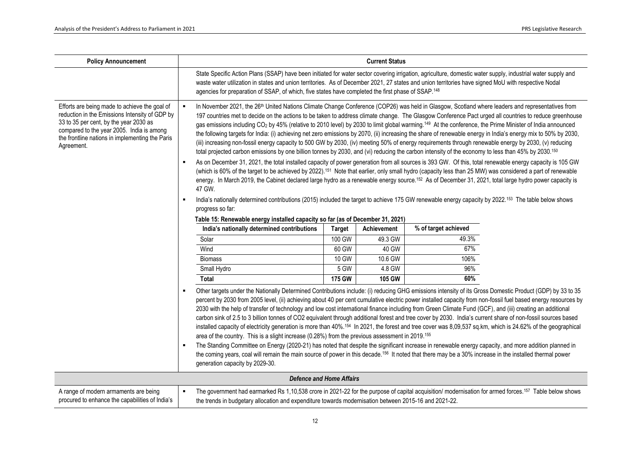| <b>Policy Announcement</b>                                                                                                                                                                                                                              |                                                                                                                                                                                                                                                                                                                                                                                                                                                                                                                                                                                                                                                                                                                                                                                                                                                                                                                                                                                                                                                                                                                                                                                                                                                                                                                       |                                                                                                                                                                                                                                                                                                                                                                                                                                                                                                                                                                                                                                                                                                                                                                                                                                                                                                                                                                                             |               | <b>Current Status</b> |                      |  |  |  |  |
|---------------------------------------------------------------------------------------------------------------------------------------------------------------------------------------------------------------------------------------------------------|-----------------------------------------------------------------------------------------------------------------------------------------------------------------------------------------------------------------------------------------------------------------------------------------------------------------------------------------------------------------------------------------------------------------------------------------------------------------------------------------------------------------------------------------------------------------------------------------------------------------------------------------------------------------------------------------------------------------------------------------------------------------------------------------------------------------------------------------------------------------------------------------------------------------------------------------------------------------------------------------------------------------------------------------------------------------------------------------------------------------------------------------------------------------------------------------------------------------------------------------------------------------------------------------------------------------------|---------------------------------------------------------------------------------------------------------------------------------------------------------------------------------------------------------------------------------------------------------------------------------------------------------------------------------------------------------------------------------------------------------------------------------------------------------------------------------------------------------------------------------------------------------------------------------------------------------------------------------------------------------------------------------------------------------------------------------------------------------------------------------------------------------------------------------------------------------------------------------------------------------------------------------------------------------------------------------------------|---------------|-----------------------|----------------------|--|--|--|--|
|                                                                                                                                                                                                                                                         |                                                                                                                                                                                                                                                                                                                                                                                                                                                                                                                                                                                                                                                                                                                                                                                                                                                                                                                                                                                                                                                                                                                                                                                                                                                                                                                       | State Specific Action Plans (SSAP) have been initiated for water sector covering irrigation, agriculture, domestic water supply, industrial water supply and<br>waste water utilization in states and union territories. As of December 2021, 27 states and union territories have signed MoU with respective Nodal<br>agencies for preparation of SSAP, of which, five states have completed the first phase of SSAP. <sup>148</sup>                                                                                                                                                                                                                                                                                                                                                                                                                                                                                                                                                       |               |                       |                      |  |  |  |  |
| Efforts are being made to achieve the goal of<br>reduction in the Emissions Intensity of GDP by<br>33 to 35 per cent, by the year 2030 as<br>compared to the year 2005. India is among<br>the frontline nations in implementing the Paris<br>Agreement. | $\blacksquare$                                                                                                                                                                                                                                                                                                                                                                                                                                                                                                                                                                                                                                                                                                                                                                                                                                                                                                                                                                                                                                                                                                                                                                                                                                                                                                        | In November 2021, the 26 <sup>th</sup> United Nations Climate Change Conference (COP26) was held in Glasgow, Scotland where leaders and representatives from<br>197 countries met to decide on the actions to be taken to address climate change. The Glasgow Conference Pact urged all countries to reduce greenhouse<br>gas emissions including CO <sub>2</sub> by 45% (relative to 2010 level) by 2030 to limit global warming. <sup>149</sup> At the conference, the Prime Minister of India announced<br>the following targets for India: (i) achieving net zero emissions by 2070, (ii) increasing the share of renewable energy in India's energy mix to 50% by 2030,<br>(iii) increasing non-fossil energy capacity to 500 GW by 2030, (iv) meeting 50% of energy requirements through renewable energy by 2030, (v) reducing<br>total projected carbon emissions by one billion tonnes by 2030, and (vi) reducing the carbon intensity of the economy to less than 45% by 2030.150 |               |                       |                      |  |  |  |  |
|                                                                                                                                                                                                                                                         | ٠                                                                                                                                                                                                                                                                                                                                                                                                                                                                                                                                                                                                                                                                                                                                                                                                                                                                                                                                                                                                                                                                                                                                                                                                                                                                                                                     | As on December 31, 2021, the total installed capacity of power generation from all sources is 393 GW. Of this, total renewable energy capacity is 105 GW<br>(which is 60% of the target to be achieved by 2022). <sup>151</sup> Note that earlier, only small hydro (capacity less than 25 MW) was considered a part of renewable<br>energy. In March 2019, the Cabinet declared large hydro as a renewable energy source. <sup>152</sup> As of December 31, 2021, total large hydro power capacity is<br>47 GW.                                                                                                                                                                                                                                                                                                                                                                                                                                                                            |               |                       |                      |  |  |  |  |
|                                                                                                                                                                                                                                                         |                                                                                                                                                                                                                                                                                                                                                                                                                                                                                                                                                                                                                                                                                                                                                                                                                                                                                                                                                                                                                                                                                                                                                                                                                                                                                                                       | India's nationally determined contributions (2015) included the target to achieve 175 GW renewable energy capacity by 2022. <sup>153</sup> The table below shows<br>progress so far:                                                                                                                                                                                                                                                                                                                                                                                                                                                                                                                                                                                                                                                                                                                                                                                                        |               |                       |                      |  |  |  |  |
|                                                                                                                                                                                                                                                         |                                                                                                                                                                                                                                                                                                                                                                                                                                                                                                                                                                                                                                                                                                                                                                                                                                                                                                                                                                                                                                                                                                                                                                                                                                                                                                                       | Table 15: Renewable energy installed capacity so far (as of December 31, 2021)<br>India's nationally determined contributions                                                                                                                                                                                                                                                                                                                                                                                                                                                                                                                                                                                                                                                                                                                                                                                                                                                               | <b>Target</b> | Achievement           | % of target achieved |  |  |  |  |
|                                                                                                                                                                                                                                                         |                                                                                                                                                                                                                                                                                                                                                                                                                                                                                                                                                                                                                                                                                                                                                                                                                                                                                                                                                                                                                                                                                                                                                                                                                                                                                                                       | Solar                                                                                                                                                                                                                                                                                                                                                                                                                                                                                                                                                                                                                                                                                                                                                                                                                                                                                                                                                                                       | 100 GW        | 49.3 GW               | 49.3%                |  |  |  |  |
|                                                                                                                                                                                                                                                         |                                                                                                                                                                                                                                                                                                                                                                                                                                                                                                                                                                                                                                                                                                                                                                                                                                                                                                                                                                                                                                                                                                                                                                                                                                                                                                                       | Wind                                                                                                                                                                                                                                                                                                                                                                                                                                                                                                                                                                                                                                                                                                                                                                                                                                                                                                                                                                                        |               |                       |                      |  |  |  |  |
|                                                                                                                                                                                                                                                         |                                                                                                                                                                                                                                                                                                                                                                                                                                                                                                                                                                                                                                                                                                                                                                                                                                                                                                                                                                                                                                                                                                                                                                                                                                                                                                                       | <b>Biomass</b>                                                                                                                                                                                                                                                                                                                                                                                                                                                                                                                                                                                                                                                                                                                                                                                                                                                                                                                                                                              | 10 GW         | 10.6 GW               | 106%                 |  |  |  |  |
|                                                                                                                                                                                                                                                         |                                                                                                                                                                                                                                                                                                                                                                                                                                                                                                                                                                                                                                                                                                                                                                                                                                                                                                                                                                                                                                                                                                                                                                                                                                                                                                                       | Small Hydro                                                                                                                                                                                                                                                                                                                                                                                                                                                                                                                                                                                                                                                                                                                                                                                                                                                                                                                                                                                 | 5 GW          | 4.8 GW                | 96%                  |  |  |  |  |
|                                                                                                                                                                                                                                                         |                                                                                                                                                                                                                                                                                                                                                                                                                                                                                                                                                                                                                                                                                                                                                                                                                                                                                                                                                                                                                                                                                                                                                                                                                                                                                                                       | <b>Total</b>                                                                                                                                                                                                                                                                                                                                                                                                                                                                                                                                                                                                                                                                                                                                                                                                                                                                                                                                                                                | 175 GW        | 105 GW                | 60%                  |  |  |  |  |
|                                                                                                                                                                                                                                                         | Other targets under the Nationally Determined Contributions include: (i) reducing GHG emissions intensity of its Gross Domestic Product (GDP) by 33 to 35<br>percent by 2030 from 2005 level, (ii) achieving about 40 per cent cumulative electric power installed capacity from non-fossil fuel based energy resources by<br>2030 with the help of transfer of technology and low cost international finance including from Green Climate Fund (GCF), and (iii) creating an additional<br>carbon sink of 2.5 to 3 billion tonnes of CO2 equivalent through additional forest and tree cover by 2030. India's current share of non-fossil sources based<br>installed capacity of electricity generation is more than 40%. <sup>154</sup> In 2021, the forest and tree cover was 8,09,537 sq.km, which is 24.62% of the geographical<br>area of the country. This is a slight increase (0.28%) from the previous assessment in 2019. <sup>155</sup><br>The Standing Committee on Energy (2020-21) has noted that despite the significant increase in renewable energy capacity, and more addition planned in<br>the coming years, coal will remain the main source of power in this decade. <sup>156</sup> It noted that there may be a 30% increase in the installed thermal power<br>generation capacity by 2029-30. |                                                                                                                                                                                                                                                                                                                                                                                                                                                                                                                                                                                                                                                                                                                                                                                                                                                                                                                                                                                             |               |                       |                      |  |  |  |  |
|                                                                                                                                                                                                                                                         |                                                                                                                                                                                                                                                                                                                                                                                                                                                                                                                                                                                                                                                                                                                                                                                                                                                                                                                                                                                                                                                                                                                                                                                                                                                                                                                       | <b>Defence and Home Affairs</b>                                                                                                                                                                                                                                                                                                                                                                                                                                                                                                                                                                                                                                                                                                                                                                                                                                                                                                                                                             |               |                       |                      |  |  |  |  |
| A range of modern armaments are being<br>procured to enhance the capabilities of India's                                                                                                                                                                | $\bullet$                                                                                                                                                                                                                                                                                                                                                                                                                                                                                                                                                                                                                                                                                                                                                                                                                                                                                                                                                                                                                                                                                                                                                                                                                                                                                                             | The government had earmarked Rs 1,10,538 crore in 2021-22 for the purpose of capital acquisition/ modernisation for armed forces. <sup>157</sup> Table below shows<br>the trends in budgetary allocation and expenditure towards modernisation between 2015-16 and 2021-22.                                                                                                                                                                                                                                                                                                                                                                                                                                                                                                                                                                                                                                                                                                                 |               |                       |                      |  |  |  |  |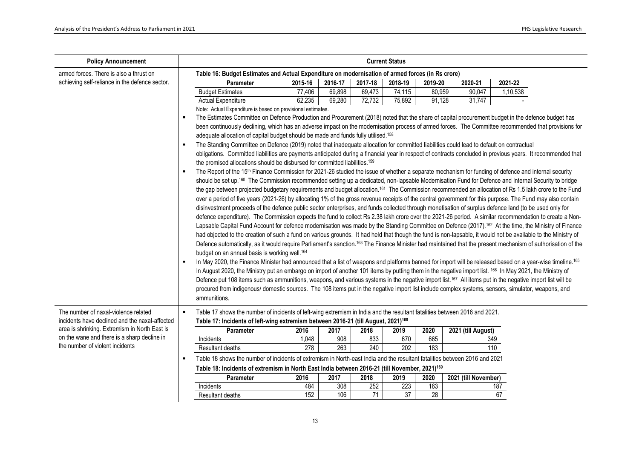| <b>Policy Announcement</b>                     |                |                                                                                                                                                                         |                  |         |         | <b>Current Status</b> |         |                      |          |  |
|------------------------------------------------|----------------|-------------------------------------------------------------------------------------------------------------------------------------------------------------------------|------------------|---------|---------|-----------------------|---------|----------------------|----------|--|
| armed forces. There is also a thrust on        |                | Table 16: Budget Estimates and Actual Expenditure on modernisation of armed forces (in Rs crore)                                                                        |                  |         |         |                       |         |                      |          |  |
| achieving self-reliance in the defence sector. |                | Parameter                                                                                                                                                               | 2015-16          | 2016-17 | 2017-18 | 2018-19               | 2019-20 | 2020-21              | 2021-22  |  |
|                                                |                | <b>Budget Estimates</b>                                                                                                                                                 | 77,406           | 69,898  | 69,473  | 74,115                | 80,959  | 90,047               | 1,10,538 |  |
|                                                |                | <b>Actual Expenditure</b>                                                                                                                                               | 62,235           | 69,280  | 72,732  | 75,892                | 91,128  | 31,747               |          |  |
|                                                |                | Note: Actual Expenditure is based on provisional estimates.                                                                                                             |                  |         |         |                       |         |                      |          |  |
|                                                |                | The Estimates Committee on Defence Production and Procurement (2018) noted that the share of capital procurement budget in the defence budget has                       |                  |         |         |                       |         |                      |          |  |
|                                                |                | been continuously declining, which has an adverse impact on the modernisation process of armed forces. The Committee recommended that provisions for                    |                  |         |         |                       |         |                      |          |  |
|                                                |                | adequate allocation of capital budget should be made and funds fully utilised. <sup>158</sup>                                                                           |                  |         |         |                       |         |                      |          |  |
|                                                | $\blacksquare$ | The Standing Committee on Defence (2019) noted that inadequate allocation for committed liabilities could lead to default on contractual                                |                  |         |         |                       |         |                      |          |  |
|                                                |                | obligations. Committed liabilities are payments anticipated during a financial year in respect of contracts concluded in previous years. It recommended that            |                  |         |         |                       |         |                      |          |  |
|                                                |                | the promised allocations should be disbursed for committed liabilities. <sup>159</sup>                                                                                  |                  |         |         |                       |         |                      |          |  |
|                                                | $\blacksquare$ | The Report of the 15 <sup>th</sup> Finance Commission for 2021-26 studied the issue of whether a separate mechanism for funding of defence and internal security        |                  |         |         |                       |         |                      |          |  |
|                                                |                | should be set up. <sup>160</sup> The Commission recommended setting up a dedicated, non-lapsable Modernisation Fund for Defence and Internal Security to bridge         |                  |         |         |                       |         |                      |          |  |
|                                                |                | the gap between projected budgetary requirements and budget allocation. <sup>161</sup> The Commission recommended an allocation of Rs 1.5 lakh crore to the Fund        |                  |         |         |                       |         |                      |          |  |
|                                                |                | over a period of five years (2021-26) by allocating 1% of the gross revenue receipts of the central government for this purpose. The Fund may also contain              |                  |         |         |                       |         |                      |          |  |
|                                                |                | disinvestment proceeds of the defence public sector enterprises, and funds collected through monetisation of surplus defence land (to be used only for                  |                  |         |         |                       |         |                      |          |  |
|                                                |                | defence expenditure). The Commission expects the fund to collect Rs 2.38 lakh crore over the 2021-26 period. A similar recommendation to create a Non-                  |                  |         |         |                       |         |                      |          |  |
|                                                |                | Lapsable Capital Fund Account for defence modernisation was made by the Standing Committee on Defence (2017). <sup>162</sup> At the time, the Ministry of Finance       |                  |         |         |                       |         |                      |          |  |
|                                                |                | had objected to the creation of such a fund on various grounds. It had held that though the fund is non-lapsable, it would not be available to the Ministry of          |                  |         |         |                       |         |                      |          |  |
|                                                |                | Defence automatically, as it would require Parliament's sanction. <sup>163</sup> The Finance Minister had maintained that the present mechanism of authorisation of the |                  |         |         |                       |         |                      |          |  |
|                                                |                | budget on an annual basis is working well. <sup>164</sup>                                                                                                               |                  |         |         |                       |         |                      |          |  |
|                                                | $\blacksquare$ | In May 2020, the Finance Minister had announced that a list of weapons and platforms banned for import will be released based on a year-wise timeline. <sup>165</sup>   |                  |         |         |                       |         |                      |          |  |
|                                                |                | In August 2020, the Ministry put an embargo on import of another 101 items by putting them in the negative import list. 166 In May 2021, the Ministry of                |                  |         |         |                       |         |                      |          |  |
|                                                |                | Defence put 108 items such as ammunitions, weapons, and various systems in the negative import list. <sup>167</sup> All items put in the negative import list will be   |                  |         |         |                       |         |                      |          |  |
|                                                |                | procured from indigenous/ domestic sources. The 108 items put in the negative import list include complex systems, sensors, simulator, weapons, and                     |                  |         |         |                       |         |                      |          |  |
|                                                |                | ammunitions.                                                                                                                                                            |                  |         |         |                       |         |                      |          |  |
| The number of naxal-violence related           | $\blacksquare$ | Table 17 shows the number of incidents of left-wing extremism in India and the resultant fatalities between 2016 and 2021.                                              |                  |         |         |                       |         |                      |          |  |
| incidents have declined and the naxal-affected |                | Table 17: Incidents of left-wing extremism between 2016-21 (till August, 2021) <sup>168</sup>                                                                           |                  |         |         |                       |         |                      |          |  |
| area is shrinking. Extremism in North East is  |                | Parameter                                                                                                                                                               | 2016             | 2017    | 2018    | 2019                  | 2020    | 2021 (till August)   |          |  |
| on the wane and there is a sharp decline in    |                | Incidents                                                                                                                                                               | 1,048            | 908     | 833     | 670                   | 665     |                      | 349      |  |
| the number of violent incidents                |                | Resultant deaths                                                                                                                                                        | $\overline{278}$ | 263     | 240     | 202                   | 183     |                      | 110      |  |
|                                                | $\blacksquare$ | Table 18 shows the number of incidents of extremism in North-east India and the resultant fatalities between 2016 and 2021                                              |                  |         |         |                       |         |                      |          |  |
|                                                |                | Table 18: Incidents of extremism in North East India between 2016-21 (till November, 2021) <sup>169</sup>                                                               |                  |         |         |                       |         |                      |          |  |
|                                                |                | Parameter                                                                                                                                                               | 2016             | 2017    | 2018    | 2019                  | 2020    | 2021 (till November) |          |  |
|                                                |                | Incidents                                                                                                                                                               | 484              | 308     | 252     | 223                   | 163     |                      | 187      |  |
|                                                |                | Resultant deaths                                                                                                                                                        | 152              | 106     | 71      | 37                    | 28      |                      | 67       |  |
|                                                |                |                                                                                                                                                                         |                  |         |         |                       |         |                      |          |  |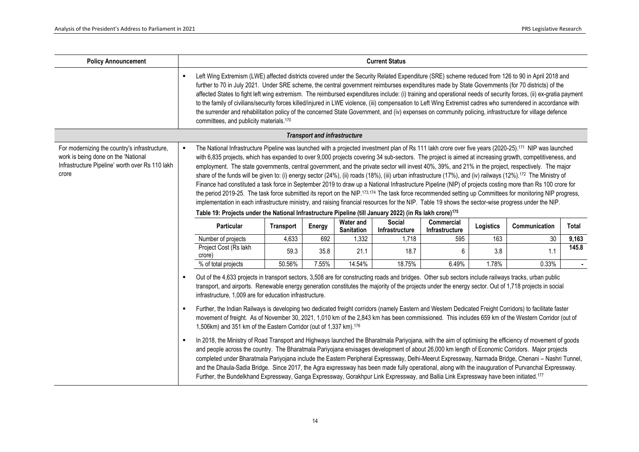| <b>Policy Announcement</b>                                                                                                                       |                                                                                                                                                                                                                                                                                                                                                                                                                                                                                                                                                                                                                                                                                                                                                                                                                                                                                | <b>Current Status</b>                                                                                                                                                                                                                                                                                                                                                                                                                                                                                                                                                                                                                                                                                                                                                                                                                                                                                                                                                                                                                                                                                                                                                                                                                                                                                                                                                                                                                                                                                                                                       |       |        |        |       |       |       |       |
|--------------------------------------------------------------------------------------------------------------------------------------------------|--------------------------------------------------------------------------------------------------------------------------------------------------------------------------------------------------------------------------------------------------------------------------------------------------------------------------------------------------------------------------------------------------------------------------------------------------------------------------------------------------------------------------------------------------------------------------------------------------------------------------------------------------------------------------------------------------------------------------------------------------------------------------------------------------------------------------------------------------------------------------------|-------------------------------------------------------------------------------------------------------------------------------------------------------------------------------------------------------------------------------------------------------------------------------------------------------------------------------------------------------------------------------------------------------------------------------------------------------------------------------------------------------------------------------------------------------------------------------------------------------------------------------------------------------------------------------------------------------------------------------------------------------------------------------------------------------------------------------------------------------------------------------------------------------------------------------------------------------------------------------------------------------------------------------------------------------------------------------------------------------------------------------------------------------------------------------------------------------------------------------------------------------------------------------------------------------------------------------------------------------------------------------------------------------------------------------------------------------------------------------------------------------------------------------------------------------------|-------|--------|--------|-------|-------|-------|-------|
|                                                                                                                                                  | Left Wing Extremism (LWE) affected districts covered under the Security Related Expenditure (SRE) scheme reduced from 126 to 90 in April 2018 and<br>$\blacksquare$<br>further to 70 in July 2021. Under SRE scheme, the central government reimburses expenditures made by State Governments (for 70 districts) of the<br>affected States to fight left wing extremism. The reimbursed expenditures include: (i) training and operational needs of security forces, (ii) ex-gratia payment<br>to the family of civilians/security forces killed/injured in LWE violence, (iii) compensation to Left Wing Extremist cadres who surrendered in accordance with<br>the surrender and rehabilitation policy of the concerned State Government, and (iv) expenses on community policing, infrastructure for village defence<br>committees, and publicity materials. <sup>170</sup> |                                                                                                                                                                                                                                                                                                                                                                                                                                                                                                                                                                                                                                                                                                                                                                                                                                                                                                                                                                                                                                                                                                                                                                                                                                                                                                                                                                                                                                                                                                                                                             |       |        |        |       |       |       |       |
|                                                                                                                                                  | <b>Transport and infrastructure</b>                                                                                                                                                                                                                                                                                                                                                                                                                                                                                                                                                                                                                                                                                                                                                                                                                                            |                                                                                                                                                                                                                                                                                                                                                                                                                                                                                                                                                                                                                                                                                                                                                                                                                                                                                                                                                                                                                                                                                                                                                                                                                                                                                                                                                                                                                                                                                                                                                             |       |        |        |       |       |       |       |
| For modernizing the country's infrastructure,<br>work is being done on the 'National<br>Infrastructure Pipeline' worth over Rs 110 lakh<br>crore | $\blacksquare$                                                                                                                                                                                                                                                                                                                                                                                                                                                                                                                                                                                                                                                                                                                                                                                                                                                                 | The National Infrastructure Pipeline was launched with a projected investment plan of Rs 111 lakh crore over five years (2020-25). <sup>171</sup> NIP was launched<br>with 6,835 projects, which has expanded to over 9,000 projects covering 34 sub-sectors. The project is aimed at increasing growth, competitiveness, and<br>employment. The state governments, central government, and the private sector will invest 40%, 39%, and 21% in the project, respectively. The major<br>share of the funds will be given to: (i) energy sector (24%), (ii) roads (18%), (iii) urban infrastructure (17%), and (iv) railways (12%). <sup>172</sup> The Ministry of<br>Finance had constituted a task force in September 2019 to draw up a National Infrastructure Pipeline (NIP) of projects costing more than Rs 100 crore for<br>the period 2019-25. The task force submitted its report on the NIP.173.174 The task force recommended setting up Committees for monitoring NIP progress,<br>implementation in each infrastructure ministry, and raising financial resources for the NIP. Table 19 shows the sector-wise progress under the NIP.<br>Table 19: Projects under the National Infrastructure Pipeline (till January 2022) (in Rs lakh crore) <sup>175</sup>                                                                                                                                                                                                                                                                                    |       |        |        |       |       |       |       |
|                                                                                                                                                  | <b>Particular</b>                                                                                                                                                                                                                                                                                                                                                                                                                                                                                                                                                                                                                                                                                                                                                                                                                                                              | Social<br><b>Water and</b><br>Commercial<br>Logistics<br>Communication<br>Total<br>Transport<br><b>Energy</b><br><b>Sanitation</b><br>Infrastructure<br>Infrastructure                                                                                                                                                                                                                                                                                                                                                                                                                                                                                                                                                                                                                                                                                                                                                                                                                                                                                                                                                                                                                                                                                                                                                                                                                                                                                                                                                                                      |       |        |        |       |       |       |       |
|                                                                                                                                                  | Number of projects                                                                                                                                                                                                                                                                                                                                                                                                                                                                                                                                                                                                                                                                                                                                                                                                                                                             | 4,633                                                                                                                                                                                                                                                                                                                                                                                                                                                                                                                                                                                                                                                                                                                                                                                                                                                                                                                                                                                                                                                                                                                                                                                                                                                                                                                                                                                                                                                                                                                                                       | 692   | 1,332  | 1,718  | 595   | 163   | 30    | 9,163 |
|                                                                                                                                                  | Project Cost (Rs lakh<br>crore)                                                                                                                                                                                                                                                                                                                                                                                                                                                                                                                                                                                                                                                                                                                                                                                                                                                | 59.3                                                                                                                                                                                                                                                                                                                                                                                                                                                                                                                                                                                                                                                                                                                                                                                                                                                                                                                                                                                                                                                                                                                                                                                                                                                                                                                                                                                                                                                                                                                                                        | 35.8  | 21.1   | 18.7   | 6     | 3.8   | 1.1   | 145.8 |
|                                                                                                                                                  | % of total projects                                                                                                                                                                                                                                                                                                                                                                                                                                                                                                                                                                                                                                                                                                                                                                                                                                                            | 50.56%                                                                                                                                                                                                                                                                                                                                                                                                                                                                                                                                                                                                                                                                                                                                                                                                                                                                                                                                                                                                                                                                                                                                                                                                                                                                                                                                                                                                                                                                                                                                                      | 7.55% | 14.54% | 18.75% | 6.49% | 1.78% | 0.33% |       |
|                                                                                                                                                  | ٠<br>$\blacksquare$<br>$\blacksquare$                                                                                                                                                                                                                                                                                                                                                                                                                                                                                                                                                                                                                                                                                                                                                                                                                                          | Out of the 4,633 projects in transport sectors, 3,508 are for constructing roads and bridges. Other sub sectors include railways tracks, urban public<br>transport, and airports. Renewable energy generation constitutes the majority of the projects under the energy sector. Out of 1,718 projects in social<br>infrastructure, 1,009 are for education infrastructure.<br>Further, the Indian Railways is developing two dedicated freight corridors (namely Eastern and Western Dedicated Freight Corridors) to facilitate faster<br>movement of freight. As of November 30, 2021, 1,010 km of the 2,843 km has been commissioned. This includes 659 km of the Western Corridor (out of<br>1,506km) and 351 km of the Eastern Corridor (out of 1,337 km). <sup>176</sup><br>In 2018, the Ministry of Road Transport and Highways launched the Bharatmala Pariyojana, with the aim of optimising the efficiency of movement of goods<br>and people across the country. The Bharatmala Pariyojana envisages development of about 26,000 km length of Economic Corridors. Major projects<br>completed under Bharatmala Pariyojana include the Eastern Peripheral Expressway, Delhi-Meerut Expressway, Narmada Bridge, Chenani - Nashri Tunnel,<br>and the Dhaula-Sadia Bridge. Since 2017, the Agra expressway has been made fully operational, along with the inauguration of Purvanchal Expressway.<br>Further, the Bundelkhand Expressway, Ganga Expressway, Gorakhpur Link Expressway, and Ballia Link Expressway have been initiated. <sup>177</sup> |       |        |        |       |       |       |       |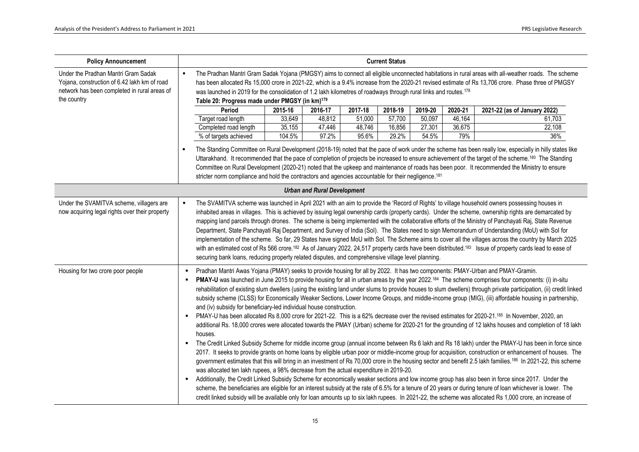| <b>Policy Announcement</b>                                                                                                                         | <b>Current Status</b>                                                                                                                                                                                                                                                                                                                                                                                                                                                                                                     |                                                                                                                                                                                                                                                                                                                                                                                                                                                                                                                                                                                                                                                                                                                                                                                                                                                                                                                                                                                                                                                                                                                                                                                                                                                                                                                                                                                                                                                                                                                                                                                                                                                                                                                                                                                                                                                                                                                                                                                                                                                                                                                                                                                                 |                                    |         |         |         |         |                                                                                                                                                                                                                                                                                                                                                                                                                                                                            |
|----------------------------------------------------------------------------------------------------------------------------------------------------|---------------------------------------------------------------------------------------------------------------------------------------------------------------------------------------------------------------------------------------------------------------------------------------------------------------------------------------------------------------------------------------------------------------------------------------------------------------------------------------------------------------------------|-------------------------------------------------------------------------------------------------------------------------------------------------------------------------------------------------------------------------------------------------------------------------------------------------------------------------------------------------------------------------------------------------------------------------------------------------------------------------------------------------------------------------------------------------------------------------------------------------------------------------------------------------------------------------------------------------------------------------------------------------------------------------------------------------------------------------------------------------------------------------------------------------------------------------------------------------------------------------------------------------------------------------------------------------------------------------------------------------------------------------------------------------------------------------------------------------------------------------------------------------------------------------------------------------------------------------------------------------------------------------------------------------------------------------------------------------------------------------------------------------------------------------------------------------------------------------------------------------------------------------------------------------------------------------------------------------------------------------------------------------------------------------------------------------------------------------------------------------------------------------------------------------------------------------------------------------------------------------------------------------------------------------------------------------------------------------------------------------------------------------------------------------------------------------------------------------|------------------------------------|---------|---------|---------|---------|----------------------------------------------------------------------------------------------------------------------------------------------------------------------------------------------------------------------------------------------------------------------------------------------------------------------------------------------------------------------------------------------------------------------------------------------------------------------------|
| Under the Pradhan Mantri Gram Sadak<br>Yojana, construction of 6.42 lakh km of road<br>network has been completed in rural areas of<br>the country | The Pradhan Mantri Gram Sadak Yojana (PMGSY) aims to connect all eligible unconnected habitations in rural areas with all-weather roads. The scheme<br>$\blacksquare$<br>has been allocated Rs 15,000 crore in 2021-22, which is a 9.4% increase from the 2020-21 revised estimate of Rs 13,706 crore. Phase three of PMGSY<br>was launched in 2019 for the consolidation of 1.2 lakh kilometres of roadways through rural links and routes. <sup>178</sup><br>Table 20: Progress made under PMGSY (in km) <sup>179</sup> |                                                                                                                                                                                                                                                                                                                                                                                                                                                                                                                                                                                                                                                                                                                                                                                                                                                                                                                                                                                                                                                                                                                                                                                                                                                                                                                                                                                                                                                                                                                                                                                                                                                                                                                                                                                                                                                                                                                                                                                                                                                                                                                                                                                                 |                                    |         |         |         |         |                                                                                                                                                                                                                                                                                                                                                                                                                                                                            |
|                                                                                                                                                    | Period                                                                                                                                                                                                                                                                                                                                                                                                                                                                                                                    | 2015-16                                                                                                                                                                                                                                                                                                                                                                                                                                                                                                                                                                                                                                                                                                                                                                                                                                                                                                                                                                                                                                                                                                                                                                                                                                                                                                                                                                                                                                                                                                                                                                                                                                                                                                                                                                                                                                                                                                                                                                                                                                                                                                                                                                                         | 2016-17                            | 2017-18 | 2018-19 | 2019-20 | 2020-21 | 2021-22 (as of January 2022)                                                                                                                                                                                                                                                                                                                                                                                                                                               |
|                                                                                                                                                    | Target road length                                                                                                                                                                                                                                                                                                                                                                                                                                                                                                        | 33,649                                                                                                                                                                                                                                                                                                                                                                                                                                                                                                                                                                                                                                                                                                                                                                                                                                                                                                                                                                                                                                                                                                                                                                                                                                                                                                                                                                                                                                                                                                                                                                                                                                                                                                                                                                                                                                                                                                                                                                                                                                                                                                                                                                                          | 48,812                             | 51,000  | 57,700  | 50,097  | 46,164  | 61,703                                                                                                                                                                                                                                                                                                                                                                                                                                                                     |
|                                                                                                                                                    | Completed road length                                                                                                                                                                                                                                                                                                                                                                                                                                                                                                     | 35,155                                                                                                                                                                                                                                                                                                                                                                                                                                                                                                                                                                                                                                                                                                                                                                                                                                                                                                                                                                                                                                                                                                                                                                                                                                                                                                                                                                                                                                                                                                                                                                                                                                                                                                                                                                                                                                                                                                                                                                                                                                                                                                                                                                                          | 47,446                             | 48,746  | 16,856  | 27,301  | 36,675  | 22,108                                                                                                                                                                                                                                                                                                                                                                                                                                                                     |
|                                                                                                                                                    | % of targets achieved                                                                                                                                                                                                                                                                                                                                                                                                                                                                                                     | 104.5%                                                                                                                                                                                                                                                                                                                                                                                                                                                                                                                                                                                                                                                                                                                                                                                                                                                                                                                                                                                                                                                                                                                                                                                                                                                                                                                                                                                                                                                                                                                                                                                                                                                                                                                                                                                                                                                                                                                                                                                                                                                                                                                                                                                          | 97.2%                              | 95.6%   | 29.2%   | 54.5%   | 79%     | 36%                                                                                                                                                                                                                                                                                                                                                                                                                                                                        |
|                                                                                                                                                    | stricter norm compliance and hold the contractors and agencies accountable for their negligence. <sup>181</sup>                                                                                                                                                                                                                                                                                                                                                                                                           |                                                                                                                                                                                                                                                                                                                                                                                                                                                                                                                                                                                                                                                                                                                                                                                                                                                                                                                                                                                                                                                                                                                                                                                                                                                                                                                                                                                                                                                                                                                                                                                                                                                                                                                                                                                                                                                                                                                                                                                                                                                                                                                                                                                                 |                                    |         |         |         |         | The Standing Committee on Rural Development (2018-19) noted that the pace of work under the scheme has been really low, especially in hilly states like<br>Uttarakhand. It recommended that the pace of completion of projects be increased to ensure achievement of the target of the scheme. <sup>180</sup> The Standing<br>Committee on Rural Development (2020-21) noted that the upkeep and maintenance of roads has been poor. It recommended the Ministry to ensure |
|                                                                                                                                                    |                                                                                                                                                                                                                                                                                                                                                                                                                                                                                                                           |                                                                                                                                                                                                                                                                                                                                                                                                                                                                                                                                                                                                                                                                                                                                                                                                                                                                                                                                                                                                                                                                                                                                                                                                                                                                                                                                                                                                                                                                                                                                                                                                                                                                                                                                                                                                                                                                                                                                                                                                                                                                                                                                                                                                 | <b>Urban and Rural Development</b> |         |         |         |         |                                                                                                                                                                                                                                                                                                                                                                                                                                                                            |
| Under the SVAMITVA scheme, villagers are<br>now acquiring legal rights over their property                                                         | $\blacksquare$                                                                                                                                                                                                                                                                                                                                                                                                                                                                                                            | The SVAMITVA scheme was launched in April 2021 with an aim to provide the 'Record of Rights' to village household owners possessing houses in<br>inhabited areas in villages. This is achieved by issuing legal ownership cards (property cards). Under the scheme, ownership rights are demarcated by<br>mapping land parcels through drones. The scheme is being implemented with the collaborative efforts of the Ministry of Panchayati Raj, State Revenue<br>Department, State Panchayati Raj Department, and Survey of India (Sol). The States need to sign Memorandum of Understanding (MoU) with Sol for<br>implementation of the scheme. So far, 29 States have signed MoU with Sol. The Scheme aims to cover all the villages across the country by March 2025<br>with an estimated cost of Rs 566 crore. <sup>182</sup> As of January 2022, 24,517 property cards have been distributed. <sup>183</sup> Issue of property cards lead to ease of                                                                                                                                                                                                                                                                                                                                                                                                                                                                                                                                                                                                                                                                                                                                                                                                                                                                                                                                                                                                                                                                                                                                                                                                                                      |                                    |         |         |         |         |                                                                                                                                                                                                                                                                                                                                                                                                                                                                            |
| Housing for two crore poor people                                                                                                                  | ٠<br>٠<br>$\blacksquare$<br>houses.<br>$\blacksquare$<br>٠                                                                                                                                                                                                                                                                                                                                                                                                                                                                | securing bank loans, reducing property related disputes, and comprehensive village level planning.<br>Pradhan Mantri Awas Yojana (PMAY) seeks to provide housing for all by 2022. It has two components: PMAY-Urban and PMAY-Gramin.<br>PMAY-U was launched in June 2015 to provide housing for all in urban areas by the year 2022. <sup>184</sup> The scheme comprises four components: (i) in-situ<br>rehabilitation of existing slum dwellers (using the existing land under slums to provide houses to slum dwellers) through private participation, (ii) credit linked<br>subsidy scheme (CLSS) for Economically Weaker Sections, Lower Income Groups, and middle-income group (MIG), (iii) affordable housing in partnership,<br>and (iv) subsidy for beneficiary-led individual house construction.<br>PMAY-U has been allocated Rs 8,000 crore for 2021-22. This is a 62% decrease over the revised estimates for 2020-21.185 In November, 2020, an<br>additional Rs. 18,000 crores were allocated towards the PMAY (Urban) scheme for 2020-21 for the grounding of 12 lakhs houses and completion of 18 lakh<br>The Credit Linked Subsidy Scheme for middle income group (annual income between Rs 6 lakh and Rs 18 lakh) under the PMAY-U has been in force since<br>2017. It seeks to provide grants on home loans by eligible urban poor or middle-income group for acquisition, construction or enhancement of houses. The<br>government estimates that this will bring in an investment of Rs 70,000 crore in the housing sector and benefit 2.5 lakh families. <sup>186</sup> In 2021-22, this scheme<br>was allocated ten lakh rupees, a 98% decrease from the actual expenditure in 2019-20.<br>Additionally, the Credit Linked Subsidy Scheme for economically weaker sections and low income group has also been in force since 2017. Under the<br>scheme, the beneficiaries are eligible for an interest subsidy at the rate of 6.5% for a tenure of 20 years or during tenure of loan whichever is lower. The<br>credit linked subsidy will be available only for loan amounts up to six lakh rupees. In 2021-22, the scheme was allocated Rs 1,000 crore, an increase of |                                    |         |         |         |         |                                                                                                                                                                                                                                                                                                                                                                                                                                                                            |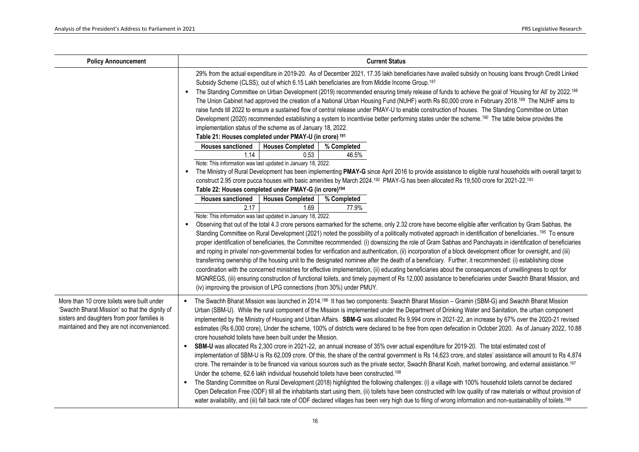| <b>Policy Announcement</b>                                                                                                                                                                  | <b>Current Status</b>                                                                                                                                                                                                                                                                                                                                                                                                                                                                                                                                                                                                                                                                                                                                                                                                                                                                                                                                                                                                                                                                                                                                                                                                                                                                                                                                                                                                                                                                                                                                                                                                                                                                                                                                                                                                   |
|---------------------------------------------------------------------------------------------------------------------------------------------------------------------------------------------|-------------------------------------------------------------------------------------------------------------------------------------------------------------------------------------------------------------------------------------------------------------------------------------------------------------------------------------------------------------------------------------------------------------------------------------------------------------------------------------------------------------------------------------------------------------------------------------------------------------------------------------------------------------------------------------------------------------------------------------------------------------------------------------------------------------------------------------------------------------------------------------------------------------------------------------------------------------------------------------------------------------------------------------------------------------------------------------------------------------------------------------------------------------------------------------------------------------------------------------------------------------------------------------------------------------------------------------------------------------------------------------------------------------------------------------------------------------------------------------------------------------------------------------------------------------------------------------------------------------------------------------------------------------------------------------------------------------------------------------------------------------------------------------------------------------------------|
|                                                                                                                                                                                             | 29% from the actual expenditure in 2019-20. As of December 2021, 17.35 lakh beneficiaries have availed subsidy on housing loans through Credit Linked<br>Subsidy Scheme (CLSS), out of which 6.15 Lakh beneficiaries are from Middle Income Group. <sup>187</sup><br>The Standing Committee on Urban Development (2019) recommended ensuring timely release of funds to achieve the goal of 'Housing for All' by 2022. <sup>188</sup><br>٠<br>The Union Cabinet had approved the creation of a National Urban Housing Fund (NUHF) worth Rs 60,000 crore in February 2018. <sup>189</sup> The NUHF aims to<br>raise funds till 2022 to ensure a sustained flow of central release under PMAY-U to enable construction of houses. The Standing Committee on Urban<br>Development (2020) recommended establishing a system to incentivise better performing states under the scheme. <sup>190</sup> The table below provides the<br>implementation status of the scheme as of January 18, 2022.<br>Table 21: Houses completed under PMAY-U (in crore) <sup>191</sup><br><b>Houses sanctioned</b><br><b>Houses Completed</b><br>% Completed<br>0.53<br>1.14<br>46.5%<br>Note: This information was last updated in January 18, 2022.                                                                                                                                                                                                                                                                                                                                                                                                                                                                                                                                                                                        |
|                                                                                                                                                                                             | The Ministry of Rural Development has been implementing PMAY-G since April 2016 to provide assistance to eligible rural households with overall target to<br>٠<br>construct 2.95 crore pucca houses with basic amenities by March 2024.192 PMAY-G has been allocated Rs 19,500 crore for 2021-22.193<br>Table 22: Houses completed under PMAY-G (in crore) <sup>194</sup><br>Houses Completed<br><b>Houses sanctioned</b><br>% Completed<br>2.17<br>1.69<br>77.9%<br>Note: This information was last updated in January 18, 2022.<br>Observing that out of the total 4.3 crore persons earmarked for the scheme, only 2.32 crore have become eligible after verification by Gram Sabhas, the<br>٠<br>Standing Committee on Rural Development (2021) noted the possibility of a politically motivated approach in identification of beneficiaries <sup>195</sup> To ensure<br>proper identification of beneficiaries, the Committee recommended: (i) downsizing the role of Gram Sabhas and Panchayats in identification of beneficiaries<br>and roping in private/ non-governmental bodies for verification and authentication, (ii) incorporation of a block development officer for oversight, and (iii)<br>transferring ownership of the housing unit to the designated nominee after the death of a beneficiary. Further, it recommended: (i) establishing close<br>coordination with the concerned ministries for effective implementation, (ii) educating beneficiaries about the consequences of unwillingness to opt for<br>MGNREGS, (iii) ensuring construction of functional toilets, and timely payment of Rs 12,000 assistance to beneficiaries under Swachh Bharat Mission, and<br>(iv) improving the provision of LPG connections (from 30%) under PMUY.                                                  |
| More than 10 crore toilets were built under<br>'Swachh Bharat Mission' so that the dignity of<br>sisters and daughters from poor families is<br>maintained and they are not inconvenienced. | The Swachh Bharat Mission was launched in 2014. <sup>196</sup> It has two components: Swachh Bharat Mission - Gramin (SBM-G) and Swachh Bharat Mission<br>Urban (SBM-U). While the rural component of the Mission is implemented under the Department of Drinking Water and Sanitation, the urban component<br>implemented by the Ministry of Housing and Urban Affairs. SBM-G was allocated Rs 9,994 crore in 2021-22, an increase by 67% over the 2020-21 revised<br>estimates (Rs 6,000 crore), Under the scheme, 100% of districts were declared to be free from open defecation in October 2020. As of January 2022, 10.88<br>crore household toilets have been built under the Mission.<br>• SBM-U was allocated Rs 2,300 crore in 2021-22, an annual increase of 35% over actual expenditure for 2019-20. The total estimated cost of<br>implementation of SBM-U is Rs 62,009 crore. Of this, the share of the central government is Rs 14,623 crore, and states' assistance will amount to Rs 4,874<br>crore. The remainder is to be financed via various sources such as the private sector, Swachh Bharat Kosh, market borrowing, and external assistance. <sup>197</sup><br>Under the scheme, 62.6 lakh individual household toilets have been constructed. <sup>198</sup><br>The Standing Committee on Rural Development (2018) highlighted the following challenges: (i) a village with 100% household toilets cannot be declared<br>$\blacksquare$<br>Open Defecation Free (ODF) till all the inhabitants start using them, (ii) toilets have been constructed with low quality of raw materials or without provision of<br>water availability, and (iii) fall back rate of ODF declared villages has been very high due to filing of wrong information and non-sustainability of toilets. <sup>199</sup> |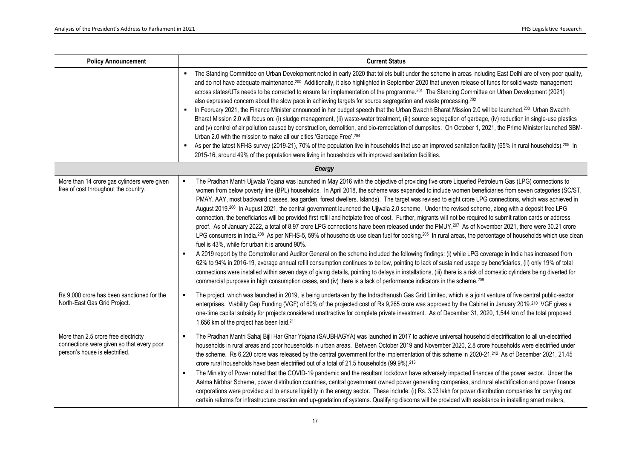<span id="page-16-0"></span>

| <b>Policy Announcement</b>                                                                                          | <b>Current Status</b>                                                                                                                                                                                                                                                                                                                                                                                                                                                                                                                                                                                                                                                                                                                                                                                                                                                                                                                                                                                                                                                                                                                                                                                                                                                                                                                                                                                                                                                                                                                                                                                                                                                                                                                                                                                                                                                             |
|---------------------------------------------------------------------------------------------------------------------|-----------------------------------------------------------------------------------------------------------------------------------------------------------------------------------------------------------------------------------------------------------------------------------------------------------------------------------------------------------------------------------------------------------------------------------------------------------------------------------------------------------------------------------------------------------------------------------------------------------------------------------------------------------------------------------------------------------------------------------------------------------------------------------------------------------------------------------------------------------------------------------------------------------------------------------------------------------------------------------------------------------------------------------------------------------------------------------------------------------------------------------------------------------------------------------------------------------------------------------------------------------------------------------------------------------------------------------------------------------------------------------------------------------------------------------------------------------------------------------------------------------------------------------------------------------------------------------------------------------------------------------------------------------------------------------------------------------------------------------------------------------------------------------------------------------------------------------------------------------------------------------|
|                                                                                                                     | " The Standing Committee on Urban Development noted in early 2020 that toilets built under the scheme in areas including East Delhi are of very poor quality,<br>and do not have adequate maintenance. <sup>200</sup> Additionally, it also highlighted in September 2020 that uneven release of funds for solid waste management<br>across states/UTs needs to be corrected to ensure fair implementation of the programme. <sup>201</sup> The Standing Committee on Urban Development (2021)<br>also expressed concern about the slow pace in achieving targets for source segregation and waste processing. <sup>202</sup><br>In February 2021, the Finance Minister announced in her budget speech that the Urban Swachh Bharat Mission 2.0 will be launched. <sup>203</sup> Urban Swachh<br>Bharat Mission 2.0 will focus on: (i) sludge management, (ii) waste-water treatment, (iii) source segregation of garbage, (iv) reduction in single-use plastics<br>and (v) control of air pollution caused by construction, demolition, and bio-remediation of dumpsites. On October 1, 2021, the Prime Minister launched SBM-<br>Urban 2.0 with the mission to make all our cities 'Garbage Free'. <sup>204</sup><br>As per the latest NFHS survey (2019-21), 70% of the population live in households that use an improved sanitation facility (65% in rural households). <sup>205</sup> In<br>$\blacksquare$<br>2015-16, around 49% of the population were living in households with improved sanitation facilities.                                                                                                                                                                                                                                                                                                                                                          |
|                                                                                                                     | Energy                                                                                                                                                                                                                                                                                                                                                                                                                                                                                                                                                                                                                                                                                                                                                                                                                                                                                                                                                                                                                                                                                                                                                                                                                                                                                                                                                                                                                                                                                                                                                                                                                                                                                                                                                                                                                                                                            |
| More than 14 crore gas cylinders were given<br>free of cost throughout the country.                                 | The Pradhan Mantri Ujjwala Yojana was launched in May 2016 with the objective of providing five crore Liquefied Petroleum Gas (LPG) connections to<br>$\blacksquare$<br>women from below poverty line (BPL) households. In April 2018, the scheme was expanded to include women beneficiaries from seven categories (SC/ST,<br>PMAY, AAY, most backward classes, tea garden, forest dwellers, Islands). The target was revised to eight crore LPG connections, which was achieved in<br>August 2019. <sup>206</sup> In August 2021, the central government launched the Ujjwala 2.0 scheme. Under the revised scheme, along with a deposit free LPG<br>connection, the beneficiaries will be provided first refill and hotplate free of cost. Further, migrants will not be required to submit ration cards or address<br>proof. As of January 2022, a total of 8.97 crore LPG connections have been released under the PMUY. <sup>207</sup> As of November 2021, there were 30.21 crore<br>LPG consumers in India. <sup>208</sup> As per NFHS-5, 59% of households use clean fuel for cooking. <sup>205</sup> In rural areas, the percentage of households which use clean<br>fuel is 43%, while for urban it is around 90%.<br>A 2019 report by the Comptroller and Auditor General on the scheme included the following findings: (i) while LPG coverage in India has increased from<br>$\blacksquare$<br>62% to 94% in 2016-19, average annual refill consumption continues to be low, pointing to lack of sustained usage by beneficiaries, (ii) only 19% of total<br>connections were installed within seven days of giving details, pointing to delays in installations, (iii) there is a risk of domestic cylinders being diverted for<br>commercial purposes in high consumption cases, and (iv) there is a lack of performance indicators in the scheme. <sup>209</sup> |
| Rs 9,000 crore has been sanctioned for the<br>North-East Gas Grid Project.                                          | The project, which was launched in 2019, is being undertaken by the Indradhanush Gas Grid Limited, which is a joint venture of five central public-sector<br>$\blacksquare$<br>enterprises. Viability Gap Funding (VGF) of 60% of the projected cost of Rs 9,265 crore was approved by the Cabinet in January 2019. <sup>210</sup> VGF gives a<br>one-time capital subsidy for projects considered unattractive for complete private investment. As of December 31, 2020, 1,544 km of the total proposed<br>1,656 km of the project has been laid. <sup>211</sup>                                                                                                                                                                                                                                                                                                                                                                                                                                                                                                                                                                                                                                                                                                                                                                                                                                                                                                                                                                                                                                                                                                                                                                                                                                                                                                                 |
| More than 2.5 crore free electricity<br>connections were given so that every poor<br>person's house is electrified. | The Pradhan Mantri Sahaj Bijli Har Ghar Yojana (SAUBHAGYA) was launched in 2017 to achieve universal household electrification to all un-electrified<br>$\blacksquare$<br>households in rural areas and poor households in urban areas. Between October 2019 and November 2020, 2.8 crore households were electrified under<br>the scheme. Rs 6,220 crore was released by the central government for the implementation of this scheme in 2020-21. <sup>212</sup> As of December 2021, 21.45<br>crore rural households have been electrified out of a total of 21.5 households (99.9%). <sup>213</sup><br>The Ministry of Power noted that the COVID-19 pandemic and the resultant lockdown have adversely impacted finances of the power sector. Under the<br>Aatma Nirbhar Scheme, power distribution countries, central government owned power generating companies, and rural electrification and power finance<br>corporations were provided aid to ensure liquidity in the energy sector. These include: (i) Rs. 3.03 lakh for power distribution companies for carrying out<br>certain reforms for infrastructure creation and up-gradation of systems. Qualifying discoms will be provided with assistance in installing smart meters,                                                                                                                                                                                                                                                                                                                                                                                                                                                                                                                                                                                                                                    |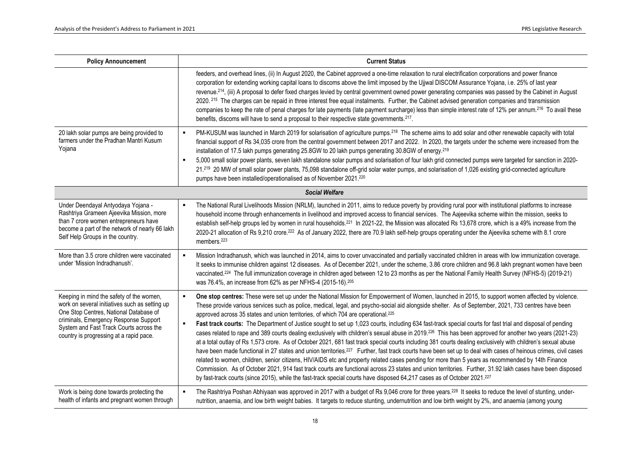<span id="page-17-1"></span><span id="page-17-0"></span>

| <b>Policy Announcement</b>                                                                                                                                                                                                                                          | <b>Current Status</b>                                                                                                                                                                                                                                                                                                                                                                                                                                                                                                                                                                                                                                                                                                                                                                                                                                                                                                                                                                                                                                                                                                                                                                                                                                                                                                                                                                                                                                                                                                                                                                        |
|---------------------------------------------------------------------------------------------------------------------------------------------------------------------------------------------------------------------------------------------------------------------|----------------------------------------------------------------------------------------------------------------------------------------------------------------------------------------------------------------------------------------------------------------------------------------------------------------------------------------------------------------------------------------------------------------------------------------------------------------------------------------------------------------------------------------------------------------------------------------------------------------------------------------------------------------------------------------------------------------------------------------------------------------------------------------------------------------------------------------------------------------------------------------------------------------------------------------------------------------------------------------------------------------------------------------------------------------------------------------------------------------------------------------------------------------------------------------------------------------------------------------------------------------------------------------------------------------------------------------------------------------------------------------------------------------------------------------------------------------------------------------------------------------------------------------------------------------------------------------------|
|                                                                                                                                                                                                                                                                     | feeders, and overhead lines, (ii) In August 2020, the Cabinet approved a one-time relaxation to rural electrification corporations and power finance<br>corporation for extending working capital loans to discoms above the limit imposed by the Ujjwal DISCOM Assurance Yojana, i.e. 25% of last year<br>revenue. <sup>214</sup> , (iii) A proposal to defer fixed charges levied by central government owned power generating companies was passed by the Cabinet in August<br>2020. <sup>215</sup> The charges can be repaid in three interest free equal instalments. Further, the Cabinet advised generation companies and transmission<br>companies to keep the rate of penal charges for late payments (late payment surcharge) less than simple interest rate of 12% per annum. <sup>216</sup> To avail these<br>benefits, discoms will have to send a proposal to their respective state governments. <sup>217</sup> .                                                                                                                                                                                                                                                                                                                                                                                                                                                                                                                                                                                                                                                             |
| 20 lakh solar pumps are being provided to<br>farmers under the Pradhan Mantri Kusum<br>Yojana                                                                                                                                                                       | PM-KUSUM was launched in March 2019 for solarisation of agriculture pumps. <sup>218</sup> The scheme aims to add solar and other renewable capacity with total<br>$\blacksquare$<br>financial support of Rs 34,035 crore from the central government between 2017 and 2022. In 2020, the targets under the scheme were increased from the<br>installation of 17.5 lakh pumps generating 25.8GW to 20 lakh pumps generating 30.8GW of energy. <sup>219</sup><br>5,000 small solar power plants, seven lakh standalone solar pumps and solarisation of four lakh grid connected pumps were targeted for sanction in 2020-<br>$\blacksquare$<br>21. <sup>219</sup> 20 MW of small solar power plants, 75,098 standalone off-grid solar water pumps, and solarisation of 1,026 existing grid-connected agriculture<br>pumps have been installed/operationalised as of November 2021. <sup>220</sup>                                                                                                                                                                                                                                                                                                                                                                                                                                                                                                                                                                                                                                                                                              |
|                                                                                                                                                                                                                                                                     | <b>Social Welfare</b>                                                                                                                                                                                                                                                                                                                                                                                                                                                                                                                                                                                                                                                                                                                                                                                                                                                                                                                                                                                                                                                                                                                                                                                                                                                                                                                                                                                                                                                                                                                                                                        |
| Under Deendayal Antyodaya Yojana -<br>Rashtriya Grameen Ajeevika Mission, more<br>than 7 crore women entrepreneurs have<br>become a part of the network of nearly 66 lakh<br>Self Help Groups in the country.                                                       | The National Rural Livelihoods Mission (NRLM), launched in 2011, aims to reduce poverty by providing rural poor with institutional platforms to increase<br>$\blacksquare$<br>household income through enhancements in livelihood and improved access to financial services. The Aajeevika scheme within the mission, seeks to<br>establish self-help groups led by women in rural households. <sup>221</sup> In 2021-22, the Mission was allocated Rs 13,678 crore, which is a 49% increase from the<br>2020-21 allocation of Rs 9,210 crore. <sup>222</sup> As of January 2022, there are 70.9 lakh self-help groups operating under the Ajeevika scheme with 8.1 crore<br>members. <sup>223</sup>                                                                                                                                                                                                                                                                                                                                                                                                                                                                                                                                                                                                                                                                                                                                                                                                                                                                                         |
| More than 3.5 crore children were vaccinated<br>under 'Mission Indradhanush'.                                                                                                                                                                                       | Mission Indradhanush, which was launched in 2014, aims to cover unvaccinated and partially vaccinated children in areas with low immunization coverage.<br>$\blacksquare$<br>It seeks to immunise children against 12 diseases. As of December 2021, under the scheme, 3.86 crore children and 96.8 lakh pregnant women have been<br>vaccinated. <sup>224</sup> The full immunization coverage in children aged between 12 to 23 months as per the National Family Health Survey (NFHS-5) (2019-21)<br>was 76.4%, an increase from 62% as per NFHS-4 (2015-16). <sup>205</sup>                                                                                                                                                                                                                                                                                                                                                                                                                                                                                                                                                                                                                                                                                                                                                                                                                                                                                                                                                                                                               |
| Keeping in mind the safety of the women,<br>work on several initiatives such as setting up<br>One Stop Centres, National Database of<br>criminals, Emergency Response Support<br>System and Fast Track Courts across the<br>country is progressing at a rapid pace. | One stop centres: These were set up under the National Mission for Empowerment of Women, launched in 2015, to support women affected by violence.<br>$\blacksquare$<br>These provide various services such as police, medical, legal, and psycho-social aid alongside shelter. As of September, 2021, 733 centres have been<br>approved across 35 states and union territories, of which 704 are operational. <sup>225</sup><br>$\blacksquare$<br>Fast track courts: The Department of Justice sought to set up 1,023 courts, including 634 fast-track special courts for fast trial and disposal of pending<br>cases related to rape and 389 courts dealing exclusively with children's sexual abuse in 2019. <sup>226</sup> This has been approved for another two years (2021-23)<br>at a total outlay of Rs 1,573 crore. As of October 2021, 681 fast track special courts including 381 courts dealing exclusively with children's sexual abuse<br>have been made functional in 27 states and union territories. <sup>227</sup> Further, fast track courts have been set up to deal with cases of heinous crimes, civil cases<br>related to women, children, senior citizens, HIV/AIDS etc and property related cases pending for more than 5 years as recommended by 14th Finance<br>Commission. As of October 2021, 914 fast track courts are functional across 23 states and union territories. Further, 31.92 lakh cases have been disposed<br>by fast-track courts (since 2015), while the fast-track special courts have disposed 64,217 cases as of October 2021. <sup>227</sup> |
| Work is being done towards protecting the<br>health of infants and pregnant women through                                                                                                                                                                           | The Rashtriya Poshan Abhiyaan was approved in 2017 with a budget of Rs 9,046 crore for three years. <sup>228</sup> It seeks to reduce the level of stunting, under-<br>$\blacksquare$<br>nutrition, anaemia, and low birth weight babies. It targets to reduce stunting, undernutrition and low birth weight by 2%, and anaemia (among young                                                                                                                                                                                                                                                                                                                                                                                                                                                                                                                                                                                                                                                                                                                                                                                                                                                                                                                                                                                                                                                                                                                                                                                                                                                 |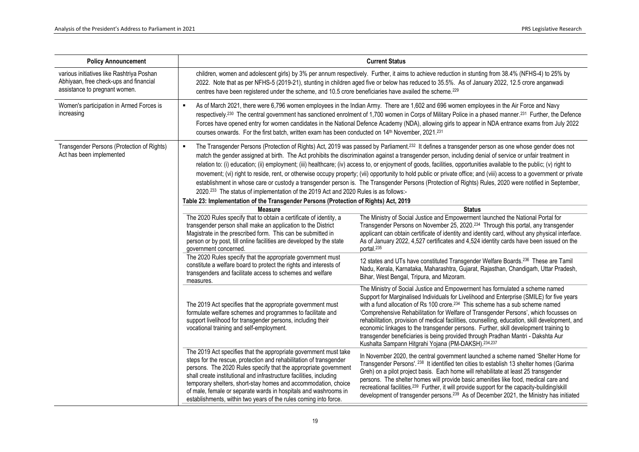<span id="page-18-0"></span>

| <b>Policy Announcement</b>                                                                                           |                                                                                                                                                                                                                                                                                                                                                                                                                                                                                                                                                                                                                                 | <b>Current Status</b>                                                                                                                                                                                                                                                                                                                                                                                                                                                                                                                                                                                                                                                                                                                                                                                                                  |  |  |  |  |  |
|----------------------------------------------------------------------------------------------------------------------|---------------------------------------------------------------------------------------------------------------------------------------------------------------------------------------------------------------------------------------------------------------------------------------------------------------------------------------------------------------------------------------------------------------------------------------------------------------------------------------------------------------------------------------------------------------------------------------------------------------------------------|----------------------------------------------------------------------------------------------------------------------------------------------------------------------------------------------------------------------------------------------------------------------------------------------------------------------------------------------------------------------------------------------------------------------------------------------------------------------------------------------------------------------------------------------------------------------------------------------------------------------------------------------------------------------------------------------------------------------------------------------------------------------------------------------------------------------------------------|--|--|--|--|--|
| various initiatives like Rashtriya Poshan<br>Abhiyaan, free check-ups and financial<br>assistance to pregnant women. |                                                                                                                                                                                                                                                                                                                                                                                                                                                                                                                                                                                                                                 | children, women and adolescent girls) by 3% per annum respectively. Further, it aims to achieve reduction in stunting from 38.4% (NFHS-4) to 25% by<br>2022. Note that as per NFHS-5 (2019-21), stunting in children aged five or below has reduced to 35.5%. As of January 2022, 12.5 crore anganwadi<br>centres have been registered under the scheme, and 10.5 crore beneficiaries have availed the scheme. <sup>229</sup>                                                                                                                                                                                                                                                                                                                                                                                                          |  |  |  |  |  |
| Women's participation in Armed Forces is<br>increasing                                                               | As of March 2021, there were 6,796 women employees in the Indian Army. There are 1,602 and 696 women employees in the Air Force and Navy<br>$\blacksquare$<br>respectively. <sup>230</sup> The central government has sanctioned enrolment of 1,700 women in Corps of Military Police in a phased manner. <sup>231</sup> Further, the Defence<br>Forces have opened entry for women candidates in the National Defence Academy (NDA), allowing girls to appear in NDA entrance exams from July 2022<br>courses onwards. For the first batch, written exam has been conducted on 14 <sup>th</sup> November, 2021. <sup>231</sup> |                                                                                                                                                                                                                                                                                                                                                                                                                                                                                                                                                                                                                                                                                                                                                                                                                                        |  |  |  |  |  |
| Transgender Persons (Protection of Rights)<br>Act has been implemented                                               | ٠<br>2020. <sup>233</sup> The status of implementation of the 2019 Act and 2020 Rules is as follows:-<br>Table 23: Implementation of the Transgender Persons (Protection of Rights) Act, 2019                                                                                                                                                                                                                                                                                                                                                                                                                                   | The Transgender Persons (Protection of Rights) Act, 2019 was passed by Parliament. <sup>232</sup> It defines a transgender person as one whose gender does not<br>match the gender assigned at birth. The Act prohibits the discrimination against a transgender person, including denial of service or unfair treatment in<br>relation to: (i) education; (ii) employment; (iii) healthcare; (iv) access to, or enjoyment of goods, facilities, opportunities available to the public; (v) right to<br>movement; (vi) right to reside, rent, or otherwise occupy property; (vii) opportunity to hold public or private office; and (viii) access to a government or private<br>establishment in whose care or custody a transgender person is. The Transgender Persons (Protection of Rights) Rules, 2020 were notified in September, |  |  |  |  |  |
|                                                                                                                      | <b>Measure</b>                                                                                                                                                                                                                                                                                                                                                                                                                                                                                                                                                                                                                  | <b>Status</b>                                                                                                                                                                                                                                                                                                                                                                                                                                                                                                                                                                                                                                                                                                                                                                                                                          |  |  |  |  |  |
|                                                                                                                      | The 2020 Rules specify that to obtain a certificate of identity, a<br>transgender person shall make an application to the District<br>Magistrate in the prescribed form. This can be submitted in<br>person or by post, till online facilities are developed by the state<br>government concerned.                                                                                                                                                                                                                                                                                                                              | The Ministry of Social Justice and Empowerment launched the National Portal for<br>Transgender Persons on November 25, 2020. <sup>234</sup> Through this portal, any transgender<br>applicant can obtain certificate of identity and identity card, without any physical interface.<br>As of January 2022, 4,527 certificates and 4,524 identity cards have been issued on the<br>portal. <sup>235</sup>                                                                                                                                                                                                                                                                                                                                                                                                                               |  |  |  |  |  |
|                                                                                                                      | The 2020 Rules specify that the appropriate government must<br>constitute a welfare board to protect the rights and interests of<br>transgenders and facilitate access to schemes and welfare<br>measures.                                                                                                                                                                                                                                                                                                                                                                                                                      | 12 states and UTs have constituted Transgender Welfare Boards. <sup>236</sup> These are Tamil<br>Nadu, Kerala, Karnataka, Maharashtra, Gujarat, Rajasthan, Chandigarh, Uttar Pradesh,<br>Bihar, West Bengal, Tripura, and Mizoram.                                                                                                                                                                                                                                                                                                                                                                                                                                                                                                                                                                                                     |  |  |  |  |  |
|                                                                                                                      | The 2019 Act specifies that the appropriate government must<br>formulate welfare schemes and programmes to facilitate and<br>support livelihood for transgender persons, including their<br>vocational training and self-employment.                                                                                                                                                                                                                                                                                                                                                                                            | The Ministry of Social Justice and Empowerment has formulated a scheme named<br>Support for Marginalised Individuals for Livelihood and Enterprise (SMILE) for five years<br>with a fund allocation of Rs 100 crore. <sup>234</sup> This scheme has a sub scheme named<br>'Comprehensive Rehabilitation for Welfare of Transgender Persons', which focusses on<br>rehabilitation, provision of medical facilities, counselling, education, skill development, and<br>economic linkages to the transgender persons. Further, skill development training to<br>transgender beneficiaries is being provided through Pradhan Mantri - Dakshta Aur<br>Kushalta Sampann Hitgrahi Yojana (PM-DAKSH). <sup>234,237</sup>                                                                                                                       |  |  |  |  |  |
|                                                                                                                      | The 2019 Act specifies that the appropriate government must take<br>steps for the rescue, protection and rehabilitation of transgender<br>persons. The 2020 Rules specify that the appropriate government<br>shall create institutional and infrastructure facilities, including<br>temporary shelters, short-stay homes and accommodation, choice<br>of male, female or separate wards in hospitals and washrooms in<br>establishments, within two years of the rules coming into force.                                                                                                                                       | In November 2020, the central government launched a scheme named 'Shelter Home for<br>Transgender Persons'. <sup>238</sup> It identified ten cities to establish 13 shelter homes (Garima<br>Greh) on a pilot project basis. Each home will rehabilitate at least 25 transgender<br>persons. The shelter homes will provide basic amenities like food, medical care and<br>recreational facilities. <sup>239</sup> Further, it will provide support for the capacity-building/skill<br>development of transgender persons. <sup>239</sup> As of December 2021, the Ministry has initiated                                                                                                                                                                                                                                              |  |  |  |  |  |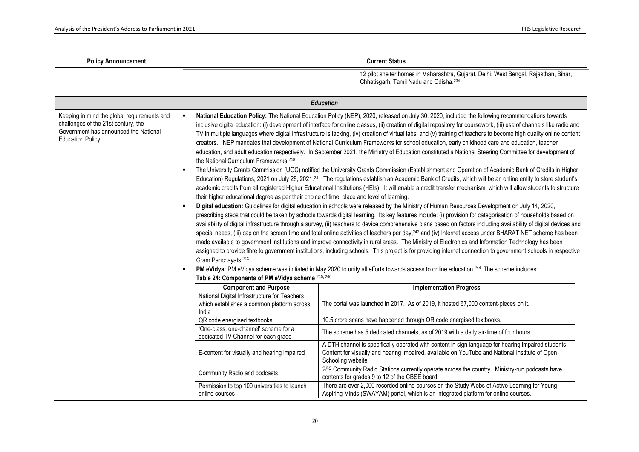| <b>Policy Announcement</b>                                                                                                                       | <b>Current Status</b>                                                                                                                                                                                     |                                                                                                                                                                                                                                                                                                                                                                                                                                                                                                                                                                                                                                                                                                                                                                                                                                                                                                                                                                                                                                                                                                                                                                                                                                                                                                                                                                                                                                                                                                                                                                                                                                                                                                                                                                                                                                                                                                                                                                                                                                                                                                                                                                                                                                                                                                                                                                                                                                                              |  |  |  |  |  |
|--------------------------------------------------------------------------------------------------------------------------------------------------|-----------------------------------------------------------------------------------------------------------------------------------------------------------------------------------------------------------|--------------------------------------------------------------------------------------------------------------------------------------------------------------------------------------------------------------------------------------------------------------------------------------------------------------------------------------------------------------------------------------------------------------------------------------------------------------------------------------------------------------------------------------------------------------------------------------------------------------------------------------------------------------------------------------------------------------------------------------------------------------------------------------------------------------------------------------------------------------------------------------------------------------------------------------------------------------------------------------------------------------------------------------------------------------------------------------------------------------------------------------------------------------------------------------------------------------------------------------------------------------------------------------------------------------------------------------------------------------------------------------------------------------------------------------------------------------------------------------------------------------------------------------------------------------------------------------------------------------------------------------------------------------------------------------------------------------------------------------------------------------------------------------------------------------------------------------------------------------------------------------------------------------------------------------------------------------------------------------------------------------------------------------------------------------------------------------------------------------------------------------------------------------------------------------------------------------------------------------------------------------------------------------------------------------------------------------------------------------------------------------------------------------------------------------------------------------|--|--|--|--|--|
|                                                                                                                                                  |                                                                                                                                                                                                           | 12 pilot shelter homes in Maharashtra, Gujarat, Delhi, West Bengal, Rajasthan, Bihar,<br>Chhatisgarh, Tamil Nadu and Odisha. <sup>234</sup>                                                                                                                                                                                                                                                                                                                                                                                                                                                                                                                                                                                                                                                                                                                                                                                                                                                                                                                                                                                                                                                                                                                                                                                                                                                                                                                                                                                                                                                                                                                                                                                                                                                                                                                                                                                                                                                                                                                                                                                                                                                                                                                                                                                                                                                                                                                  |  |  |  |  |  |
|                                                                                                                                                  |                                                                                                                                                                                                           |                                                                                                                                                                                                                                                                                                                                                                                                                                                                                                                                                                                                                                                                                                                                                                                                                                                                                                                                                                                                                                                                                                                                                                                                                                                                                                                                                                                                                                                                                                                                                                                                                                                                                                                                                                                                                                                                                                                                                                                                                                                                                                                                                                                                                                                                                                                                                                                                                                                              |  |  |  |  |  |
|                                                                                                                                                  |                                                                                                                                                                                                           | <b>Education</b>                                                                                                                                                                                                                                                                                                                                                                                                                                                                                                                                                                                                                                                                                                                                                                                                                                                                                                                                                                                                                                                                                                                                                                                                                                                                                                                                                                                                                                                                                                                                                                                                                                                                                                                                                                                                                                                                                                                                                                                                                                                                                                                                                                                                                                                                                                                                                                                                                                             |  |  |  |  |  |
| Keeping in mind the global requirements and<br>challenges of the 21st century, the<br>Government has announced the National<br>Education Policy. | $\blacksquare$<br>the National Curriculum Frameworks. <sup>240</sup><br>٠<br>their higher educational degree as per their choice of time, place and level of learning.<br>Gram Panchayats. <sup>243</sup> | National Education Policy: The National Education Policy (NEP), 2020, released on July 30, 2020, included the following recommendations towards<br>inclusive digital education: (i) development of interface for online classes, (ii) creation of digital repository for coursework, (iii) use of channels like radio and<br>TV in multiple languages where digital infrastructure is lacking, (iv) creation of virtual labs, and (v) training of teachers to become high quality online content<br>creators. NEP mandates that development of National Curriculum Frameworks for school education, early childhood care and education, teacher<br>education, and adult education respectively. In September 2021, the Ministry of Education constituted a National Steering Committee for development of<br>The University Grants Commission (UGC) notified the University Grants Commission (Establishment and Operation of Academic Bank of Credits in Higher<br>Education) Regulations, 2021 on July 28, 2021. <sup>241</sup> The regulations establish an Academic Bank of Credits, which will be an online entity to store student's<br>academic credits from all registered Higher Educational Institutions (HEIs). It will enable a credit transfer mechanism, which will allow students to structure<br>Digital education: Guidelines for digital education in schools were released by the Ministry of Human Resources Development on July 14, 2020,<br>prescribing steps that could be taken by schools towards digital learning. Its key features include: (i) provision for categorisation of households based on<br>availability of digital infrastructure through a survey, (ii) teachers to device comprehensive plans based on factors including availability of digital devices and<br>special needs, (iii) cap on the screen time and total online activities of teachers per day, <sup>242</sup> and (iv) Internet access under BHARAT NET scheme has been<br>made available to government institutions and improve connectivity in rural areas. The Ministry of Electronics and Information Technology has been<br>assigned to provide fibre to government institutions, including schools. This project is for providing internet connection to government schools in respective<br>PM eVidya: PM eVidya scheme was initiated in May 2020 to unify all efforts towards access to online education. <sup>244</sup> The scheme includes: |  |  |  |  |  |
|                                                                                                                                                  |                                                                                                                                                                                                           | Table 24: Components of PM eVidya scheme 245, 246                                                                                                                                                                                                                                                                                                                                                                                                                                                                                                                                                                                                                                                                                                                                                                                                                                                                                                                                                                                                                                                                                                                                                                                                                                                                                                                                                                                                                                                                                                                                                                                                                                                                                                                                                                                                                                                                                                                                                                                                                                                                                                                                                                                                                                                                                                                                                                                                            |  |  |  |  |  |
|                                                                                                                                                  | <b>Component and Purpose</b>                                                                                                                                                                              | <b>Implementation Progress</b>                                                                                                                                                                                                                                                                                                                                                                                                                                                                                                                                                                                                                                                                                                                                                                                                                                                                                                                                                                                                                                                                                                                                                                                                                                                                                                                                                                                                                                                                                                                                                                                                                                                                                                                                                                                                                                                                                                                                                                                                                                                                                                                                                                                                                                                                                                                                                                                                                               |  |  |  |  |  |
|                                                                                                                                                  | National Digital Infrastructure for Teachers<br>which establishes a common platform across<br>India                                                                                                       | The portal was launched in 2017. As of 2019, it hosted 67,000 content-pieces on it.                                                                                                                                                                                                                                                                                                                                                                                                                                                                                                                                                                                                                                                                                                                                                                                                                                                                                                                                                                                                                                                                                                                                                                                                                                                                                                                                                                                                                                                                                                                                                                                                                                                                                                                                                                                                                                                                                                                                                                                                                                                                                                                                                                                                                                                                                                                                                                          |  |  |  |  |  |
|                                                                                                                                                  | QR code energised textbooks                                                                                                                                                                               | 10.5 crore scans have happened through QR code energised textbooks.                                                                                                                                                                                                                                                                                                                                                                                                                                                                                                                                                                                                                                                                                                                                                                                                                                                                                                                                                                                                                                                                                                                                                                                                                                                                                                                                                                                                                                                                                                                                                                                                                                                                                                                                                                                                                                                                                                                                                                                                                                                                                                                                                                                                                                                                                                                                                                                          |  |  |  |  |  |
|                                                                                                                                                  | 'One-class, one-channel' scheme for a<br>dedicated TV Channel for each grade                                                                                                                              | The scheme has 5 dedicated channels, as of 2019 with a daily air-time of four hours.                                                                                                                                                                                                                                                                                                                                                                                                                                                                                                                                                                                                                                                                                                                                                                                                                                                                                                                                                                                                                                                                                                                                                                                                                                                                                                                                                                                                                                                                                                                                                                                                                                                                                                                                                                                                                                                                                                                                                                                                                                                                                                                                                                                                                                                                                                                                                                         |  |  |  |  |  |
|                                                                                                                                                  | E-content for visually and hearing impaired                                                                                                                                                               | A DTH channel is specifically operated with content in sign language for hearing impaired students.<br>Content for visually and hearing impaired, available on YouTube and National Institute of Open<br>Schooling website.                                                                                                                                                                                                                                                                                                                                                                                                                                                                                                                                                                                                                                                                                                                                                                                                                                                                                                                                                                                                                                                                                                                                                                                                                                                                                                                                                                                                                                                                                                                                                                                                                                                                                                                                                                                                                                                                                                                                                                                                                                                                                                                                                                                                                                  |  |  |  |  |  |
|                                                                                                                                                  | Community Radio and podcasts                                                                                                                                                                              | 289 Community Radio Stations currently operate across the country. Ministry-run podcasts have<br>contents for grades 9 to 12 of the CBSE board.                                                                                                                                                                                                                                                                                                                                                                                                                                                                                                                                                                                                                                                                                                                                                                                                                                                                                                                                                                                                                                                                                                                                                                                                                                                                                                                                                                                                                                                                                                                                                                                                                                                                                                                                                                                                                                                                                                                                                                                                                                                                                                                                                                                                                                                                                                              |  |  |  |  |  |
|                                                                                                                                                  | Permission to top 100 universities to launch<br>online courses                                                                                                                                            | There are over 2,000 recorded online courses on the Study Webs of Active Learning for Young<br>Aspiring Minds (SWAYAM) portal, which is an integrated platform for online courses.                                                                                                                                                                                                                                                                                                                                                                                                                                                                                                                                                                                                                                                                                                                                                                                                                                                                                                                                                                                                                                                                                                                                                                                                                                                                                                                                                                                                                                                                                                                                                                                                                                                                                                                                                                                                                                                                                                                                                                                                                                                                                                                                                                                                                                                                           |  |  |  |  |  |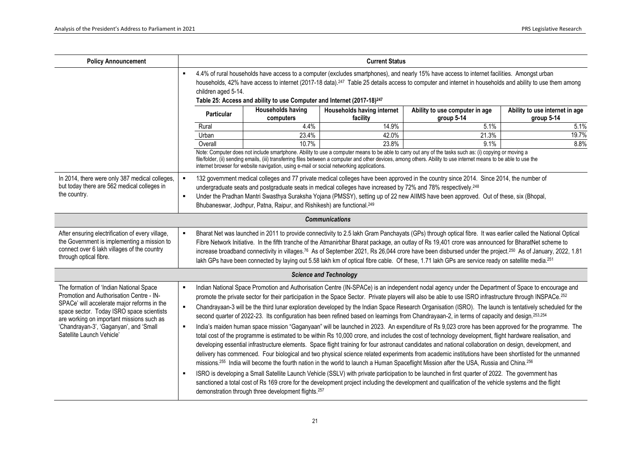<span id="page-20-0"></span>

| <b>Policy Announcement</b>                                                                                                                                               |                                                                                                                                                                                                                                                                                                                                                                                                                                                   |                                                                                                                                                                                                                                                                                                                                                                                                                                                                                                                                                                                                                                                                                                                                                                                                         |                                                                                          | <b>Current Status</b>                  |                                                                                                                                                                                                                                                                                                                             |                                              |  |  |
|--------------------------------------------------------------------------------------------------------------------------------------------------------------------------|---------------------------------------------------------------------------------------------------------------------------------------------------------------------------------------------------------------------------------------------------------------------------------------------------------------------------------------------------------------------------------------------------------------------------------------------------|---------------------------------------------------------------------------------------------------------------------------------------------------------------------------------------------------------------------------------------------------------------------------------------------------------------------------------------------------------------------------------------------------------------------------------------------------------------------------------------------------------------------------------------------------------------------------------------------------------------------------------------------------------------------------------------------------------------------------------------------------------------------------------------------------------|------------------------------------------------------------------------------------------|----------------------------------------|-----------------------------------------------------------------------------------------------------------------------------------------------------------------------------------------------------------------------------------------------------------------------------------------------------------------------------|----------------------------------------------|--|--|
|                                                                                                                                                                          | 4.4% of rural households have access to a computer (excludes smartphones), and nearly 15% have access to internet facilities. Amongst urban<br>$\blacksquare$<br>households, 42% have access to internet (2017-18 data). <sup>247</sup> Table 25 details access to computer and internet in households and ability to use them among<br>children aged 5-14.<br>Table 25: Access and ability to use Computer and Internet (2017-18) <sup>247</sup> |                                                                                                                                                                                                                                                                                                                                                                                                                                                                                                                                                                                                                                                                                                                                                                                                         |                                                                                          |                                        |                                                                                                                                                                                                                                                                                                                             |                                              |  |  |
|                                                                                                                                                                          |                                                                                                                                                                                                                                                                                                                                                                                                                                                   | Particular                                                                                                                                                                                                                                                                                                                                                                                                                                                                                                                                                                                                                                                                                                                                                                                              | <b>Households having</b><br>computers                                                    | Households having internet<br>facility | Ability to use computer in age<br>group $5-14$                                                                                                                                                                                                                                                                              | Ability to use internet in age<br>group 5-14 |  |  |
|                                                                                                                                                                          | Rural                                                                                                                                                                                                                                                                                                                                                                                                                                             |                                                                                                                                                                                                                                                                                                                                                                                                                                                                                                                                                                                                                                                                                                                                                                                                         | 4.4%                                                                                     | 14.9%                                  | 5.1%                                                                                                                                                                                                                                                                                                                        | 5.1%                                         |  |  |
|                                                                                                                                                                          | Urban                                                                                                                                                                                                                                                                                                                                                                                                                                             |                                                                                                                                                                                                                                                                                                                                                                                                                                                                                                                                                                                                                                                                                                                                                                                                         | 23.4%                                                                                    | 42.0%                                  | 21.3%                                                                                                                                                                                                                                                                                                                       | 19.7%                                        |  |  |
|                                                                                                                                                                          | Overall                                                                                                                                                                                                                                                                                                                                                                                                                                           |                                                                                                                                                                                                                                                                                                                                                                                                                                                                                                                                                                                                                                                                                                                                                                                                         | 10.7%                                                                                    | 23.8%                                  | 9.1%                                                                                                                                                                                                                                                                                                                        | 8.8%                                         |  |  |
|                                                                                                                                                                          |                                                                                                                                                                                                                                                                                                                                                                                                                                                   |                                                                                                                                                                                                                                                                                                                                                                                                                                                                                                                                                                                                                                                                                                                                                                                                         | internet browser for website navigation, using e-mail or social networking applications. |                                        | Note: Computer does not include smartphone. Ability to use a computer means to be able to carry out any of the tasks such as: (i) copying or moving a<br>file/folder, (ii) sending emails, (iii) transferring files between a computer and other devices, among others. Ability to use internet means to be able to use the |                                              |  |  |
| In 2014, there were only 387 medical colleges,<br>but today there are 562 medical colleges in<br>the country.                                                            | $\blacksquare$                                                                                                                                                                                                                                                                                                                                                                                                                                    | 132 government medical colleges and 77 private medical colleges have been approved in the country since 2014. Since 2014, the number of<br>undergraduate seats and postgraduate seats in medical colleges have increased by 72% and 78% respectively. <sup>248</sup><br>Under the Pradhan Mantri Swasthya Suraksha Yojana (PMSSY), setting up of 22 new AIIMS have been approved. Out of these, six (Bhopal,<br>Bhubaneswar, Jodhpur, Patna, Raipur, and Rishikesh) are functional. <sup>249</sup>                                                                                                                                                                                                                                                                                                      |                                                                                          |                                        |                                                                                                                                                                                                                                                                                                                             |                                              |  |  |
|                                                                                                                                                                          |                                                                                                                                                                                                                                                                                                                                                                                                                                                   |                                                                                                                                                                                                                                                                                                                                                                                                                                                                                                                                                                                                                                                                                                                                                                                                         |                                                                                          | <b>Communications</b>                  |                                                                                                                                                                                                                                                                                                                             |                                              |  |  |
| After ensuring electrification of every village,<br>the Government is implementing a mission to<br>connect over 6 lakh villages of the country<br>through optical fibre. | $\blacksquare$                                                                                                                                                                                                                                                                                                                                                                                                                                    | Bharat Net was launched in 2011 to provide connectivity to 2.5 lakh Gram Panchayats (GPs) through optical fibre. It was earlier called the National Optical<br>Fibre Network Initiative. In the fifth tranche of the Atmanirbhar Bharat package, an outlay of Rs 19,401 crore was announced for BharatNet scheme to<br>increase broadband connectivity in villages. <sup>76</sup> As of September 2021, Rs 26,044 crore have been disbursed under the project. <sup>250</sup> As of January, 2022, 1.81<br>lakh GPs have been connected by laying out 5.58 lakh km of optical fibre cable. Of these, 1.71 lakh GPs are service ready on satellite media. <sup>251</sup>                                                                                                                                 |                                                                                          |                                        |                                                                                                                                                                                                                                                                                                                             |                                              |  |  |
|                                                                                                                                                                          | <b>Science and Technology</b>                                                                                                                                                                                                                                                                                                                                                                                                                     |                                                                                                                                                                                                                                                                                                                                                                                                                                                                                                                                                                                                                                                                                                                                                                                                         |                                                                                          |                                        |                                                                                                                                                                                                                                                                                                                             |                                              |  |  |
| The formation of 'Indian National Space<br>Promotion and Authorisation Centre - IN-<br>SPACe' will accelerate major reforms in the                                       | Indian National Space Promotion and Authorisation Centre (IN-SPACe) is an independent nodal agency under the Department of Space to encourage and<br>$\blacksquare$<br>promote the private sector for their participation in the Space Sector. Private players will also be able to use ISRO infrastructure through INSPACe. <sup>252</sup><br>$\blacksquare$                                                                                     |                                                                                                                                                                                                                                                                                                                                                                                                                                                                                                                                                                                                                                                                                                                                                                                                         |                                                                                          |                                        |                                                                                                                                                                                                                                                                                                                             |                                              |  |  |
| space sector. Today ISRO space scientists<br>are working on important missions such as                                                                                   |                                                                                                                                                                                                                                                                                                                                                                                                                                                   | Chandrayaan-3 will be the third lunar exploration developed by the Indian Space Research Organisation (ISRO). The launch is tentatively scheduled for the<br>second quarter of 2022-23. Its configuration has been refined based on learnings from Chandrayaan-2, in terms of capacity and design. 253,254                                                                                                                                                                                                                                                                                                                                                                                                                                                                                              |                                                                                          |                                        |                                                                                                                                                                                                                                                                                                                             |                                              |  |  |
| 'Chandrayan-3', 'Gaganyan', and 'Small<br>Satellite Launch Vehicle'                                                                                                      | $\blacksquare$                                                                                                                                                                                                                                                                                                                                                                                                                                    | India's maiden human space mission "Gaganyaan" will be launched in 2023. An expenditure of Rs 9,023 crore has been approved for the programme. The<br>total cost of the programme is estimated to be within Rs 10,000 crore, and includes the cost of technology development, flight hardware realisation, and<br>developing essential infrastructure elements. Space flight training for four astronaut candidates and national collaboration on design, development, and<br>delivery has commenced. Four biological and two physical science related experiments from academic institutions have been shortlisted for the unmanned<br>missions. <sup>255</sup> India will become the fourth nation in the world to launch a Human Spaceflight Mission after the USA, Russia and China. <sup>256</sup> |                                                                                          |                                        |                                                                                                                                                                                                                                                                                                                             |                                              |  |  |
|                                                                                                                                                                          | ٠                                                                                                                                                                                                                                                                                                                                                                                                                                                 |                                                                                                                                                                                                                                                                                                                                                                                                                                                                                                                                                                                                                                                                                                                                                                                                         | demonstration through three development flights. <sup>257</sup>                          |                                        | ISRO is developing a Small Satellite Launch Vehicle (SSLV) with private participation to be launched in first quarter of 2022. The government has<br>sanctioned a total cost of Rs 169 crore for the development project including the development and qualification of the vehicle systems and the flight                  |                                              |  |  |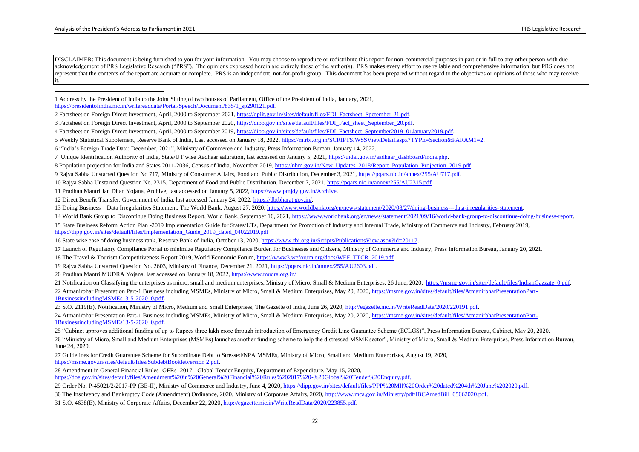DISCLAIMER: This document is being furnished to you for your information. You may choose to reproduce or redistribute this report for non-commercial purposes in part or in full to any other person with due acknowledgement of PRS Legislative Research ("PRS"). The opinions expressed herein are entirely those of the author(s). PRS makes every effort to use reliable and comprehensive information, but PRS does not represent that the contents of the report are accurate or complete. PRS is an independent, not-for-profit group. This document has been prepared without regard to the objectives or opinions of those who may receive it.

- 11 Pradhan Mantri Jan Dhan Yojana, Archive, last accessed on January 5, 2022, [https://www.pmjdy.gov.in/Archive.](https://www.pmjdy.gov.in/Archive)
- 12 Direct Benefit Transfer, Government of India, last accessed January 24, 2022[, https://dbtbharat.gov.in/.](https://dbtbharat.gov.in/)

22 Atmanirbhar Presentation Part-1 Business including MSMEs, Ministry of Micro, Small & Medium Enterprises, May 20, 2020[, https://msme.gov.in/sites/default/files/AtmanirbharPresentationPart-](https://msme.gov.in/sites/default/files/AtmanirbharPresentationPart-1BusinessincludingMSMEs13-5-2020_0.pdf)[1BusinessincludingMSMEs13-5-2020\\_0.pdf.](https://msme.gov.in/sites/default/files/AtmanirbharPresentationPart-1BusinessincludingMSMEs13-5-2020_0.pdf)

```
23 S.O. 2119(E), Notification, Ministry of Micro, Medium and Small Enterprises, The Gazette of India, June 26, 2020, http://egazette.nic.in/WriteReadData/2020/220191.pdf.
```

```
, https://msme.gov.in/sites/default/files/AtmanirbharPresentationPart-
1BusinessincludingMSMEs13-5-2020_0.pdf.
```

```
25 "Cabinet approves additional funding of up to Rupees three lakh crore through introduction of Emergency Credit Line Guarantee Scheme (ECLGS)", Press Information Bureau, Cabinet, May 20, 2020.
26 "Ministry of Micro, Small and Medium Enterprises (MSMEs) launches another funding scheme to help the distressed MSME sector", Ministry of Micro, Small & Medium Enterprises, Press Information Bureau, 
June 24, 2020.
```

```
27 Guidelines for Credit Guarantee Scheme for Subordinate Debt to Stressed/NPA MSMEs, Ministry of Micro, Small and Medium Enterprises, August 19, 2020,
https://msme.gov.in/sites/default/files/SubdebtBookletversion 2.pdf.
```
28 Amendment in General Financial Rules -GFRs- 2017 - Global Tender Enquiry, Department of Expenditure, May 15, 2020, [https://doe.gov.in/sites/default/files/Amendment%20in%20General%20Financial%20Rules%202017%20-%20Global%20Tender%20Enquiry.pdf.](https://doe.gov.in/sites/default/files/Amendment%20in%20General%20Financial%20Rules%202017%20-%20Global%20Tender%20Enquiry.pdf)

<sup>1</sup> Address by the President of India to the Joint Sitting of two houses of Parliament, Office of the President of India, January, 2021,

[https://presidentofindia.nic.in/writereaddata/Portal/Speech/Document/835/1\\_sp290121.pdf.](https://presidentofindia.nic.in/writereaddata/Portal/Speech/Document/835/1_sp290121.pdf) 

<sup>2</sup> Factsheet on Foreign Direct Investment, April, 2000 to September 2021[, https://dpiit.gov.in/sites/default/files/FDI\\_Factsheet\\_Spetember-21.pdf.](https://dpiit.gov.in/sites/default/files/FDI_Factsheet_Spetember-21.pdf)

<sup>3</sup> Factsheet on Foreign Direct Investment, April, 2000 to September 2020, [https://dipp.gov.in/sites/default/files/FDI\\_Fact\\_sheet\\_September\\_20.pdf.](https://dipp.gov.in/sites/default/files/FDI_Fact_sheet_September_20.pdf)

<sup>4</sup> Factsheet on Foreign Direct Investment, April, 2000 to September 2019, [https://dipp.gov.in/sites/default/files/FDI\\_Factsheet\\_September2019\\_01January2019.pdf.](https://dipp.gov.in/sites/default/files/FDI_Factsheet_September2019_01January2019.pdf)

<sup>5</sup> Weekly Statistical Supplement, Reserve Bank of India, Last accessed on January 18, 2022, [https://m.rbi.org.in/SCRIPTS/WSSViewDetail.aspx?TYPE=Section&PARAM1=2.](https://m.rbi.org.in/SCRIPTS/WSSViewDetail.aspx?TYPE=Section&PARAM1=2) 

<sup>6</sup> "India's Foreign Trade Data: December, 2021", Ministry of Commerce and Industry, Press Information Bureau, January 14, 2022.

<sup>7</sup> Unique Identification Authority of India, State/UT wise Aadhaar saturation, last accessed on January 5, 2021, [https://uidai.gov.in/aadhaar\\_dashboard/india.php.](https://uidai.gov.in/aadhaar_dashboard/india.php) 

<sup>8</sup> Population projection for India and States 2011-2036, Census of India, November 2019, https://nhm.gov.in/New\_Updates\_2018/Report\_Population\_Projection\_2019.pdf.

<sup>9</sup> Rajya Sabha Unstarred Question No 717, Ministry of Consumer Affairs, Food and Public Distribution, December 3, 2021[, https://pqars.nic.in/annex/255/AU717.pdf.](https://pqars.nic.in/annex/255/AU717.pdf)

<sup>10</sup> Rajya Sabha Unstarred Question No. 2315, Department of Food and Public Distribution, December 7, 2021, [https://pqars.nic.in/annex/255/AU2315.pdf.](https://pqars.nic.in/annex/255/AU2315.pdf) 

<sup>13</sup> Doing Business - Data Irregularities Statement, The World Bank, August 27, 2020, https://www.worldbank.org/en/news/statement/2020/08/27/doing-business---data-irregularities-statement.

<sup>14</sup> World Bank Group to Discontinue Doing Business Report, World Bank, September 16, 2021[, https://www.worldbank.org/en/news/statement/2021/09/16/world-bank-group-to-discontinue-doing-business-report.](https://www.worldbank.org/en/news/statement/2021/09/16/world-bank-group-to-discontinue-doing-business-report)

<sup>15</sup> State Business Reform Action Plan -2019 Implementation Guide for States/UTs, Department for Promotion of Industry and Internal Trade, Ministry of Commerce and Industry, February 2019, [https://dipp.gov.in/sites/default/files/Implementation\\_Guide\\_2019\\_dated\\_04022019.pdf](https://dipp.gov.in/sites/default/files/Implementation_Guide_2019_dated_04022019.pdf)

<sup>16</sup> State wise ease of doing business rank, Reserve Bank of India, October 13, 2020[, https://www.rbi.org.in/Scripts/PublicationsView.aspx?id=20117.](https://www.rbi.org.in/Scripts/PublicationsView.aspx?id=20117)

<sup>17</sup> Launch of Regulatory Compliance Portal to minimize Regulatory Compliance Burden for Businesses and Citizens, Ministry of Commerce and Industry, Press Information Bureau, January 20, 2021.

<sup>18</sup> The Travel & Tourism Competitiveness Report 2019, World Economic Forum[, https://www3.weforum.org/docs/WEF\\_TTCR\\_2019.pdf.](https://www3.weforum.org/docs/WEF_TTCR_2019.pdf)

<sup>19</sup> Rajya Sabha Unstarred Question No. 2603, Ministry of Finance, December 21, 2021, [https://pqars.nic.in/annex/255/AU2603.pdf.](https://pqars.nic.in/annex/255/AU2603.pdf) 

<sup>20</sup> Pradhan Mantri MUDRA Yojana, last accessed on January 18, 2022[, https://www.mudra.org.in/](https://www.mudra.org.in/)

<sup>21</sup> Notification on Classifying the enterprises as micro, small and medium enterprises, Ministry of Micro, Small & Medium Enterprises, 26 June, 2020, [https://msme.gov.in/sites/default/files/IndianGazzate\\_0.pdf.](https://msme.gov.in/sites/default/files/IndianGazzate_0.pdf)

<sup>29</sup> Order No. P-45021/2/2017-PP (BE-II), Ministry of Commerce and Industry, June 4, 2020[, https://dipp.gov.in/sites/default/files/PPP%20MII%20Order%20dated%204th%20June%202020.pdf.](https://dipp.gov.in/sites/default/files/PPP%20MII%20Order%20dated%204th%20June%202020.pdf) 

<sup>30</sup> The Insolvency and Bankruptcy Code (Amendment) Ordinance, 2020, Ministry of Corporate Affairs, 2020[, http://www.mca.gov.in/Ministry/pdf/IBCAmedBill\\_05062020.pdf.](http://www.mca.gov.in/Ministry/pdf/IBCAmedBill_05062020.pdf)

<sup>31</sup> S.O. 4638(E), Ministry of Corporate Affairs, December 22, 2020[, http://egazette.nic.in/WriteReadData/2020/223855.pdf.](http://egazette.nic.in/WriteReadData/2020/223855.pdf)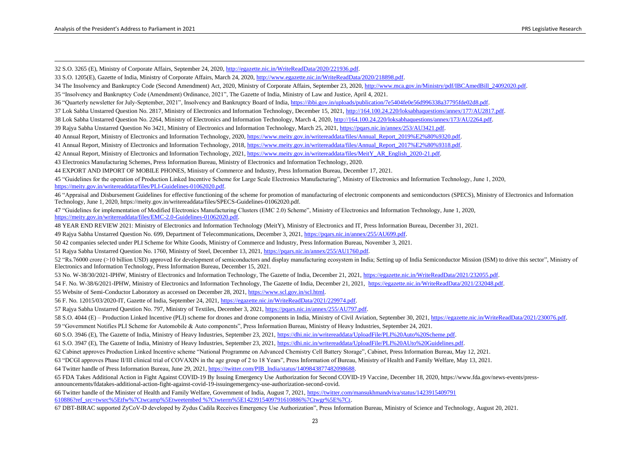S.O. 3265 (E), Ministry of Corporate Affairs, September 24, 2020[, http://egazette.nic.in/WriteReadData/2020/221936.pdf.](http://egazette.nic.in/WriteReadData/2020/221936.pdf)

S.O. 1205(E), Gazette of India, Ministry of Corporate Affairs, March 24, 2020[, http://www.egazette.nic.in/WriteReadData/2020/218898.pdf.](http://www.egazette.nic.in/WriteReadData/2020/218898.pdf) 

34 The Insolvency and Bankruptcy Code (Second Amendment) Act, 2020, Ministry of Corporate Affairs, September 23, 2020[, http://www.mca.gov.in/Ministry/pdf/IBCAmedBill\\_24092020.pdf.](http://www.mca.gov.in/Ministry/pdf/IBCAmedBill_24092020.pdf)

"Insolvency and Bankruptcy Code (Amendment) Ordinance, 2021", The Gazette of India, Ministry of Law and Justice, April 4, 2021.

"Quarterly newsletter for July-September, 2021", Insolvency and Bankruptcy Board of India[, https://ibbi.gov.in/uploads/publication/7e5404fe0e56d996338a37795fde02d8.pdf.](https://ibbi.gov.in/uploads/publication/7e5404fe0e56d996338a37795fde02d8.pdf)

Lok Sabha Unstarred Question No. 2817, Ministry of Electronics and Information Technology, December 15, 2021[, http://164.100.24.220/loksabhaquestions/annex/177/AU2817.pdf.](http://164.100.24.220/loksabhaquestions/annex/177/AU2817.pdf) 

Lok Sabha Unstarred Question No. 2264, Ministry of Electronics and Information Technology, March 4, 2020[, http://164.100.24.220/loksabhaquestions/annex/173/AU2264.pdf.](http://164.100.24.220/loksabhaquestions/annex/173/AU2264.pdf)

Rajya Sabha Unstarred Question No 3421, Ministry of Electronics and Information Technology, March 25, 2021[, https://pqars.nic.in/annex/253/AU3421.pdf.](https://pqars.nic.in/annex/253/AU3421.pdf)

Annual Report, Ministry of Electronics and Information Technology, 2020[, https://www.meity.gov.in/writereaddata/files/Annual\\_Report\\_2019%E2%80%9320.pdf.](https://www.meity.gov.in/writereaddata/files/Annual_Report_2019%E2%80%9320.pdf) 

41 Annual Report, Ministry of Electronics and Information Technology, 2018, https://www.meity.gov.in/writereaddata/files/Annual\_Report\_2017%E2%80%9318.pdf.

Annual Report, Ministry of Electronics and Information Technology, 2021[, https://www.meity.gov.in/writereaddata/files/MeitY\\_AR\\_English\\_2020-21.pdf.](https://www.meity.gov.in/writereaddata/files/MeitY_AR_English_2020-21.pdf) 

Electronics Manufacturing Schemes, Press Information Bureau, Ministry of Electronics and Information Technology, 2020.

EXPORT AND IMPORT OF MOBILE PHONES, Ministry of Commerce and Industry, Press Information Bureau, December 17, 2021.

 "Guidelines for the operation of Production Linked Incentive Scheme for Large Scale Electronics Manufacturing", Ministry of Electronics and Information Technology, June 1, 2020, [https://meity.gov.in/writereaddata/files/PLI-Guidelines-01062020.pdf.](https://meity.gov.in/writereaddata/files/PLI-Guidelines-01062020.pdf) 

 "Appraisal and Disbursement Guidelines for effective functioning of the scheme for promotion of manufacturing of electronic components and semiconductors (SPECS), Ministry of Electronics and Information Technology, June 1, 2020, https://meity.gov.in/writereaddata/files/SPECS-Guidelines-01062020.pdf.

 "Guidelines for implementation of Modified Electronics Manufacturing Clusters (EMC 2.0) Scheme", Ministry of Electronics and Information Technology, June 1, 2020, [https://meity.gov.in/writereaddata/files/EMC-2.0-Guidelines-01062020.pdf.](https://meity.gov.in/writereaddata/files/EMC-2.0-Guidelines-01062020.pdf) 

YEAR END REVIEW 2021: Ministry of Electronics and Information Technology (MeitY), Ministry of Electronics and IT, Press Information Bureau, December 31, 2021.

Rajya Sabha Unstarred Question No. 699, Department of Telecommunications, December 3, 2021, [https://pqars.nic.in/annex/255/AU699.pdf.](https://pqars.nic.in/annex/255/AU699.pdf) 

42 companies selected under PLI Scheme for White Goods, Ministry of Commerce and Industry, Press Information Bureau, November 3, 2021.

Rajya Sabha Unstarred Question No. 1760, Ministry of Steel, December 13, 2021[, https://pqars.nic.in/annex/255/AU1760.pdf.](https://pqars.nic.in/annex/255/AU1760.pdf)

 "Rs.76000 crore (>10 billion USD) approved for development of semiconductors and display manufacturing ecosystem in India; Setting up of India Semiconductor Mission (ISM) to drive this sector", Ministry of Electronics and Information Technology, Press Information Bureau, December 15, 2021.

No. W-38/30/2021-IPHW, Ministry of Electronics and Information Technology, The Gazette of India, December 21, 2021[, https://egazette.nic.in/WriteReadData/2021/232055.pdf.](https://egazette.nic.in/WriteReadData/2021/232055.pdf)

F. No. W-38/6/2021-IPHW, Ministry of Electronics and Information Technology, The Gazette of India, December 21, 2021, [https://egazette.nic.in/WriteReadData/2021/232048.pdf.](https://egazette.nic.in/WriteReadData/2021/232048.pdf) 

Website of Semi-Conductor Laboratory as accessed on December 28, 2021, [https://www.scl.gov.in/scl.html.](https://www.scl.gov.in/scl.html) 

F. No. 12015/03/2020-IT, Gazette of India, September 24, 2021[, https://egazette.nic.in/WriteReadData/2021/229974.pdf.](https://egazette.nic.in/WriteReadData/2021/229974.pdf)

Rajya Sabha Unstarred Question No. 797, Ministry of Textiles, December 3, 2021[, https://pqars.nic.in/annex/255/AU797.pdf.](https://pqars.nic.in/annex/255/AU797.pdf)

S.O. 4044 (E) – Production Linked Incentive (PLI) scheme for drones and drone components in India, Ministry of Civil Aviation, September 30, 2021[, https://egazette.nic.in/WriteReadData/2021/230076.pdf.](https://egazette.nic.in/WriteReadData/2021/230076.pdf)

"Government Notifies PLI Scheme for Automobile & Auto components", Press Information Bureau, Ministry of Heavy Industries, September 24, 2021.

S.O. 3946 (E), The Gazette of India, Ministry of Heavy Industries, September 23, 2021[, https://dhi.nic.in/writereaddata/UploadFile/PLI%20Auto%20Scheme.pdf.](https://dhi.nic.in/writereaddata/UploadFile/PLI%20Auto%20Scheme.pdf)

S.O. 3947 (E), The Gazette of India, Ministry of Heavy Industries, September 23, 2021[, https://dhi.nic.in/writereaddata/UploadFile/PLI%20AUto%20Guidelines.pdf.](https://dhi.nic.in/writereaddata/UploadFile/PLI%20AUto%20Guidelines.pdf) 

Cabinet approves Production Linked Incentive scheme "National Programme on Advanced Chemistry Cell Battery Storage", Cabinet, Press Information Bureau, May 12, 2021.

"DCGI approves Phase II/III clinical trial of COVAXIN in the age group of 2 to 18 Years", Press Information of Bureau, Ministry of Health and Family Welfare, May 13, 2021.

Twitter handle of Press Information Bureau, June 29, 2021[, https://twitter.com/PIB\\_India/status/1409843877482098688.](https://twitter.com/PIB_India/status/1409843877482098688)

 FDA Takes Additional Action in Fight Against COVID-19 By Issuing Emergency Use Authorization for Second COVID-19 Vaccine, December 18, 2020, https://www.fda.gov/news-events/pressannouncements/fdatakes-additional-action-fight-against-covid-19-issuingemergency-use-authorization-second-covid.

 Twitter handle of the Minister of Health and Family Welfare, Government of India, August 7, 2021[, https://twitter.com/mansukhmandviya/status/1423915409791](https://twitter.com/mansukhmandviya/status/1423915409791%20610886?ref_src=twsrc%5Etfw%7Ctwcamp%5Etweetembed%20%7Ctwterm%5E1423915409791610886%7Ctwgr%5E%7Ct)  [610886?ref\\_src=twsrc%5Etfw%7Ctwcamp%5Etweetembed %7Ctwterm%5E1423915409791610886%7Ctwgr%5E%7Ct.](https://twitter.com/mansukhmandviya/status/1423915409791%20610886?ref_src=twsrc%5Etfw%7Ctwcamp%5Etweetembed%20%7Ctwterm%5E1423915409791610886%7Ctwgr%5E%7Ct)

DBT-BIRAC supported ZyCoV-D developed by Zydus Cadila Receives Emergency Use Authorization", Press Information Bureau, Ministry of Science and Technology, August 20, 2021.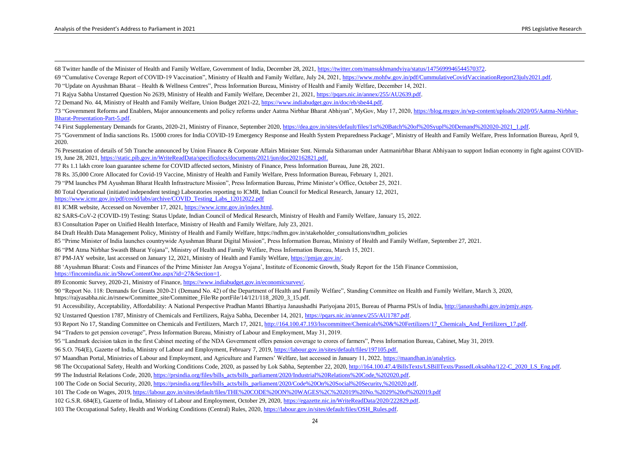Twitter handle of the Minister of Health and Family Welfare, Government of India, December 28, 2021[, https://twitter.com/mansukhmandviya/status/1475699946544570372.](https://twitter.com/mansukhmandviya/status/1475699946544570372) 

"Cumulative Coverage Report of COVID-19 Vaccination", Ministry of Health and Family Welfare, July 24, 2021[, https://www.mohfw.gov.in/pdf/CummulativeCovidVaccinationReport23july2021.pdf.](https://www.mohfw.gov.in/pdf/CummulativeCovidVaccinationReport23july2021.pdf)

"Update on Ayushman Bharat – Health & Wellness Centres", Press Information Bureau, Ministry of Health and Family Welfare, December 14, 2021.

Rajya Sabha Unstarred Question No 2639, Ministry of Health and Family Welfare, December 21, 2021, [https://pqars.nic.in/annex/255/AU2639.pdf.](https://pqars.nic.in/annex/255/AU2639.pdf) 

Demand No. 44, Ministry of Health and Family Welfare, Union Budget 2021-22[, https://www.indiabudget.gov.in/doc/eb/sbe44.pdf.](https://www.indiabudget.gov.in/doc/eb/sbe44.pdf)

 "Government Reforms and Enablers, Major announcements and policy reforms under Aatma Nirbhar Bharat Abhiyan", MyGov, May 17, 2020, [https://blog.mygov.in/wp-content/uploads/2020/05/Aatma-Nirbhar-](https://blog.mygov.in/wp-content/uploads/2020/05/Aatma-Nirbhar-Bharat-Presentation-Part-5.pdf)[Bharat-Presentation-Part-5.pdf.](https://blog.mygov.in/wp-content/uploads/2020/05/Aatma-Nirbhar-Bharat-Presentation-Part-5.pdf)

First Supplementary Demands for Grants, 2020-21, Ministry of Finance, September 2020[, https://dea.gov.in/sites/default/files/1st%20Batch%20of%20Syupl%20Demand%202020-2021\\_1.pdf.](https://dea.gov.in/sites/default/files/1st%20Batch%20of%20Syupl%20Demand%202020-2021_1.pdf)

 "Government of India sanctions Rs. 15000 crores for India COVID-19 Emergency Response and Health System Preparedness Package", Ministry of Health and Family Welfare, Press Information Bureau, April 9, 2020.

 Presentation of details of 5th Tranche announced by Union Finance & Corporate Affairs Minister Smt. Nirmala Sitharaman under Aatmanirbhar Bharat Abhiyaan to support Indian economy in fight against COVID-19, June 28, 2021[, https://static.pib.gov.in/WriteReadData/specificdocs/documents/2021/jun/doc202162821.pdf.](https://static.pib.gov.in/WriteReadData/specificdocs/documents/2021/jun/doc202162821.pdf)

- Rs 1.1 lakh crore loan guarantee scheme for COVID affected sectors, Ministry of Finance, Press Information Bureau, June 28, 2021.
- Rs. 35,000 Crore Allocated for Covid-19 Vaccine, Ministry of Health and Family Welfare, Press Information Bureau, February 1, 2021.
- "PM launches PM Ayushman Bharat Health Infrastructure Mission", Press Information Bureau, Prime Minister's Office, October 25, 2021.
- Total Operational (initiated independent testing) Laboratories reporting to ICMR, Indian Council for Medical Research, January 12, 2021,

[https://www.icmr.gov.in/pdf/covid/labs/archive/COVID\\_Testing\\_Labs\\_12012022.pdf](https://www.icmr.gov.in/pdf/covid/labs/archive/COVID_Testing_Labs_12012022.pdf)

ICMR website, Accessed on November 17, 2021, [https://www.icmr.gov.in/index.html.](https://www.icmr.gov.in/index.html)

SARS-CoV-2 (COVID-19) Testing: Status Update, Indian Council of Medical Research, Ministry of Health and Family Welfare, January 15, 2022.

Consultation Paper on Unified Health Interface, Ministry of Health and Family Welfare, July 23, 2021.

Draft Health Data Management Policy, Ministry of Health and Family Welfare, https://ndhm.gov.in/stakeholder\_consultations/ndhm\_policies

"Prime Minister of India launches countrywide Ayushman Bharat Digital Mission", Press Information Bureau, Ministry of Health and Family Welfare, September 27, 2021.

"PM Atma Nirbhar Swasth Bharat Yojana", Ministry of Health and Family Welfare, Press Information Bureau, March 15, 2021.

PM-JAY website, last accessed on January 12, 2021, Ministry of Health and Family Welfare[, https://pmjay.gov.in/.](https://pmjay.gov.in/) 

'Ayushman Bharat: Costs and Finances of the Prime Minister Jan Arogya Yojana', Institute of Economic Growth, Study Report for the 15th Finance Commission,

[https://fincomindia.nic.in/ShowContentOne.aspx?id=27&Section=1.](https://fincomindia.nic.in/ShowContentOne.aspx?id=27&Section=1) 

Economic Survey, 2020-21, Ministry of Finance[, https://www.indiabudget.gov.in/economicsurvey/.](https://www.indiabudget.gov.in/economicsurvey/)

 "Report No. 118: Demands for Grants 2020-21 (Demand No. 42) of the Department of Health and Family Welfare", Standing Committee on Health and Family Welfare, March 3, 2020, https://rajyasabha.nic.in/rsnew/Committee\_site/Committee\_File/Re portFile/14/121/118\_2020\_3\_15.pdf.

Accessibility, Acceptability, Affordability: A National Perspective Pradhan Mantri Bhartiya Janaushadhi Pariyojana 2015, Bureau of Pharma PSUs of India, [http://janaushadhi.gov.in/pmjy.aspx.](http://janaushadhi.gov.in/pmjy.aspx) 

Unstarred Question 1787, Ministry of Chemicals and Fertilizers, Rajya Sabha, December 14, 2021[, https://pqars.nic.in/annex/255/AU1787.pdf.](https://pqars.nic.in/annex/255/AU1787.pdf)

93 Report No 17, Standing Committee on Chemicals and Fertilizers, March 17, 2021, http://164.100.47.193/lsscommittee/Chemicals%20&%20Fertilizers/17\_Chemicals\_And\_Fertilizers\_17.pdf.

"Traders to get pension coverage", Press Information Bureau, Ministry of Labour and Employment, May 31, 2019.

"Landmark decision taken in the first Cabinet meeting of the NDA Government offers pension coverage to crores of farmers", Press Information Bureau, Cabinet, May 31, 2019.

S.O. 764(E), Gazette of India, Ministry of Labour and Employment, February 7, 2019, [https://labour.gov.in/sites/default/files/197105.pdf.](https://labour.gov.in/sites/default/files/197105.pdf)

Maandhan Portal, Ministries of Labour and Employment, and Agriculture and Farmers' Welfare, last accessed in January 11, 2022, [https://maandhan.in/analytics.](https://maandhan.in/analytics)

98 The Occupational Safety, Health and Working Conditions Code, 2020, as passed by Lok Sabha, September 22, 2020, http://164.100.47.4/BillsTexts/LSBillTexts/PassedLoksabha/122-C\_2020\_LS\_Eng.pdf.

The Industrial Relations Code, 2020[, https://prsindia.org/files/bills\\_acts/bills\\_parliament/2020/Industrial%20Relations%20Code,%202020.pdf.](https://prsindia.org/files/bills_acts/bills_parliament/2020/Industrial%20Relations%20Code,%202020.pdf)

The Code on Social Security, 2020[, https://prsindia.org/files/bills\\_acts/bills\\_parliament/2020/Code%20On%20Social%20Security,%202020.pdf.](https://prsindia.org/files/bills_acts/bills_parliament/2020/Code%20On%20Social%20Security,%202020.pdf)

The Code on Wages, 2019[, https://labour.gov.in/sites/default/files/THE%20CODE%20ON%20WAGES%2C%202019%20No.%2029%20of%202019.pdf](https://labour.gov.in/sites/default/files/THE%20CODE%20ON%20WAGES%2C%202019%20No.%2029%20of%202019.pdf)

G.S.R. 684(E), Gazette of India, Ministry of Labour and Employment, October 29, 2020[, https://egazette.nic.in/WriteReadData/2020/222829.pdf.](https://egazette.nic.in/WriteReadData/2020/222829.pdf)

The Occupational Safety, Health and Working Conditions (Central) Rules, 2020[, https://labour.gov.in/sites/default/files/OSH\\_Rules.pdf.](https://labour.gov.in/sites/default/files/OSH_Rules.pdf)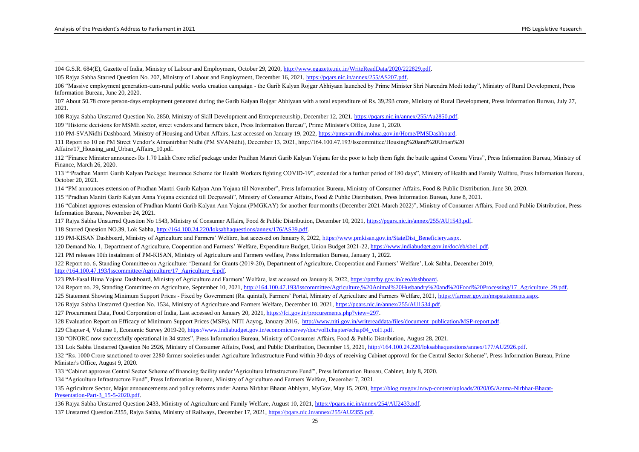G.S.R. 684(E), Gazette of India, Ministry of Labour and Employment, October 29, 2020[, http://www.egazette.nic.in/WriteReadData/2020/222829.pdf.](http://www.egazette.nic.in/WriteReadData/2020/222829.pdf)

Rajya Sabha Starred Question No. 207, Ministry of Labour and Employment, December 16, 2021[, https://pqars.nic.in/annex/255/AS207.pdf.](https://pqars.nic.in/annex/255/AS207.pdf) 

 "Massive employment generation-cum-rural public works creation campaign - the Garib Kalyan Rojgar Abhiyaan launched by Prime Minister Shri Narendra Modi today", Ministry of Rural Development, Press Information Bureau, June 20, 2020.

 About 50.78 crore person-days employment generated during the Garib Kalyan Rojgar Abhiyaan with a total expenditure of Rs. 39,293 crore, Ministry of Rural Development, Press Information Bureau, July 27, 2021.

Rajya Sabha Unstarred Question No. 2850, Ministry of Skill Development and Entrepreneurship, December 12, 2021[, https://pqars.nic.in/annex/255/Au2850.pdf.](https://pqars.nic.in/annex/255/Au2850.pdf)

"Historic decisions for MSME sector, street vendors and farmers taken, Press Information Bureau", Prime Minister's Office, June 1, 2020.

PM-SVANidhi Dashboard, Ministry of Housing and Urban Affairs, Last accessed on January 19, 2022[, https://pmsvanidhi.mohua.gov.in/Home/PMSDashboard.](https://pmsvanidhi.mohua.gov.in/Home/PMSDashboard)

 Report no 10 on PM Street Vendor's Atmanirbhar Nidhi (PM SVANidhi), December 13, 2021, http://164.100.47.193/lsscommittee/Housing%20and%20Urban%20 Affairs/17\_Housing\_and\_Urban\_Affairs\_10.pdf.

 "Finance Minister announces Rs 1.70 Lakh Crore relief package under Pradhan Mantri Garib Kalyan Yojana for the poor to help them fight the battle against Corona Virus", Press Information Bureau, Ministry of Finance, March 26, 2020.

 ""Pradhan Mantri Garib Kalyan Package: Insurance Scheme for Health Workers fighting COVID-19", extended for a further period of 180 days", Ministry of Health and Family Welfare, Press Information Bureau, October 20, 2021.

"PM announces extension of Pradhan Mantri Garib Kalyan Ann Yojana till November", Press Information Bureau, Ministry of Consumer Affairs, Food & Public Distribution, June 30, 2020.

"Pradhan Mantri Garib Kalyan Anna Yojana extended till Deepawali", Ministry of Consumer Affairs, Food & Public Distribution, Press Information Bureau, June 8, 2021.

 "Cabinet approves extension of Pradhan Mantri Garib Kalyan Ann Yojana (PMGKAY) for another four months (December 2021-March 2022)", Ministry of Consumer Affairs, Food and Public Distribution, Press Information Bureau, November 24, 2021.

Rajya Sabha Unstarred Question No 1543, Ministry of Consumer Affairs, Food & Public Distribution, December 10, 2021, [https://pqars.nic.in/annex/255/AU1543.pdf.](https://pqars.nic.in/annex/255/AU1543.pdf) 

Starred Question NO.39, Lok Sabha[, http://164.100.24.220/loksabhaquestions/annex/176/AS39.pdf.](http://164.100.24.220/loksabhaquestions/annex/176/AS39.pdf)

119 PM-KISAN Dashboard, Ministry of Agriculture and Farmers' Welfare, last accessed on January 8, 2022[, https://www.pmkisan.gov.in/StateDist\\_Beneficiery.aspx.](https://www.pmkisan.gov.in/StateDist_Beneficiery.aspx)

120 Demand No. 1, Department of Agriculture, Cooperation and Farmers' Welfare, Expenditure Budget, Union Budget 2021-22, https://www.indiabudget.gov.in/doc/eb/sbe1.pdf.

PM releases 10th instalment of PM-KISAN, Ministry of Agriculture and Farmers welfare, Press Information Bureau, January 1, 2022.

 Report no. 6, Standing Committee on Agriculture: 'Demand for Grants (2019-20), Department of Agriculture, Cooperation and Farmers' Welfare', Lok Sabha, December 2019, http://164.100.47.193/lsscommittee/Agriculture/17\_Agriculture\_6.pdf.

PM-Fasal Bima Yojana Dashboard, Ministry of Agriculture and Farmers' Welfare, last accessed on January 8, 2022[, https://pmfby.gov.in/ceo/dashboard.](https://pmfby.gov.in/ceo/dashboard)

124 Report no. 29, Standing Committee on Agriculture, September 10, 2021, http://164.100.47.193/lsscommittee/Agriculture,%20Animal%20Husbandry%20and%20Frocessing/17\_Agriculture\_29.pdf.

125 Statement Showing Minimum Support Prices - Fixed by Government (Rs. quintal), Farmers' Portal, Ministry of Agriculture and Farmers Welfare, 2021, [https://farmer.gov.in/mspstatements.aspx.](https://farmer.gov.in/mspstatements.aspx)

Rajya Sabha Unstarred Question No. 1534, Ministry of Agriculture and Farmers Welfare, December 10, 2021, [https://pqars.nic.in/annex/255/AU1534.pdf.](https://pqars.nic.in/annex/255/AU1534.pdf) 

Procurement Data, Food Corporation of India, Last accessed on January 20, 2021[, https://fci.gov.in/procurements.php?view=297.](https://fci.gov.in/procurements.php?view=297)

Evaluation Report on Efficacy of Minimum Support Prices (MSPs), NITI Aayog, January 2016, [http://www.niti.gov.in/writereaddata/files/document\\_publication/MSP-report.pdf.](http://www.niti.gov.in/writereaddata/files/document_publication/MSP-report.pdf)

Chapter 4, Volume 1, Economic Survey 2019-20[, https://www.indiabudget.gov.in/economicsurvey/doc/vol1chapter/echap04\\_vol1.pdf.](https://www.indiabudget.gov.in/economicsurvey/doc/vol1chapter/echap04_vol1.pdf) 

"ONORC now successfully operational in 34 states", Press Information Bureau, Ministry of Consumer Affairs, Food & Public Distribution, August 28, 2021.

Lok Sabha Unstarred Question No 2926, Ministry of Consumer Affairs, Food, and Public Distribution, December 15, 2021[, http://164.100.24.220/loksabhaquestions/annex/177/AU2926.pdf.](http://164.100.24.220/loksabhaquestions/annex/177/AU2926.pdf) 

 "Rs. 1000 Crore sanctioned to over 2280 farmer societies under Agriculture Infrastructure Fund within 30 days of receiving Cabinet approval for the Central Sector Scheme", Press Information Bureau, Prime Minister's Office, August 9, 2020.

"Cabinet approves Central Sector Scheme of financing facility under 'Agriculture Infrastructure Fund'", Press Information Bureau, Cabinet, July 8, 2020.

"Agriculture Infrastructure Fund", Press Information Bureau, Ministry of Agriculture and Farmers Welfare, December 7, 2021.

135 Agriculture Sector, Major announcements and policy reforms under Aatma Nirbhar Bharat Abhiyan, MyGov, May 15, 2020, [https://blog.mygov.in/wp-content/uploads/2020/05/Aatma-Nirbhar-Bharat-](https://blog.mygov.in/wp-content/uploads/2020/05/Aatma-Nirbhar-Bharat-Presentation-Part-3_15-5-2020.pdf)Presentation-Part-3\_15-5-2020.pdf.

Rajya Sabha Unstarred Question 2433, Ministry of Agriculture and Family Welfare, August 10, 2021, [https://pqars.nic.in/annex/254/AU2433.pdf.](https://pqars.nic.in/annex/254/AU2433.pdf) 

Unstarred Question 2355, Rajya Sabha, Ministry of Railways, December 17, 2021[, https://pqars.nic.in/annex/255/AU2355.pdf.](https://pqars.nic.in/annex/255/AU2355.pdf)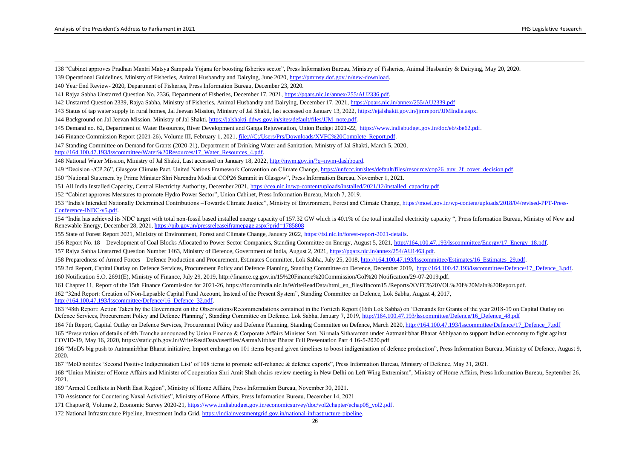"Cabinet approves Pradhan Mantri Matsya Sampada Yojana for boosting fisheries sector", Press Information Bureau, Ministry of Fisheries, Animal Husbandry & Dairying, May 20, 2020.

Operational Guidelines, Ministry of Fisheries, Animal Husbandry and Dairying, June 2020[, https://pmmsy.dof.gov.in/new-download.](https://pmmsy.dof.gov.in/new-download)

Year End Review- 2020, Department of Fisheries, Press Information Bureau, December 23, 2020.

Rajya Sabha Unstarred Question No. 2336, Department of Fisheries, December 17, 2021[, https://pqars.nic.in/annex/255/AU2336.pdf.](https://pqars.nic.in/annex/255/AU2336.pdf)

Unstarred Question 2339, Rajya Sabha, Ministry of Fisheries, Animal Husbandry and Dairying, December 17, 2021[, https://pqars.nic.in/annex/255/AU2339.pdf](https://pqars.nic.in/annex/255/AU2339.pdf)

Status of tap water supply in rural homes, Jal Jeevan Mission, Ministry of Jal Shakti, last accessed on January 13, 2022[, https://ejalshakti.gov.in/jjmreport/JJMIndia.aspx.](https://ejalshakti.gov.in/jjmreport/JJMIndia.aspx)

Background on Jal Jeevan Mission, Ministry of Jal Shakti[, https://jalshakti-ddws.gov.in/sites/default/files/JJM\\_note.pdf.](https://jalshakti-ddws.gov.in/sites/default/files/JJM_note.pdf)

Demand no. 62, Department of Water Resources, River Development and Ganga Rejuvenation, Union Budget 2021-22, [https://www.indiabudget.gov.in/doc/eb/sbe62.pdf.](https://www.indiabudget.gov.in/doc/eb/sbe62.pdf) 

Finance Commission Report (2021-26), Volume III, February 1, 2021[, file:///C:/Users/Prs/Downloads/XVFC%20Complete\\_Report.pdf.](file:///C:/Users/Prs/Downloads/XVFC%20Complete_Report.pdf) 

Standing Committee on Demand for Grants (2020-21), Department of Drinking Water and Sanitation, Ministry of Jal Shakti, March 5, 2020,

[http://164.100.47.193/lsscommittee/Water%20Resources/17\\_Water\\_Resources\\_4.pdf.](http://164.100.47.193/lsscommittee/Water%20Resources/17_Water_Resources_4.pdf)

National Water Mission, Ministry of Jal Shakti, Last accessed on January 18, 2022[, http://nwm.gov.in/?q=nwm-dashboard.](http://nwm.gov.in/?q=nwm-dashboard)

149 "Decision -/CP.26", Glasgow Climate Pact, United Nations Framework Convention on Climate Change[, https://unfccc.int/sites/default/files/resource/cop26\\_auv\\_2f\\_cover\\_decision.pdf.](https://unfccc.int/sites/default/files/resource/cop26_auv_2f_cover_decision.pdf)

"National Statement by Prime Minister Shri Narendra Modi at COP26 Summit in Glasgow", Press Information Bureau, November 1, 2021.

All India Installed Capacity, Central Electricity Authority, December 2021[, https://cea.nic.in/wp-content/uploads/installed/2021/12/installed\\_capacity.pdf.](https://cea.nic.in/wp-content/uploads/installed/2021/12/installed_capacity.pdf)

"Cabinet approves Measures to promote Hydro Power Sector", Union Cabinet, Press Information Bureau, March 7, 2019.

 "India's Intended Nationally Determined Contributions –Towards Climate Justice", Ministry of Environment, Forest and Climate Change[, https://moef.gov.in/wp-content/uploads/2018/04/revised-PPT-Press-](https://moef.gov.in/wp-content/uploads/2018/04/revised-PPT-Press-Conference-INDC-v5.pdf)[Conference-INDC-v5.pdf.](https://moef.gov.in/wp-content/uploads/2018/04/revised-PPT-Press-Conference-INDC-v5.pdf)

 "India has achieved its NDC target with total non-fossil based installed energy capacity of 157.32 GW which is 40.1% of the total installed electricity capacity ", Press Information Bureau, Ministry of New and Renewable Energy, December 28, 2021[, https://pib.gov.in/pressreleaseiframepage.aspx?prid=1785808](https://pib.gov.in/pressreleaseiframepage.aspx?prid=1785808)

State of Forest Report 2021, Ministry of Environment, Forest and Climate Change, January 2022[, https://fsi.nic.in/forest-report-2021-details.](https://fsi.nic.in/forest-report-2021-details) 

156 Report No. 18 – Development of Coal Blocks Allocated to Power Sector Companies, Standing Committee on Energy, August 5, 2021[, http://164.100.47.193/lsscommittee/Energy/17\\_Energy\\_18.pdf.](http://164.100.47.193/lsscommittee/Energy/17_Energy_18.pdf)

Rajya Sabha Unstarred Question Number 1463, Ministry of Defence, Government of India, August 2, 2021, [https://pqars.nic.in/annex/254/AU1463.pdf.](https://pqars.nic.in/annex/254/AU1463.pdf) 

Preparedness of Armed Forces – Defence Production and Procurement, Estimates Committee, Lok Sabha, July 25, 2018[, http://164.100.47.193/lsscommittee/Estimates/16\\_Estimates\\_29.pdf.](http://164.100.47.193/lsscommittee/Estimates/16_Estimates_29.pdf)

159 3rd Report, Capital Outlay on Defence Services, Procurement Policy and Defence Planning, Standing Committee on Defence, December 2019, http://164.100.47.193/lsscommittee/Defence/17 Defence 3.pdf.

Notification S.O. 2691(E), Ministry of Finance, July 29, 2019, http://finance.cg.gov.in/15%20Finance%20Commission/GoI%20 Notification/29-07-2019.pdf.

Chapter 11, Report of the 15th Finance Commission for 2021-26, https://fincomindia.nic.in/WriteReadData/html\_en\_files/fincom15 /Reports/XVFC%20VOL%20I%20Main%20Report.pdf.

"32nd Report: Creation of Non-Lapsable Capital Fund Account, Instead of the Present System", Standing Committee on Defence, Lok Sabha, August 4, 2017,

[http://164.100.47.193/lsscommittee/Defence/16\\_Defence\\_32.pdf.](http://164.100.47.193/lsscommittee/Defence/16_Defence_32.pdf)

 "48th Report: Action Taken by the Government on the Observations/Recommendations contained in the Fortieth Report (16th Lok Sabha) on 'Demands for Grants of the year 2018-19 on Capital Outlay on Defence Services, Procurement Policy and Defence Planning", Standing Committee on Defence, Lok Sabha, January 7, 2019, http://164.100.47.193/lsscommittee/Defence/16 Defence 48.pdf

7th Report, Capital Outlay on Defence Services, Procurement Policy and Defence Planning, Standing Committee on Defence, March 2020, [http://164.100.47.193/lsscommittee/Defence/17\\_Defence\\_7.pdf](http://164.100.47.193/lsscommittee/Defence/17_Defence_7.pdf)

 "Presentation of details of 4th Tranche announced by Union Finance & Corporate Affairs Minister Smt. Nirmala Sitharaman under Aatmanirbhar Bharat Abhiyaan to support Indian economy to fight against COVID-19, May 16, 2020, https://static.pib.gov.in/WriteReadData/userfiles/AatmaNirbhar Bharat Full Presentation Part 4 16-5-2020.pdf

 "MoD's big push to Aatmanirbhar Bharat initiative; Import embargo on 101 items beyond given timelines to boost indigenisation of defence production", Press Information Bureau, Ministry of Defence, August 9, 2020.

"MoD notifies 'Second Positive Indigenisation List' of 108 items to promote self-reliance & defence exports", Press Information Bureau, Ministry of Defence, May 31, 2021.

 "Union Minister of Home Affairs and Minister of Cooperation Shri Amit Shah chairs review meeting in New Delhi on Left Wing Extremism", Ministry of Home Affairs, Press Information Bureau, September 26, 2021.

"Armed Conflicts in North East Region", Ministry of Home Affairs, Press Information Bureau, November 30, 2021.

Assistance for Countering Naxal Activities", Ministry of Home Affairs, Press Information Bureau, December 14, 2021.

Chapter 8, Volume 2, Economic Survey 2020-21[, https://www.indiabudget.gov.in/economicsurvey/doc/vol2chapter/echap08\\_vol2.pdf.](https://www.indiabudget.gov.in/economicsurvey/doc/vol2chapter/echap08_vol2.pdf) 

National Infrastructure Pipeline, Investment India Grid[, https://indiainvestmentgrid.gov.in/national-infrastructure-pipeline.](https://indiainvestmentgrid.gov.in/national-infrastructure-pipeline)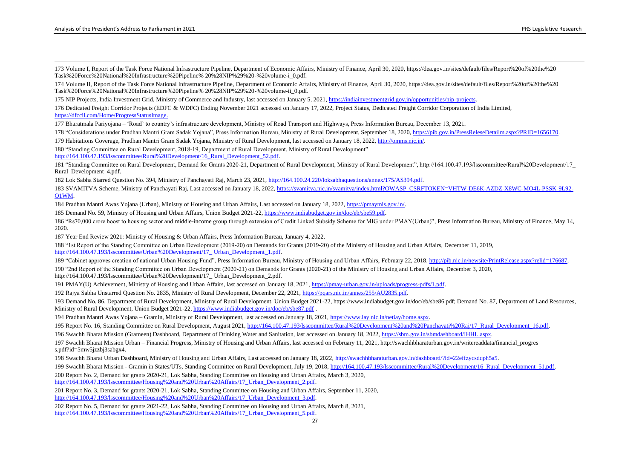Volume I, Report of the Task Force National Infrastructure Pipeline, Department of Economic Affairs, Ministry of Finance, April 30, 2020, https://dea.gov.in/sites/default/files/Report%20of%20the%20 Task%20Force%20National%20Infrastructure%20Pipeline% 20%28NIP%29%20-%20volume-i\_0.pdf.

 Volume II, Report of the Task Force National Infrastructure Pipeline, Department of Economic Affairs, Ministry of Finance, April 30, 2020, https://dea.gov.in/sites/default/files/Report%20of%20the%20 Task%20Force%20National%20Infrastructure%20Pipeline% 20%28NIP%29%20-%20volume-ii\_0.pdf.

NIP Projects, India Investment Grid, Ministry of Commerce and Industry, last accessed on January 5, 2021[, https://indiainvestmentgrid.gov.in/opportunities/nip-projects.](https://indiainvestmentgrid.gov.in/opportunities/nip-projects)

 Dedicated Freight Corridor Projects (EDFC & WDFC) Ending November 2021 accessed on January 17, 2022, Project Status, Dedicated Freight Corridor Corporation of India Limited, [https://dfccil.com/Home/ProgressStatusImage.](https://dfccil.com/Home/ProgressStatusImage) 

Bharatmala Pariyojana – 'Road' to country's infrastructure development, Ministry of Road Transport and Highways, Press Information Bureau, December 13, 2021.

178 "Considerations under Pradhan Mantri Gram Sadak Yojana", Press Information Bureau, Ministry of Rural Development, September 18, 2020, https://pib.gov.in/PressReleseDetailm.aspx?PRID=1656170.

Habitations Coverage, Pradhan Mantri Gram Sadak Yojana, Ministry of Rural Development, last accessed on January 18, 2022[, http://omms.nic.in/.](http://omms.nic.in/) 

"Standing Committee on Rural Development, 2018-19, Department of Rural Development, Ministry of Rural Development"

[http://164.100.47.193/lsscommittee/Rural%20Development/16\\_Rural\\_Development\\_52.pdf.](http://164.100.47.193/lsscommittee/Rural%20Development/16_Rural_Development_52.pdf)

 "Standing Committee on Rural Development, Demand for Grants 2020-21, Department of Rural Development, Ministry of Rural Development", http://164.100.47.193/lsscommittee/Rural%20Development/17\_ Rural\_Development\_4.pdf.

Lok Sabha Starred Question No. 394, Ministry of Panchayati Raj, March 23, 2021[, http://164.100.24.220/loksabhaquestions/annex/175/AS394.pdf.](http://164.100.24.220/loksabhaquestions/annex/175/AS394.pdf)

 SVAMITVA Scheme, Ministry of Panchayati Raj, Last accessed on January 18, 2022[, https://svamitva.nic.in/svamitva/index.html?OWASP\\_CSRFTOKEN=VHTW-DE6K-AZDZ-X8WC-MO4L-PSSK-9L92-](https://svamitva.nic.in/svamitva/index.html?OWASP_CSRFTOKEN=VHTW-DE6K-AZDZ-X8WC-MO4L-PSSK-9L92-O1WM) [O1WM.](https://svamitva.nic.in/svamitva/index.html?OWASP_CSRFTOKEN=VHTW-DE6K-AZDZ-X8WC-MO4L-PSSK-9L92-O1WM)

Pradhan Mantri Awas Yojana (Urban), Ministry of Housing and Urban Affairs, Last accessed on January 18, 2022, [https://pmaymis.gov.in/.](https://pmaymis.gov.in/)

Demand No. 59, Ministry of Housing and Urban Affairs, Union Budget 2021-22[, https://www.indiabudget.gov.in/doc/eb/sbe59.pdf.](https://www.indiabudget.gov.in/doc/eb/sbe59.pdf)

 "Rs70,000 crore boost to housing sector and middle-income group through extension of Credit Linked Subsidy Scheme for MIG under PMAY(Urban)", Press Information Bureau, Ministry of Finance, May 14, 2020.

Year End Review 2021: Ministry of Housing & Urban Affairs, Press Information Bureau, January 4, 2022.

 "1st Report of the Standing Committee on Urban Development (2019-20) on Demands for Grants (2019-20) of the Ministry of Housing and Urban Affairs, December 11, 2019, http://164.100.47.193/lsscommittee/Urban%20Development/17 Urban Development 1.pdf.

 "Cabinet approves creation of national Urban Housing Fund", Press Information Bureau, Ministry of Housing and Urban Affairs, February 22, 2018[, http://pib.nic.in/newsite/PrintRelease.aspx?relid=176687.](http://pib.nic.in/newsite/PrintRelease.aspx?relid=176687)  "2nd Report of the Standing Committee on Urban Development (2020-21) on Demands for Grants (2020-21) of the Ministry of Housing and Urban Affairs, December 3, 2020,

http://164.100.47.193/lsscommittee/Urban%20Development/17\_ Urban\_Development\_2.pdf.

PMAY(U) Achievement, Ministry of Housing and Urban Affairs, last accessed on January 18, 2021[, https://pmay-urban.gov.in/uploads/progress-pdfs/1.pdf.](https://pmay-urban.gov.in/uploads/progress-pdfs/1.pdf)

Rajya Sabha Unstarred Question No. 2835, Ministry of Rural Development, December 22, 2021[, https://pqars.nic.in/annex/255/AU2835.pdf.](https://pqars.nic.in/annex/255/AU2835.pdf)

 Demand No. 86, Department of Rural Development, Ministry of Rural Development, Union Budget 2021-22, https://www.indiabudget.gov.in/doc/eb/sbe86.pdf; Demand No. 87, Department of Land Resources, Ministry of Rural Development, Union Budget 2021-22,<https://www.indiabudget.gov.in/doc/eb/sbe87.pdf>

Pradhan Mantri Awas Yojana – Gramin, Ministry of Rural Development, last accessed on January 18, 2021, [https://www.iay.nic.in/netiay/home.aspx.](https://www.iay.nic.in/netiay/home.aspx)

Report No. 16, Standing Committee on Rural Development, August 2021[, http://164.100.47.193/lsscommittee/Rural%20Development%20and%20Panchayati%20Raj/17\\_Rural\\_Development\\_16.pdf.](http://164.100.47.193/lsscommittee/Rural%20Development%20and%20Panchayati%20Raj/17_Rural_Development_16.pdf) 

Swachh Bharat Mission (Grameen) Dashboard, Department of Drinking Water and Sanitation, last accessed on January 18, 2022[, https://sbm.gov.in/sbmdashboard/IHHL.aspx.](https://sbm.gov.in/sbmdashboard/IHHL.aspx)

 Swachh Bharat Mission Urban – Financial Progress, Ministry of Housing and Urban Affairs, last accessed on February 11, 2021, http://swachhbharaturban.gov.in/writereaddata/financial\_progres s.pdf?id=5mw5jzzbj3sabgx4.

Swachh Bharat Urban Dashboard, Ministry of Housing and Urban Affairs, Last accessed on January 18, 2022[, http://swachhbharaturban.gov.in/dashboard/?id=22effzycsdqph5a5.](http://swachhbharaturban.gov.in/dashboard/?id=22effzycsdqph5a5) 

199 Swachh Bharat Mission - Gramin in States/UTs, Standing Committee on Rural Development, July 19, 2018[, http://164.100.47.193/lsscommittee/Rural%20Development/16\\_Rural\\_Development\\_51.pdf.](http://164.100.47.193/lsscommittee/Rural%20Development/16_Rural_Development_51.pdf)

 Report No. 2, Demand for grants 2020-21, Lok Sabha, Standing Committee on Housing and Urban Affairs, March 3, 2020, [http://164.100.47.193/lsscommittee/Housing%20and%20Urban%20Affairs/17\\_Urban\\_Development\\_2.pdf.](http://164.100.47.193/lsscommittee/Housing%20and%20Urban%20Affairs/17_Urban_Development_2.pdf)

 Report No. 3, Demand for grants 2020-21, Lok Sabha, Standing Committee on Housing and Urban Affairs, September 11, 2020, [http://164.100.47.193/lsscommittee/Housing%20and%20Urban%20Affairs/17\\_Urban\\_Development\\_3.pdf.](http://164.100.47.193/lsscommittee/Housing%20and%20Urban%20Affairs/17_Urban_Development_3.pdf)

 Report No. 5, Demand for grants 2021-22, Lok Sabha, Standing Committee on Housing and Urban Affairs, March 8, 2021, [http://164.100.47.193/lsscommittee/Housing%20and%20Urban%20Affairs/17\\_Urban\\_Development\\_5.pdf.](http://164.100.47.193/lsscommittee/Housing%20and%20Urban%20Affairs/17_Urban_Development_5.pdf)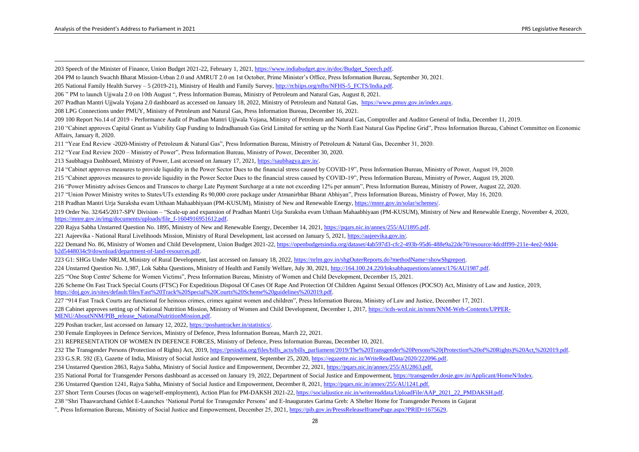Speech of the Minister of Finance, Union Budget 2021-22, February 1, 2021[, https://www.indiabudget.gov.in/doc/Budget\\_Speech.pdf.](https://www.indiabudget.gov.in/doc/Budget_Speech.pdf)

PM to launch Swachh Bharat Mission-Urban 2.0 and AMRUT 2.0 on 1st October, Prime Minister's Office, Press Information Bureau, September 30, 2021.

National Family Health Survey – 5 (2019-21), Ministry of Health and Family Survey[, http://rchiips.org/nfhs/NFHS-5\\_FCTS/India.pdf.](http://rchiips.org/nfhs/NFHS-5_FCTS/India.pdf)

" PM to launch Ujjwala 2.0 on 10th August ", Press Information Bureau, Ministry of Petroleum and Natural Gas, August 8, 2021.

207 Pradhan Mantri Ujjwala Yojana 2.0 dashboard as accessed on January 18, 2022, Ministry of Petroleum and Natural Gas, [https://www.pmuy.gov.in/index.aspx.](https://www.pmuy.gov.in/index.aspx)

LPG Connections under PMUY, Ministry of Petroleum and Natural Gas, Press Information Bureau, December 16, 2021.

100 Report No.14 of 2019 - Performance Audit of Pradhan Mantri Ujjwala Yojana, Ministry of Petroleum and Natural Gas, Comptroller and Auditor General of India, December 11, 2019.

 "Cabinet approves Capital Grant as Viability Gap Funding to Indradhanush Gas Grid Limited for setting up the North East Natural Gas Pipeline Grid", Press Information Bureau, Cabinet Committee on Economic Affairs, January 8, 2020.

"Year End Review -2020-Ministry of Petroleum & Natural Gas", Press Information Bureau, Ministry of Petroleum & Natural Gas, December 31, 2020.

"Year End Review 2020 – Ministry of Power", Press Information Bureau, Ministry of Power, December 30, 2020.

Saubhagya Dashboard, Ministry of Power, Last accessed on January 17, 2021[, https://saubhagya.gov.in/.](https://saubhagya.gov.in/) 

"Cabinet approves measures to provide liquidity in the Power Sector Dues to the financial stress caused by COVID-19", Press Information Bureau, Ministry of Power, August 19, 2020.

"Cabinet approves measures to provide liquidity in the Power Sector Dues to the financial stress caused by COVID-19", Press Information Bureau, Ministry of Power, August 19, 2020.

"Power Ministry advises Gencos and Transcos to charge Late Payment Surcharge at a rate not exceeding 12% per annum", Press Information Bureau, Ministry of Power, August 22, 2020.

"Union Power Ministry writes to States/UTs extending Rs 90,000 crore package under Atmanirbhar Bharat Abhiyan", Press Information Bureau, Ministry of Power, May 16, 2020.

Pradhan Mantri Urja Suraksha evam Utthaan Mahaabhiyaan (PM-KUSUM), Ministry of New and Renewable Energy[, https://mnre.gov.in/solar/schemes/.](https://mnre.gov.in/solar/schemes/) 

 Order No. 32/645/2017-SPV Division – "Scale-up and expansion of Pradhan Mantri Urja Suraksha evam Utthaan Mahaabhiyaan (PM-KUSUM), Ministry of New and Renewable Energy, November 4, 2020, [https://mnre.gov.in/img/documents/uploads/file\\_f-1604916951612.pdf.](https://mnre.gov.in/img/documents/uploads/file_f-1604916951612.pdf) 

Rajya Sabha Unstarred Question No. 1895, Ministry of New and Renewable Energy, December 14, 2021, [https://pqars.nic.in/annex/255/AU1895.pdf.](https://pqars.nic.in/annex/255/AU1895.pdf) 

Aajeevika - National Rural Livelihoods Mission, Ministry of Rural Development, last accessed on January 5, 2021, [https://aajeevika.gov.in/.](https://aajeevika.gov.in/) 

222 Demand No. 86, Ministry of Women and Child Development, Union Budget 2021-22[, https://openbudgetsindia.org/dataset/4ab597d3-cfc2-493b-95d6-488e9a22de70/resource/4dcdff99-211e-4ee2-9dd4](https://openbudgetsindia.org/dataset/4ab597d3-cfc2-493b-95d6-488e9a22de70/resource/4dcdff99-211e-4ee2-9dd4-b2d5448034c9/download/department-of-land-resources.pdf) [b2d5448034c9/download/department-of-land-resources.pdf.](https://openbudgetsindia.org/dataset/4ab597d3-cfc2-493b-95d6-488e9a22de70/resource/4dcdff99-211e-4ee2-9dd4-b2d5448034c9/download/department-of-land-resources.pdf) 

223 G1: SHGs Under NRLM, Ministry of Rural Development, last accessed on January 18, 2022[, https://nrlm.gov.in/shgOuterReports.do?methodName=showShgreport.](https://nrlm.gov.in/shgOuterReports.do?methodName=showShgreport)

Unstarred Question No. 1,987, Lok Sabha Questions, Ministry of Health and Family Welfare, July 30, 2021[, http://164.100.24.220/loksabhaquestions/annex/176/AU1987.pdf.](http://164.100.24.220/loksabhaquestions/annex/176/AU1987.pdf) 

"'One Stop Centre' Scheme for Women Victims", Press Information Bureau, Ministry of Women and Child Development, December 15, 2021.

 Scheme On Fast Track Special Courts (FTSC) For Expeditious Disposal Of Cases Of Rape And Protection Of Children Against Sexual Offences (POCSO) Act, Ministry of Law and Justice, 2019, [https://doj.gov.in/sites/default/files/Fast%20Track%20Special%20Courts%20Scheme%20guidelines%202019.pdf.](https://doj.gov.in/sites/default/files/Fast%20Track%20Special%20Courts%20Scheme%20guidelines%202019.pdf) 

"914 Fast Track Courts are functional for heinous crimes, crimes against women and children", Press Information Bureau, Ministry of Law and Justice, December 17, 2021.

 Cabinet approves setting up of National Nutrition Mission, Ministry of Women and Child Development, December 1, 2017[, https://icds-wcd.nic.in/nnm/NNM-Web-Contents/UPPER-](https://icds-wcd.nic.in/nnm/NNM-Web-Contents/UPPER-MENU/AboutNNM/PIB_release_NationalNutritionMission.pdf)MENU/AboutNNM/PIB\_release\_NationalNutritionMission.pdf.

Poshan tracker, last accessed on January 12, 2022[, https://poshantracker.in/statistics/.](https://poshantracker.in/statistics/) 

Female Employees in Defence Services, Ministry of Defence, Press Information Bureau, March 22, 2021.

REPRESENTATION OF WOMEN IN DEFENCE FORCES, Ministry of Defence, Press Information Bureau, December 10, 2021.

The Transgender Persons (Protection of Rights) Act, 2019[, https://prsindia.org/files/bills\\_acts/bills\\_parliament/2019/The%20Transgender%20Persons%20\(Protection%20of%20Rights\)%20Act,%202019.pdf.](https://prsindia.org/files/bills_acts/bills_parliament/2019/The%20Transgender%20Persons%20(Protection%20of%20Rights)%20Act,%202019.pdf) 

G.S.R. 592 (E), Gazette of India, Ministry of Social Justice and Empowerment, September 25, 2020[, https://egazette.nic.in/WriteReadData/2020/222096.pdf.](https://egazette.nic.in/WriteReadData/2020/222096.pdf)

Unstarred Question 2863, Rajya Sabha, Ministry of Social Justice and Empowerment, December 22, 2021[, https://pqars.nic.in/annex/255/AU2863.pdf.](https://pqars.nic.in/annex/255/AU2863.pdf)

235 National Portal for Transgender Persons dashboard as accessed on January 19, 2022, Department of Social Justice and Empowerment[, https://transgender.dosje.gov.in/Applicant/HomeN/Index.](https://transgender.dosje.gov.in/Applicant/HomeN/Index)

Unstarred Question 1241, Rajya Sabha, Ministry of Social Justice and Empowerment, December 8, 2021[, https://pqars.nic.in/annex/255/AU1241.pdf.](https://pqars.nic.in/annex/255/AU1241.pdf)

237 Short Term Courses (focus on wage/self-employment), Action Plan for PM-DAKSH 2021-22[, https://socialjustice.nic.in/writereaddata/UploadFile/AAP\\_2021\\_22\\_PMDAKSH.pdf.](https://socialjustice.nic.in/writereaddata/UploadFile/AAP_2021_22_PMDAKSH.pdf)

"Shri Thaawarchand Gehlot E-Launches 'National Portal for Transgender Persons' and E-Inaugurates Garima Greh: A Shelter Home for Transgender Persons in Gujarat

", Press Information Bureau, Ministry of Social Justice and Empowerment, December 25, 2021[, https://pib.gov.in/PressReleaseIframePage.aspx?PRID=1675629.](https://pib.gov.in/PressReleaseIframePage.aspx?PRID=1675629)